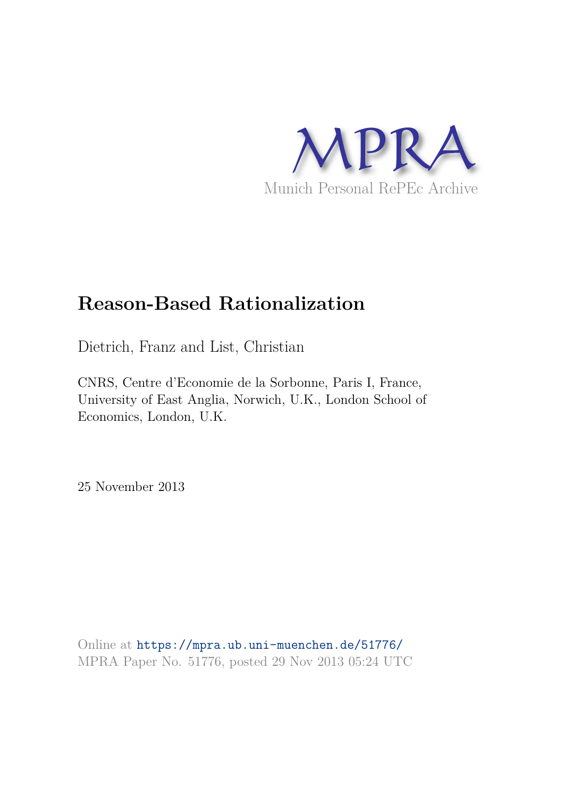

# **Reason-Based Rationalization**

Dietrich, Franz and List, Christian

CNRS, Centre d'Economie de la Sorbonne, Paris I, France, University of East Anglia, Norwich, U.K., London School of Economics, London, U.K.

25 November 2013

Online at https://mpra.ub.uni-muenchen.de/51776/ MPRA Paper No. 51776, posted 29 Nov 2013 05:24 UTC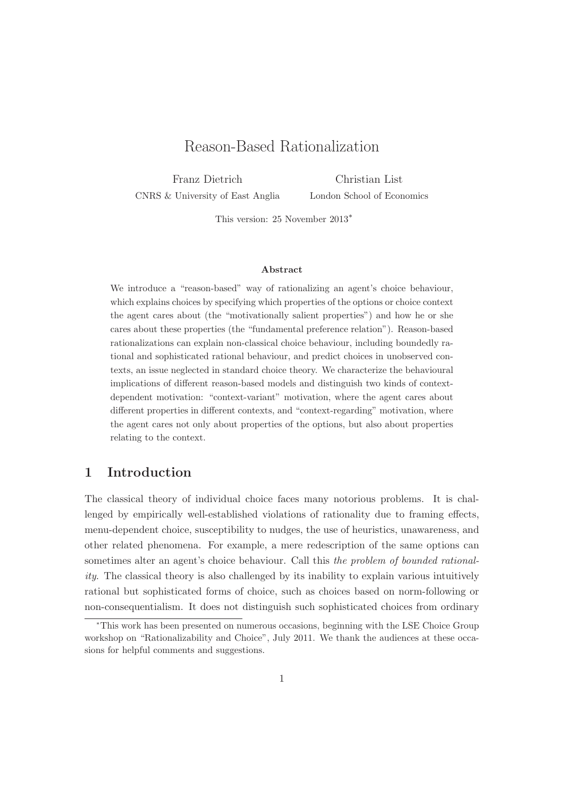## Reason-Based Rationalization

Franz Dietrich CNRS & University of East Anglia

Christian List London School of Economics

This version: 25 November 2013<sup>∗</sup>

#### Abstract

We introduce a "reason-based" way of rationalizing an agent's choice behaviour, which explains choices by specifying which properties of the options or choice context the agent cares about (the "motivationally salient properties") and how he or she cares about these properties (the "fundamental preference relation"). Reason-based rationalizations can explain non-classical choice behaviour, including boundedly rational and sophisticated rational behaviour, and predict choices in unobserved contexts, an issue neglected in standard choice theory. We characterize the behavioural implications of different reason-based models and distinguish two kinds of contextdependent motivation: "context-variant" motivation, where the agent cares about different properties in different contexts, and "context-regarding" motivation, where the agent cares not only about properties of the options, but also about properties relating to the context.

### 1 Introduction

The classical theory of individual choice faces many notorious problems. It is challenged by empirically well-established violations of rationality due to framing effects, menu-dependent choice, susceptibility to nudges, the use of heuristics, unawareness, and other related phenomena. For example, a mere redescription of the same options can sometimes alter an agent's choice behaviour. Call this the problem of bounded rationality. The classical theory is also challenged by its inability to explain various intuitively rational but sophisticated forms of choice, such as choices based on norm-following or non-consequentialism. It does not distinguish such sophisticated choices from ordinary

<sup>∗</sup>This work has been presented on numerous occasions, beginning with the LSE Choice Group workshop on "Rationalizability and Choice", July 2011. We thank the audiences at these occasions for helpful comments and suggestions.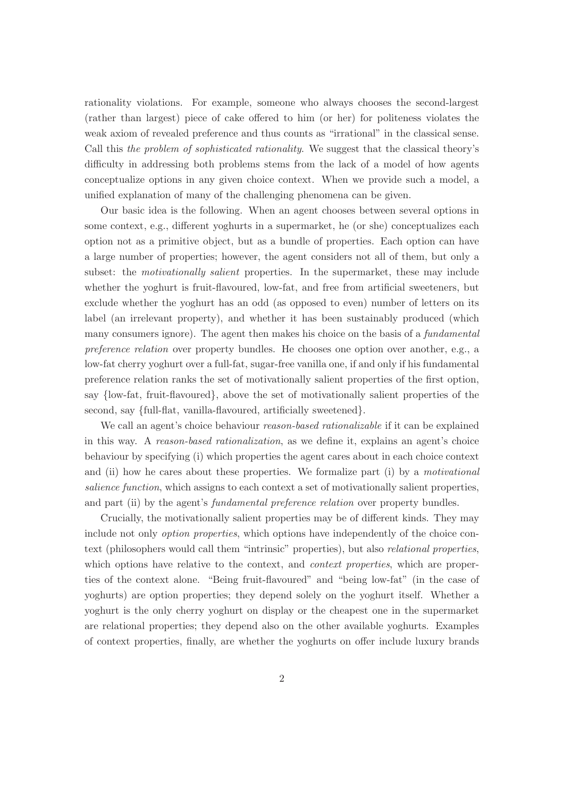rationality violations. For example, someone who always chooses the second-largest (rather than largest) piece of cake offered to him (or her) for politeness violates the weak axiom of revealed preference and thus counts as "irrational" in the classical sense. Call this the problem of sophisticated rationality. We suggest that the classical theory's difficulty in addressing both problems stems from the lack of a model of how agents conceptualize options in any given choice context. When we provide such a model, a unified explanation of many of the challenging phenomena can be given.

Our basic idea is the following. When an agent chooses between several options in some context, e.g., different yoghurts in a supermarket, he (or she) conceptualizes each option not as a primitive object, but as a bundle of properties. Each option can have a large number of properties; however, the agent considers not all of them, but only a subset: the motivationally salient properties. In the supermarket, these may include whether the yoghurt is fruit-flavoured, low-fat, and free from artificial sweeteners, but exclude whether the yoghurt has an odd (as opposed to even) number of letters on its label (an irrelevant property), and whether it has been sustainably produced (which many consumers ignore). The agent then makes his choice on the basis of a *fundamental* preference relation over property bundles. He chooses one option over another, e.g., a low-fat cherry yoghurt over a full-fat, sugar-free vanilla one, if and only if his fundamental preference relation ranks the set of motivationally salient properties of the first option, say {low-fat, fruit-flavoured}, above the set of motivationally salient properties of the second, say {full-flat, vanilla-flavoured, artificially sweetened}.

We call an agent's choice behaviour *reason-based rationalizable* if it can be explained in this way. A reason-based rationalization, as we define it, explains an agent's choice behaviour by specifying (i) which properties the agent cares about in each choice context and (ii) how he cares about these properties. We formalize part (i) by a motivational salience function, which assigns to each context a set of motivationally salient properties, and part (ii) by the agent's *fundamental preference relation* over property bundles.

Crucially, the motivationally salient properties may be of different kinds. They may include not only option properties, which options have independently of the choice context (philosophers would call them "intrinsic" properties), but also relational properties, which options have relative to the context, and *context properties*, which are properties of the context alone. "Being fruit-flavoured" and "being low-fat" (in the case of yoghurts) are option properties; they depend solely on the yoghurt itself. Whether a yoghurt is the only cherry yoghurt on display or the cheapest one in the supermarket are relational properties; they depend also on the other available yoghurts. Examples of context properties, finally, are whether the yoghurts on offer include luxury brands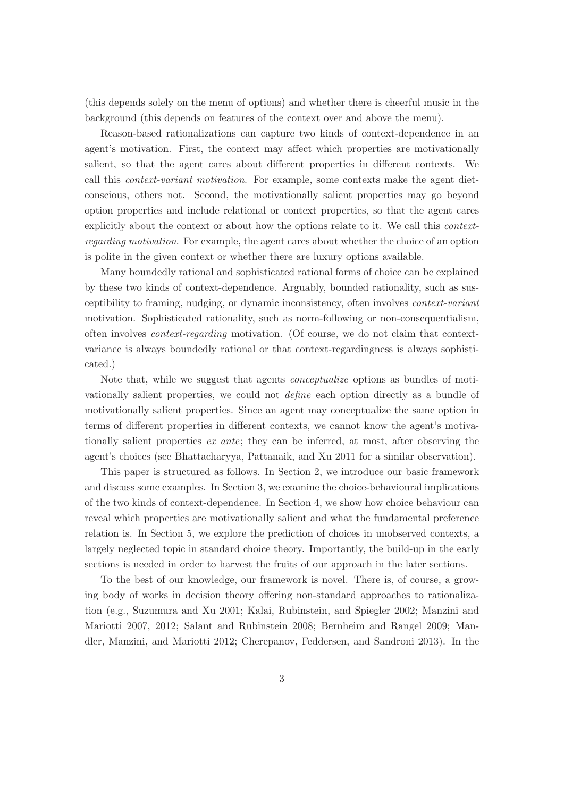(this depends solely on the menu of options) and whether there is cheerful music in the background (this depends on features of the context over and above the menu).

Reason-based rationalizations can capture two kinds of context-dependence in an agent's motivation. First, the context may affect which properties are motivationally salient, so that the agent cares about different properties in different contexts. We call this context-variant motivation. For example, some contexts make the agent dietconscious, others not. Second, the motivationally salient properties may go beyond option properties and include relational or context properties, so that the agent cares explicitly about the context or about how the options relate to it. We call this *context*regarding motivation. For example, the agent cares about whether the choice of an option is polite in the given context or whether there are luxury options available.

Many boundedly rational and sophisticated rational forms of choice can be explained by these two kinds of context-dependence. Arguably, bounded rationality, such as susceptibility to framing, nudging, or dynamic inconsistency, often involves context-variant motivation. Sophisticated rationality, such as norm-following or non-consequentialism, often involves context-regarding motivation. (Of course, we do not claim that contextvariance is always boundedly rational or that context-regardingness is always sophisticated.)

Note that, while we suggest that agents conceptualize options as bundles of motivationally salient properties, we could not define each option directly as a bundle of motivationally salient properties. Since an agent may conceptualize the same option in terms of different properties in different contexts, we cannot know the agent's motivationally salient properties ex ante; they can be inferred, at most, after observing the agent's choices (see Bhattacharyya, Pattanaik, and Xu 2011 for a similar observation).

This paper is structured as follows. In Section 2, we introduce our basic framework and discuss some examples. In Section 3, we examine the choice-behavioural implications of the two kinds of context-dependence. In Section 4, we show how choice behaviour can reveal which properties are motivationally salient and what the fundamental preference relation is. In Section 5, we explore the prediction of choices in unobserved contexts, a largely neglected topic in standard choice theory. Importantly, the build-up in the early sections is needed in order to harvest the fruits of our approach in the later sections.

To the best of our knowledge, our framework is novel. There is, of course, a growing body of works in decision theory offering non-standard approaches to rationalization (e.g., Suzumura and Xu 2001; Kalai, Rubinstein, and Spiegler 2002; Manzini and Mariotti 2007, 2012; Salant and Rubinstein 2008; Bernheim and Rangel 2009; Mandler, Manzini, and Mariotti 2012; Cherepanov, Feddersen, and Sandroni 2013). In the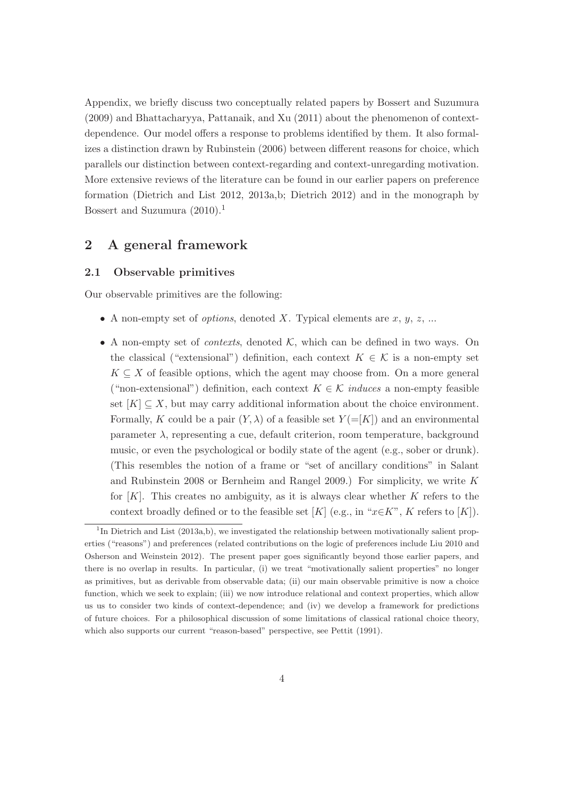Appendix, we briefly discuss two conceptually related papers by Bossert and Suzumura (2009) and Bhattacharyya, Pattanaik, and Xu (2011) about the phenomenon of contextdependence. Our model offers a response to problems identified by them. It also formalizes a distinction drawn by Rubinstein (2006) between different reasons for choice, which parallels our distinction between context-regarding and context-unregarding motivation. More extensive reviews of the literature can be found in our earlier papers on preference formation (Dietrich and List 2012, 2013a,b; Dietrich 2012) and in the monograph by Bossert and Suzumura  $(2010).<sup>1</sup>$ 

### 2 A general framework

#### 2.1 Observable primitives

Our observable primitives are the following:

- A non-empty set of *options*, denoted X. Typical elements are  $x, y, z, ...$
- A non-empty set of *contexts*, denoted  $K$ , which can be defined in two ways. On the classical ("extensional") definition, each context  $K \in \mathcal{K}$  is a non-empty set  $K \subseteq X$  of feasible options, which the agent may choose from. On a more general ("non-extensional") definition, each context  $K \in \mathcal{K}$  induces a non-empty feasible set  $[K] \subseteq X$ , but may carry additional information about the choice environment. Formally, K could be a pair  $(Y, \lambda)$  of a feasible set  $Y = [K]$  and an environmental parameter  $\lambda$ , representing a cue, default criterion, room temperature, background music, or even the psychological or bodily state of the agent (e.g., sober or drunk). (This resembles the notion of a frame or "set of ancillary conditions" in Salant and Rubinstein 2008 or Bernheim and Rangel 2009.) For simplicity, we write  $K$ for  $[K]$ . This creates no ambiguity, as it is always clear whether K refers to the context broadly defined or to the feasible set [K] (e.g., in " $x \in K$ ", K refers to [K]).

<sup>&</sup>lt;sup>1</sup>In Dietrich and List (2013a,b), we investigated the relationship between motivationally salient properties ("reasons") and preferences (related contributions on the logic of preferences include Liu 2010 and Osherson and Weinstein 2012). The present paper goes significantly beyond those earlier papers, and there is no overlap in results. In particular, (i) we treat "motivationally salient properties" no longer as primitives, but as derivable from observable data; (ii) our main observable primitive is now a choice function, which we seek to explain; (iii) we now introduce relational and context properties, which allow us us to consider two kinds of context-dependence; and (iv) we develop a framework for predictions of future choices. For a philosophical discussion of some limitations of classical rational choice theory, which also supports our current "reason-based" perspective, see Pettit (1991).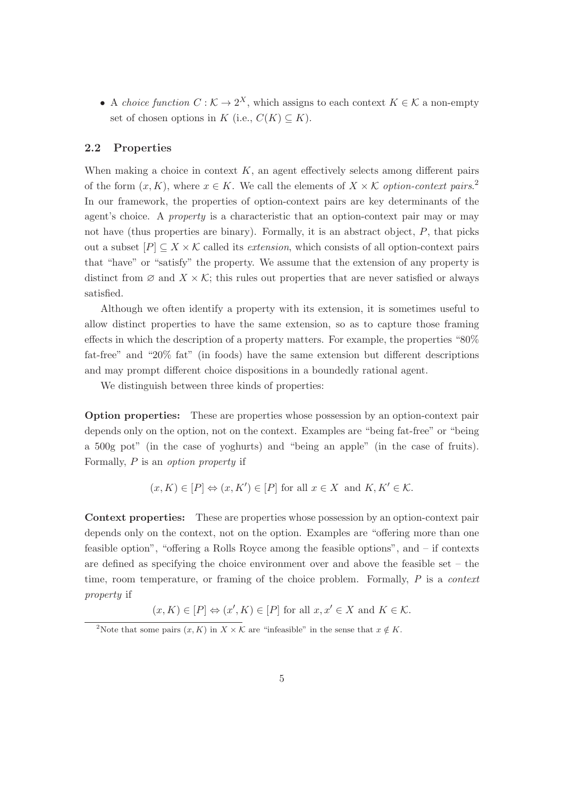• A choice function  $C : \mathcal{K} \to 2^X$ , which assigns to each context  $K \in \mathcal{K}$  a non-empty set of chosen options in K (i.e.,  $C(K) \subseteq K$ ).

#### 2.2 Properties

When making a choice in context  $K$ , an agent effectively selects among different pairs of the form  $(x, K)$ , where  $x \in K$ . We call the elements of  $X \times K$  option-context pairs.<sup>2</sup> In our framework, the properties of option-context pairs are key determinants of the agent's choice. A property is a characteristic that an option-context pair may or may not have (thus properties are binary). Formally, it is an abstract object,  $P$ , that picks out a subset  $[P] \subseteq X \times \mathcal{K}$  called its *extension*, which consists of all option-context pairs that "have" or "satisfy" the property. We assume that the extension of any property is distinct from  $\emptyset$  and  $X \times \mathcal{K}$ ; this rules out properties that are never satisfied or always satisfied.

Although we often identify a property with its extension, it is sometimes useful to allow distinct properties to have the same extension, so as to capture those framing effects in which the description of a property matters. For example, the properties "80% fat-free" and "20% fat" (in foods) have the same extension but different descriptions and may prompt different choice dispositions in a boundedly rational agent.

We distinguish between three kinds of properties:

Option properties: These are properties whose possession by an option-context pair depends only on the option, not on the context. Examples are "being fat-free" or "being a 500g pot" (in the case of yoghurts) and "being an apple" (in the case of fruits). Formally, P is an option property if

$$
(x, K) \in [P] \Leftrightarrow (x, K') \in [P]
$$
 for all  $x \in X$  and  $K, K' \in \mathcal{K}$ .

Context properties: These are properties whose possession by an option-context pair depends only on the context, not on the option. Examples are "offering more than one feasible option", "offering a Rolls Royce among the feasible options", and – if contexts are defined as specifying the choice environment over and above the feasible set – the time, room temperature, or framing of the choice problem. Formally, P is a *context* property if

 $(x, K) \in [P] \Leftrightarrow (x', K) \in [P]$  for all  $x, x' \in X$  and  $K \in \mathcal{K}$ .

<sup>&</sup>lt;sup>2</sup>Note that some pairs  $(x, K)$  in  $X \times K$  are "infeasible" in the sense that  $x \notin K$ .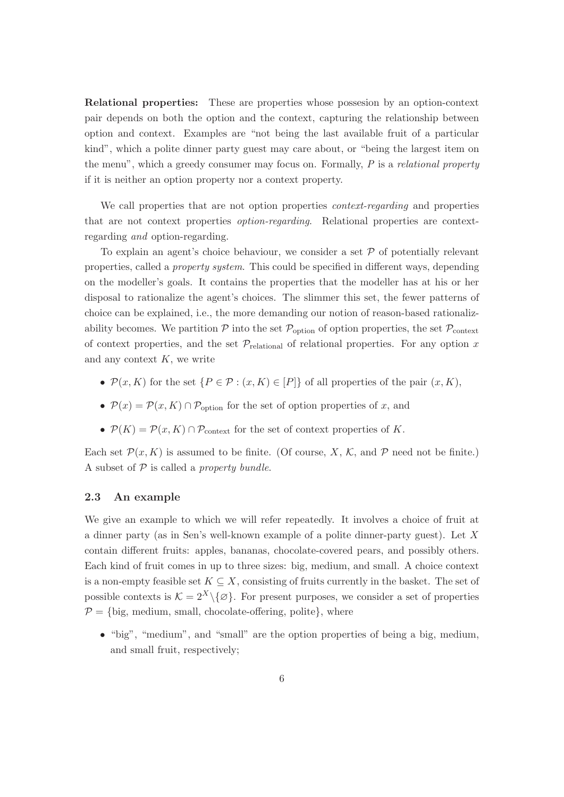Relational properties: These are properties whose possesion by an option-context pair depends on both the option and the context, capturing the relationship between option and context. Examples are "not being the last available fruit of a particular kind", which a polite dinner party guest may care about, or "being the largest item on the menu", which a greedy consumer may focus on. Formally,  $P$  is a *relational property* if it is neither an option property nor a context property.

We call properties that are not option properties *context-regarding* and properties that are not context properties option-regarding. Relational properties are contextregarding and option-regarding.

To explain an agent's choice behaviour, we consider a set  $\mathcal P$  of potentially relevant properties, called a property system. This could be specified in different ways, depending on the modeller's goals. It contains the properties that the modeller has at his or her disposal to rationalize the agent's choices. The slimmer this set, the fewer patterns of choice can be explained, i.e., the more demanding our notion of reason-based rationalizability becomes. We partition  $P$  into the set  $P_{\text{option}}$  of option properties, the set  $P_{\text{context}}$ of context properties, and the set  $\mathcal{P}_{\text{relational}}$  of relational properties. For any option x and any context  $K$ , we write

- $\mathcal{P}(x, K)$  for the set  $\{P \in \mathcal{P} : (x, K) \in [P]\}$  of all properties of the pair  $(x, K)$ ,
- $P(x) = P(x, K) \cap P_{\text{option}}$  for the set of option properties of x, and
- $P(K) = P(x, K) \cap P_{\text{context}}$  for the set of context properties of K.

Each set  $\mathcal{P}(x, K)$  is assumed to be finite. (Of course, X, K, and P need not be finite.) A subset of  $P$  is called a *property bundle*.

### 2.3 An example

We give an example to which we will refer repeatedly. It involves a choice of fruit at a dinner party (as in Sen's well-known example of a polite dinner-party guest). Let X contain different fruits: apples, bananas, chocolate-covered pears, and possibly others. Each kind of fruit comes in up to three sizes: big, medium, and small. A choice context is a non-empty feasible set  $K \subseteq X$ , consisting of fruits currently in the basket. The set of possible contexts is  $\mathcal{K} = 2^X \setminus \{ \varnothing \}$ . For present purposes, we consider a set of properties  $P = \{big, medium, small, chocolate-offering, polite\}, where$ 

• "big", "medium", and "small" are the option properties of being a big, medium, and small fruit, respectively;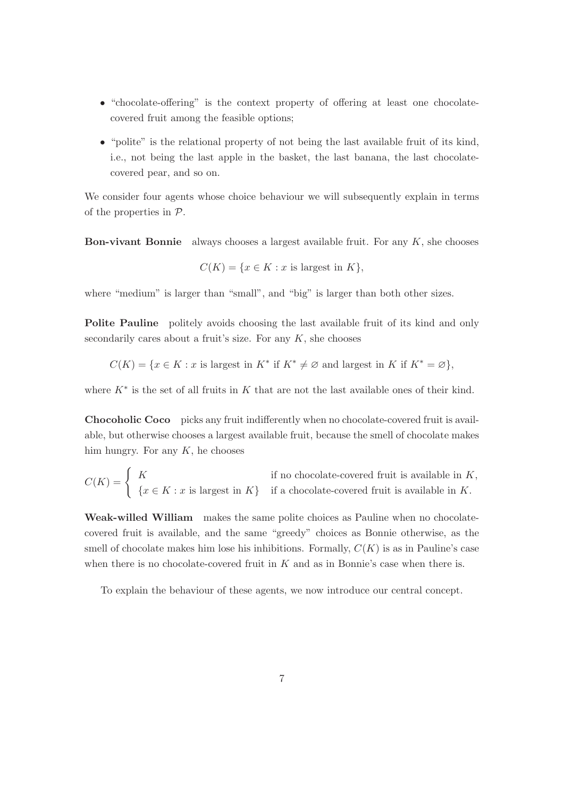- "chocolate-offering" is the context property of offering at least one chocolatecovered fruit among the feasible options;
- "polite" is the relational property of not being the last available fruit of its kind, i.e., not being the last apple in the basket, the last banana, the last chocolatecovered pear, and so on.

We consider four agents whose choice behaviour we will subsequently explain in terms of the properties in  $P$ .

**Bon-vivant Bonnie** always chooses a largest available fruit. For any  $K$ , she chooses

$$
C(K) = \{ x \in K : x \text{ is largest in } K \},
$$

where "medium" is larger than "small", and "big" is larger than both other sizes.

Polite Pauline politely avoids choosing the last available fruit of its kind and only secondarily cares about a fruit's size. For any  $K$ , she chooses

$$
C(K) = \{ x \in K : x \text{ is largest in } K^* \text{ if } K^* \neq \emptyset \text{ and largest in } K \text{ if } K^* = \emptyset \},
$$

where  $K^*$  is the set of all fruits in K that are not the last available ones of their kind.

Chocoholic Coco picks any fruit indifferently when no chocolate-covered fruit is available, but otherwise chooses a largest available fruit, because the smell of chocolate makes him hungry. For any  $K$ , he chooses

$$
C(K) = \begin{cases} K & \text{if no chocolate-covered fruit is available in } K, \\ \{x \in K : x \text{ is largest in } K\} & \text{if a chocolate-covered fruit is available in } K. \end{cases}
$$

Weak-willed William makes the same polite choices as Pauline when no chocolatecovered fruit is available, and the same "greedy" choices as Bonnie otherwise, as the smell of chocolate makes him lose his inhibitions. Formally,  $C(K)$  is as in Pauline's case when there is no chocolate-covered fruit in  $K$  and as in Bonnie's case when there is.

To explain the behaviour of these agents, we now introduce our central concept.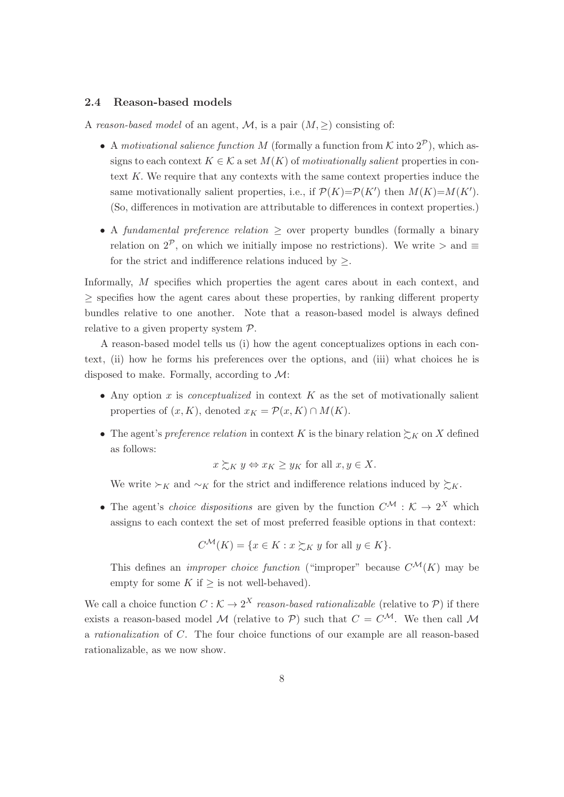### 2.4 Reason-based models

A reason-based model of an agent, M, is a pair  $(M, \geq)$  consisting of:

- A motivational salience function M (formally a function from K into  $2^{\mathcal{P}}$ ), which assigns to each context  $K \in \mathcal{K}$  a set  $M(K)$  of motivationally salient properties in context K. We require that any contexts with the same context properties induce the same motivationally salient properties, i.e., if  $\mathcal{P}(K) = \mathcal{P}(K')$  then  $M(K) = M(K')$ . (So, differences in motivation are attributable to differences in context properties.)
- A fundamental preference relation  $\geq$  over property bundles (formally a binary relation on  $2^{\mathcal{P}}$ , on which we initially impose no restrictions). We write  $>$  and  $\equiv$ for the strict and indifference relations induced by  $\geq$ .

Informally, M specifies which properties the agent cares about in each context, and ≥ specifies how the agent cares about these properties, by ranking different property bundles relative to one another. Note that a reason-based model is always defined relative to a given property system P.

A reason-based model tells us (i) how the agent conceptualizes options in each context, (ii) how he forms his preferences over the options, and (iii) what choices he is disposed to make. Formally, according to  $\mathcal{M}$ :

- Any option x is *conceptualized* in context K as the set of motivationally salient properties of  $(x, K)$ , denoted  $x_K = \mathcal{P}(x, K) \cap M(K)$ .
- The agent's preference relation in context K is the binary relation  $\succsim_K$  on X defined as follows:

$$
x \succeq_K y \Leftrightarrow x_K \geq y_K
$$
 for all  $x, y \in X$ .

We write  $\succ_K$  and  $\sim_K$  for the strict and indifference relations induced by  $\succsim_K$ .

• The agent's *choice dispositions* are given by the function  $C^{\mathcal{M}} : \mathcal{K} \to 2^X$  which assigns to each context the set of most preferred feasible options in that context:

$$
C^{\mathcal{M}}(K) = \{ x \in K : x \succsim_K y \text{ for all } y \in K \}.
$$

This defines an *improper choice function* ("improper" because  $C^{\mathcal{M}}(K)$  may be empty for some K if  $\geq$  is not well-behaved).

We call a choice function  $C : \mathcal{K} \to 2^X$  reason-based rationalizable (relative to P) if there exists a reason-based model M (relative to P) such that  $C = C^{\mathcal{M}}$ . We then call M a rationalization of C. The four choice functions of our example are all reason-based rationalizable, as we now show.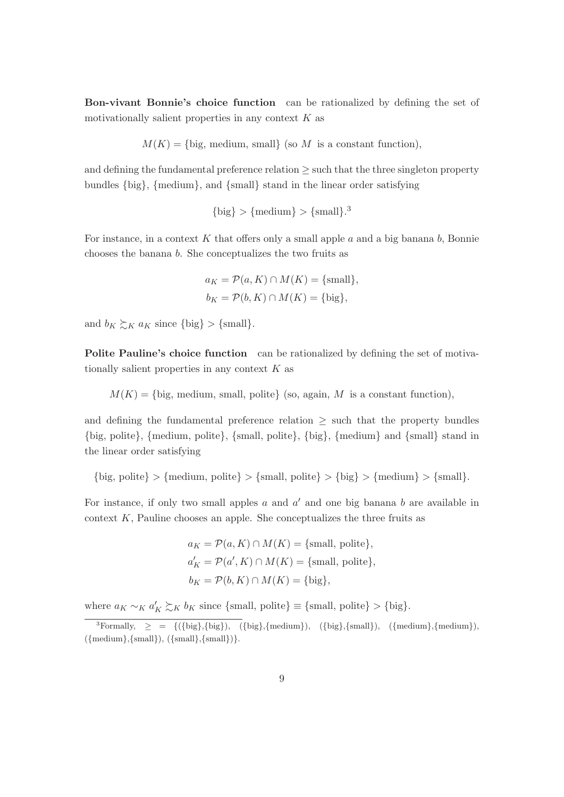Bon-vivant Bonnie's choice function can be rationalized by defining the set of motivationally salient properties in any context  $K$  as

 $M(K) = \{big$ , medium, small (so M is a constant function),

and defining the fundamental preference relation  $\geq$  such that the three singleton property bundles {big}, {medium}, and {small} stand in the linear order satisfying

 $\{big\} > {\text{medium}} > {\text{small}}$ .<sup>3</sup>

For instance, in a context K that offers only a small apple  $a$  and a big banana  $b$ , Bonnie chooses the banana b. She conceptualizes the two fruits as

$$
a_K = \mathcal{P}(a, K) \cap M(K) = \{\text{small}\},
$$
  

$$
b_K = \mathcal{P}(b, K) \cap M(K) = \{\text{big}\},
$$

and  $b_K \succsim_K a_K$  since  $\{\text{big}\} > \{\text{small}\}.$ 

Polite Pauline's choice function can be rationalized by defining the set of motivationally salient properties in any context  $K$  as

 $M(K) = \{big$ , medium, small, polite  $\{so, again, M \text{ is a constant function}\}$ ,

and defining the fundamental preference relation  $\geq$  such that the property bundles {big, polite}, {medium, polite}, {small, polite}, {big}, {medium} and {small} stand in the linear order satisfying

 $\{big, \text{policy} \} > \{ \text{medium}, \text{policy} \} > \{ \text{small}, \text{policy} \} > \{ \text{big} \} > \{ \text{small} \}.$ 

For instance, if only two small apples  $a$  and  $a'$  and one big banana  $b$  are available in context  $K$ , Pauline chooses an apple. She conceptualizes the three fruits as

$$
a_K = \mathcal{P}(a, K) \cap M(K) = \{\text{small, polite}\},
$$
  

$$
a'_K = \mathcal{P}(a', K) \cap M(K) = \{\text{small, polite}\},
$$
  

$$
b_K = \mathcal{P}(b, K) \cap M(K) = \{\text{big}\},
$$

where  $a_K \sim_K a'_K \succsim_K b_K$  since {small, polite}  $\equiv$  {small, polite} > {big}.

<sup>&</sup>lt;sup>3</sup>Formally,  $\geq$  = {({big},{big}), ({big},{medium}), ({big},{small}), ({medium},{medium}),  $({\{medium\}, \{small\}}), ({\{small\}}, {\{small\}}).$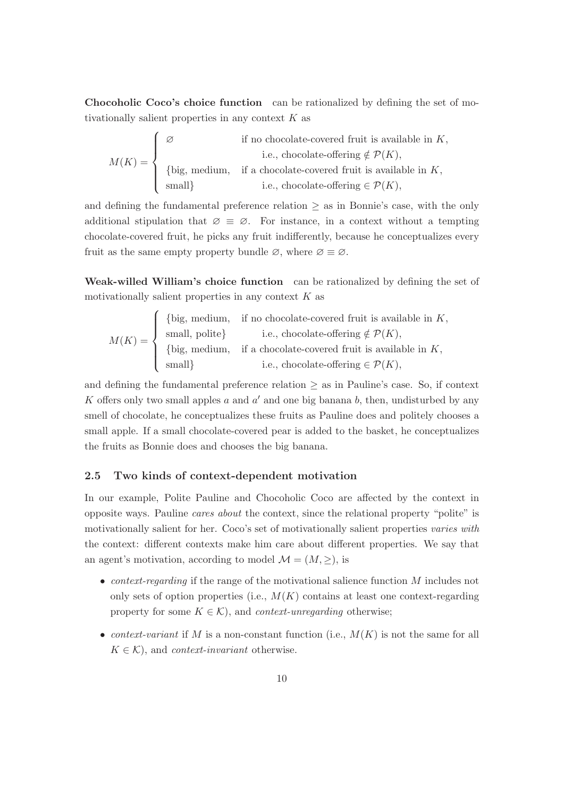Chocoholic Coco's choice function can be rationalized by defining the set of motivationally salient properties in any context  $K$  as

$$
M(K) = \begin{cases} \varnothing & \text{if no chocolate-covered fruit is available in } K, \\ & \text{i.e., chocolate-offering } \notin \mathcal{P}(K), \\ & \text{ \{big, medium, if a chocolate-covered fruit is available in } K, \\ & \text{small} \} & \text{i.e., chocolate-offering } \in \mathcal{P}(K), \end{cases}
$$

and defining the fundamental preference relation  $\geq$  as in Bonnie's case, with the only additional stipulation that  $\varnothing \equiv \varnothing$ . For instance, in a context without a tempting chocolate-covered fruit, he picks any fruit indifferently, because he conceptualizes every fruit as the same empty property bundle  $\varnothing$ , where  $\varnothing \equiv \varnothing$ .

Weak-willed William's choice function can be rationalized by defining the set of motivationally salient properties in any context  $K$  as

$$
M(K) = \begin{cases} \{ \text{big, medium, if no chocolate-covered fruit is available in } K, \\ \text{small, polite} \} & \text{i.e., chocolate-offering } \notin \mathcal{P}(K), \\ \{ \text{big, medium, if a chocolate-covered fruit is available in } K, \\ \text{small} \} & \text{i.e., chocolate-offering } \in \mathcal{P}(K), \end{cases}
$$

and defining the fundamental preference relation  $\geq$  as in Pauline's case. So, if context K offers only two small apples  $a$  and  $a'$  and one big banana  $b$ , then, undisturbed by any smell of chocolate, he conceptualizes these fruits as Pauline does and politely chooses a small apple. If a small chocolate-covered pear is added to the basket, he conceptualizes the fruits as Bonnie does and chooses the big banana.

### 2.5 Two kinds of context-dependent motivation

In our example, Polite Pauline and Chocoholic Coco are affected by the context in opposite ways. Pauline cares about the context, since the relational property "polite" is motivationally salient for her. Coco's set of motivationally salient properties varies with the context: different contexts make him care about different properties. We say that an agent's motivation, according to model  $\mathcal{M} = (M, \geq)$ , is

- *context-regarding* if the range of the motivational salience function  $M$  includes not only sets of option properties (i.e.,  $M(K)$  contains at least one context-regarding property for some  $K \in \mathcal{K}$ , and *context-unregarding* otherwise;
- context-variant if M is a non-constant function (i.e.,  $M(K)$  is not the same for all  $K \in \mathcal{K}$ , and *context-invariant* otherwise.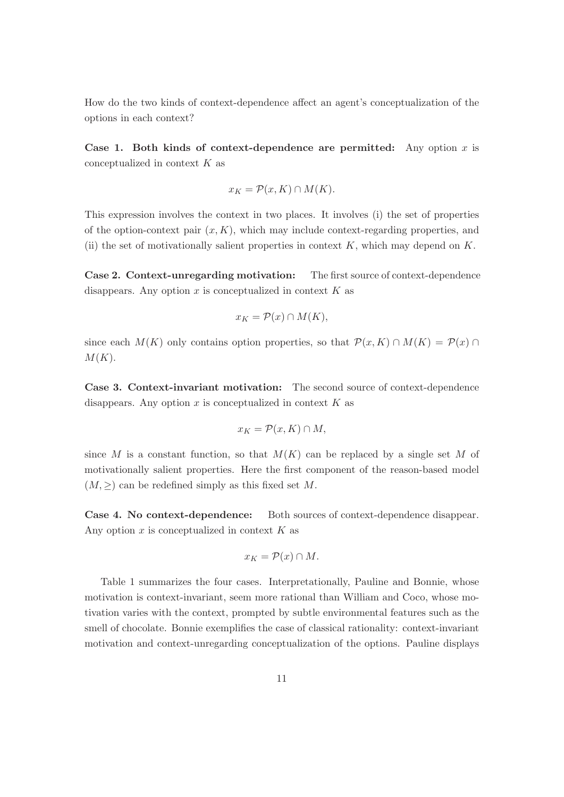How do the two kinds of context-dependence affect an agent's conceptualization of the options in each context?

Case 1. Both kinds of context-dependence are permitted: Any option x is conceptualized in context K as

$$
x_K = \mathcal{P}(x, K) \cap M(K).
$$

This expression involves the context in two places. It involves (i) the set of properties of the option-context pair  $(x, K)$ , which may include context-regarding properties, and (ii) the set of motivationally salient properties in context  $K$ , which may depend on  $K$ .

Case 2. Context-unregarding motivation: The first source of context-dependence disappears. Any option  $x$  is conceptualized in context  $K$  as

$$
x_K = \mathcal{P}(x) \cap M(K),
$$

since each  $M(K)$  only contains option properties, so that  $\mathcal{P}(x, K) \cap M(K) = \mathcal{P}(x) \cap$  $M(K).$ 

Case 3. Context-invariant motivation: The second source of context-dependence disappears. Any option  $x$  is conceptualized in context  $K$  as

$$
x_K = \mathcal{P}(x, K) \cap M,
$$

since M is a constant function, so that  $M(K)$  can be replaced by a single set M of motivationally salient properties. Here the first component of the reason-based model  $(M, >)$  can be redefined simply as this fixed set M.

Case 4. No context-dependence: Both sources of context-dependence disappear. Any option  $x$  is conceptualized in context  $K$  as

$$
x_K = \mathcal{P}(x) \cap M.
$$

Table 1 summarizes the four cases. Interpretationally, Pauline and Bonnie, whose motivation is context-invariant, seem more rational than William and Coco, whose motivation varies with the context, prompted by subtle environmental features such as the smell of chocolate. Bonnie exemplifies the case of classical rationality: context-invariant motivation and context-unregarding conceptualization of the options. Pauline displays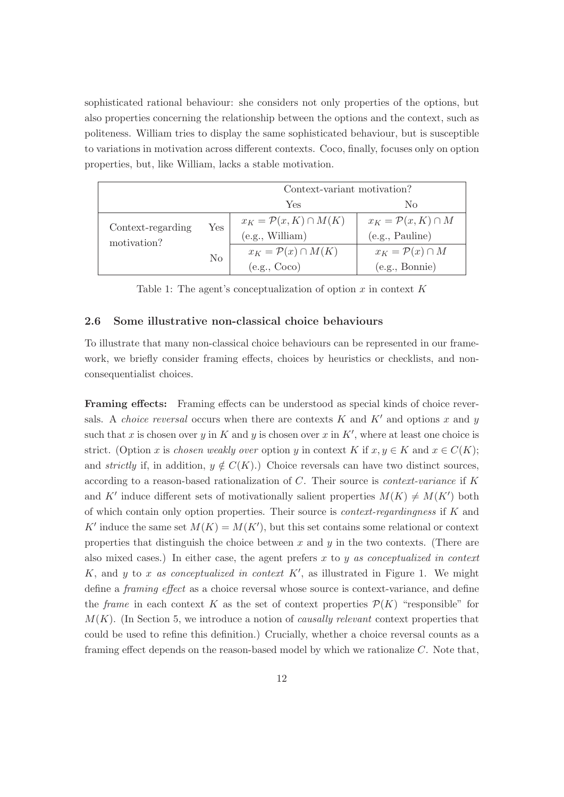sophisticated rational behaviour: she considers not only properties of the options, but also properties concerning the relationship between the options and the context, such as politeness. William tries to display the same sophisticated behaviour, but is susceptible to variations in motivation across different contexts. Coco, finally, focuses only on option properties, but, like William, lacks a stable motivation.

|                                  |                      | Context-variant motivation?        |                                 |
|----------------------------------|----------------------|------------------------------------|---------------------------------|
|                                  |                      | Yes                                | No                              |
| Context-regarding<br>motivation? | $\operatorname{Yes}$ | $x_K = \mathcal{P}(x,K) \cap M(K)$ | $x_K = \mathcal{P}(x,K) \cap M$ |
|                                  |                      | (e.g., William)                    | (e.g., Pauline)                 |
|                                  | $\rm No$             | $x_K = \mathcal{P}(x) \cap M(K)$   | $x_K = \mathcal{P}(x) \cap M$   |
|                                  |                      | (e.g., Coco)                       | (e.g., Bonnie)                  |

Table 1: The agent's conceptualization of option x in context  $K$ 

#### 2.6 Some illustrative non-classical choice behaviours

To illustrate that many non-classical choice behaviours can be represented in our framework, we briefly consider framing effects, choices by heuristics or checklists, and nonconsequentialist choices.

Framing effects: Framing effects can be understood as special kinds of choice reversals. A *choice reversal* occurs when there are contexts K and K' and options x and y such that x is chosen over y in K and y is chosen over x in K', where at least one choice is strict. (Option x is chosen weakly over option y in context K if  $x, y \in K$  and  $x \in C(K)$ ; and *strictly* if, in addition,  $y \notin C(K)$ .) Choice reversals can have two distinct sources, according to a reason-based rationalization of C. Their source is context-variance if K and K' induce different sets of motivationally salient properties  $M(K) \neq M(K')$  both of which contain only option properties. Their source is *context-regardingness* if  $K$  and K' induce the same set  $M(K) = M(K')$ , but this set contains some relational or context properties that distinguish the choice between  $x$  and  $y$  in the two contexts. (There are also mixed cases.) In either case, the agent prefers  $x$  to  $y$  as conceptualized in context K, and y to x as conceptualized in context  $K'$ , as illustrated in Figure 1. We might define a framing effect as a choice reversal whose source is context-variance, and define the *frame* in each context K as the set of context properties  $\mathcal{P}(K)$  "responsible" for  $M(K)$ . (In Section 5, we introduce a notion of *causally relevant* context properties that could be used to refine this definition.) Crucially, whether a choice reversal counts as a framing effect depends on the reason-based model by which we rationalize C. Note that,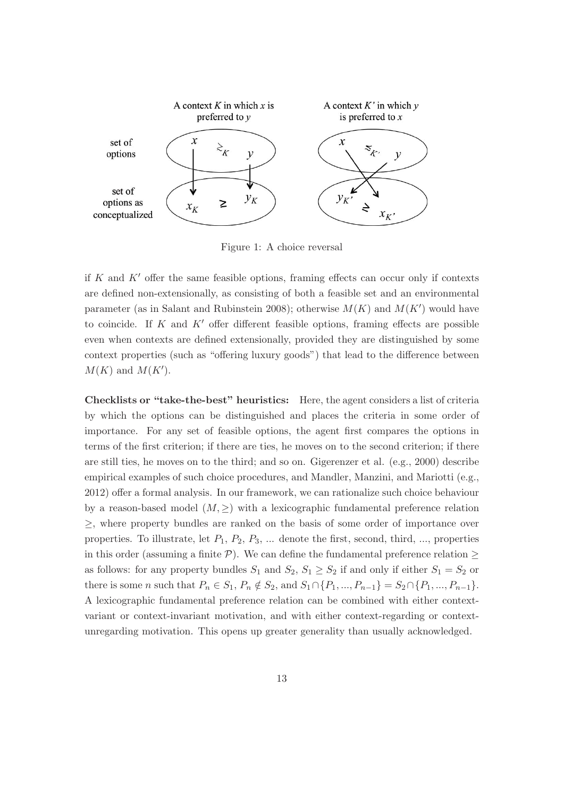

Figure 1: A choice reversal

if K and  $K'$  offer the same feasible options, framing effects can occur only if contexts are defined non-extensionally, as consisting of both a feasible set and an environmental parameter (as in Salant and Rubinstein 2008); otherwise  $M(K)$  and  $M(K')$  would have to coincide. If K and  $K'$  offer different feasible options, framing effects are possible even when contexts are defined extensionally, provided they are distinguished by some context properties (such as "offering luxury goods") that lead to the difference between  $M(K)$  and  $M(K')$ .

Checklists or "take-the-best" heuristics: Here, the agent considers a list of criteria by which the options can be distinguished and places the criteria in some order of importance. For any set of feasible options, the agent first compares the options in terms of the first criterion; if there are ties, he moves on to the second criterion; if there are still ties, he moves on to the third; and so on. Gigerenzer et al. (e.g., 2000) describe empirical examples of such choice procedures, and Mandler, Manzini, and Mariotti (e.g., 2012) offer a formal analysis. In our framework, we can rationalize such choice behaviour by a reason-based model  $(M, \geq)$  with a lexicographic fundamental preference relation ≥, where property bundles are ranked on the basis of some order of importance over properties. To illustrate, let  $P_1$ ,  $P_2$ ,  $P_3$ , ... denote the first, second, third, ..., properties in this order (assuming a finite  $P$ ). We can define the fundamental preference relation  $\geq$ as follows: for any property bundles  $S_1$  and  $S_2$ ,  $S_1 \geq S_2$  if and only if either  $S_1 = S_2$  or there is some *n* such that  $P_n \in S_1$ ,  $P_n \notin S_2$ , and  $S_1 \cap \{P_1, ..., P_{n-1}\} = S_2 \cap \{P_1, ..., P_{n-1}\}.$ A lexicographic fundamental preference relation can be combined with either contextvariant or context-invariant motivation, and with either context-regarding or contextunregarding motivation. This opens up greater generality than usually acknowledged.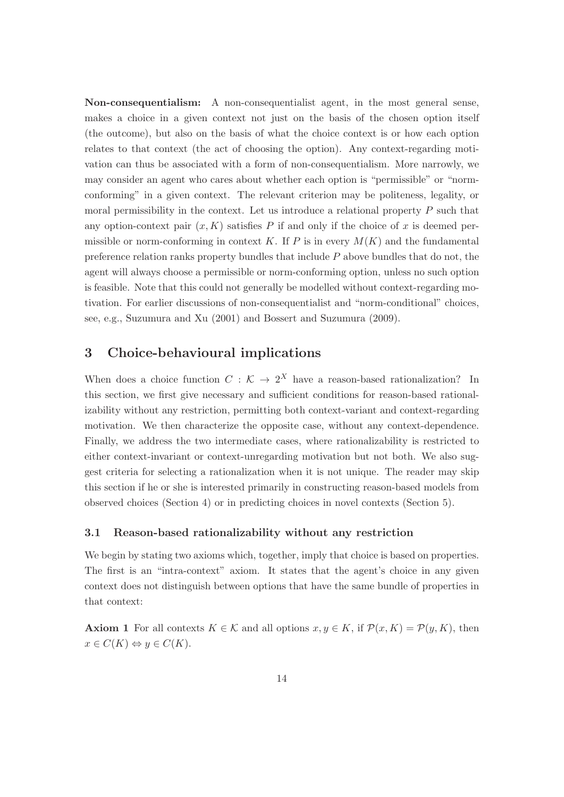Non-consequentialism: A non-consequentialist agent, in the most general sense, makes a choice in a given context not just on the basis of the chosen option itself (the outcome), but also on the basis of what the choice context is or how each option relates to that context (the act of choosing the option). Any context-regarding motivation can thus be associated with a form of non-consequentialism. More narrowly, we may consider an agent who cares about whether each option is "permissible" or "normconforming" in a given context. The relevant criterion may be politeness, legality, or moral permissibility in the context. Let us introduce a relational property P such that any option-context pair  $(x, K)$  satisfies P if and only if the choice of x is deemed permissible or norm-conforming in context K. If P is in every  $M(K)$  and the fundamental preference relation ranks property bundles that include  $P$  above bundles that do not, the agent will always choose a permissible or norm-conforming option, unless no such option is feasible. Note that this could not generally be modelled without context-regarding motivation. For earlier discussions of non-consequentialist and "norm-conditional" choices, see, e.g., Suzumura and Xu (2001) and Bossert and Suzumura (2009).

### 3 Choice-behavioural implications

When does a choice function  $C : \mathcal{K} \to 2^X$  have a reason-based rationalization? In this section, we first give necessary and sufficient conditions for reason-based rationalizability without any restriction, permitting both context-variant and context-regarding motivation. We then characterize the opposite case, without any context-dependence. Finally, we address the two intermediate cases, where rationalizability is restricted to either context-invariant or context-unregarding motivation but not both. We also suggest criteria for selecting a rationalization when it is not unique. The reader may skip this section if he or she is interested primarily in constructing reason-based models from observed choices (Section 4) or in predicting choices in novel contexts (Section 5).

### 3.1 Reason-based rationalizability without any restriction

We begin by stating two axioms which, together, imply that choice is based on properties. The first is an "intra-context" axiom. It states that the agent's choice in any given context does not distinguish between options that have the same bundle of properties in that context:

**Axiom 1** For all contexts  $K \in \mathcal{K}$  and all options  $x, y \in K$ , if  $\mathcal{P}(x, K) = \mathcal{P}(y, K)$ , then  $x \in C(K) \Leftrightarrow y \in C(K).$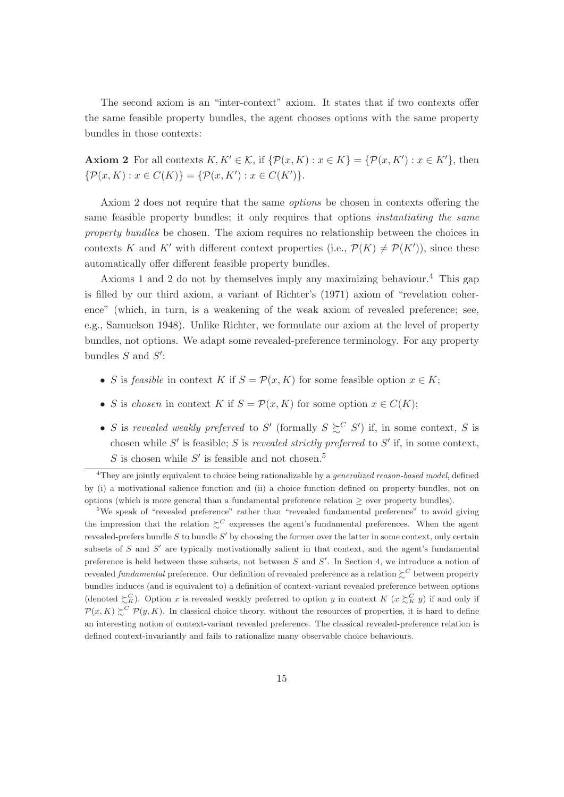The second axiom is an "inter-context" axiom. It states that if two contexts offer the same feasible property bundles, the agent chooses options with the same property bundles in those contexts:

**Axiom 2** For all contexts  $K, K' \in \mathcal{K}$ , if  $\{\mathcal{P}(x, K) : x \in K\} = \{\mathcal{P}(x, K') : x \in K'\}$ , then  $\{\mathcal{P}(x,K): x \in C(K)\} = \{\mathcal{P}(x,K'): x \in C(K')\}.$ 

Axiom 2 does not require that the same options be chosen in contexts offering the same feasible property bundles; it only requires that options *instantiating the same* property bundles be chosen. The axiom requires no relationship between the choices in contexts K and K' with different context properties (i.e.,  $\mathcal{P}(K) \neq \mathcal{P}(K')$ ), since these automatically offer different feasible property bundles.

Axioms 1 and 2 do not by themselves imply any maximizing behaviour.<sup>4</sup> This gap is filled by our third axiom, a variant of Richter's (1971) axiom of "revelation coherence" (which, in turn, is a weakening of the weak axiom of revealed preference; see, e.g., Samuelson 1948). Unlike Richter, we formulate our axiom at the level of property bundles, not options. We adapt some revealed-preference terminology. For any property bundles  $S$  and  $S'$ :

- S is feasible in context K if  $S = \mathcal{P}(x, K)$  for some feasible option  $x \in K$ ;
- S is chosen in context K if  $S = \mathcal{P}(x, K)$  for some option  $x \in C(K)$ ;
- S is revealed weakly preferred to S' (formally  $S \succeq^{C} S'$ ) if, in some context, S is chosen while  $S'$  is feasible; S is revealed strictly preferred to  $S'$  if, in some context, S is chosen while  $S'$  is feasible and not chosen.<sup>5</sup>

<sup>5</sup>We speak of "revealed preference" rather than "revealed fundamental preference" to avoid giving the impression that the relation  $\succeq^C$  expresses the agent's fundamental preferences. When the agent revealed-prefers bundle  $S$  to bundle  $S'$  by choosing the former over the latter in some context, only certain subsets of  $S$  and  $S'$  are typically motivationally salient in that context, and the agent's fundamental preference is held between these subsets, not between  $S$  and  $S'$ . In Section 4, we introduce a notion of revealed *fundamental* preference. Our definition of revealed preference as a relation  $\succsim^C$  between property bundles induces (and is equivalent to) a definition of context-variant revealed preference between options (denoted  $\sum_{K}^{C}$ ). Option x is revealed weakly preferred to option y in context  $K$   $(x \sum_{K}^{C} y)$  if and only if  $\mathcal{P}(x,K) \succeq^{C} \mathcal{P}(y,K)$ . In classical choice theory, without the resources of properties, it is hard to define an interesting notion of context-variant revealed preference. The classical revealed-preference relation is defined context-invariantly and fails to rationalize many observable choice behaviours.

 $4$ They are jointly equivalent to choice being rationalizable by a *generalized reason-based model*, defined by (i) a motivational salience function and (ii) a choice function defined on property bundles, not on options (which is more general than a fundamental preference relation ≥ over property bundles).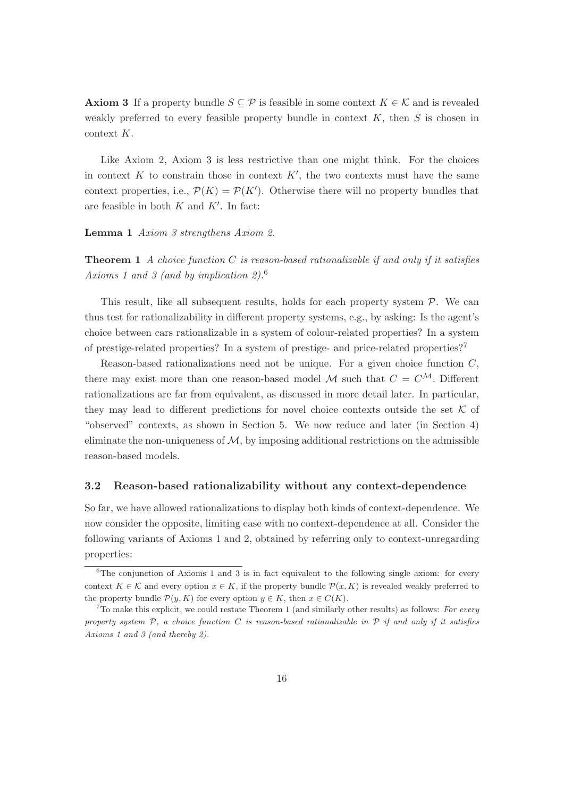**Axiom 3** If a property bundle  $S \subseteq \mathcal{P}$  is feasible in some context  $K \in \mathcal{K}$  and is revealed weakly preferred to every feasible property bundle in context  $K$ , then  $S$  is chosen in context K.

Like Axiom 2, Axiom 3 is less restrictive than one might think. For the choices in context  $K$  to constrain those in context  $K'$ , the two contexts must have the same context properties, i.e.,  $\mathcal{P}(K) = \mathcal{P}(K')$ . Otherwise there will no property bundles that are feasible in both  $K$  and  $K'$ . In fact:

Lemma 1 Axiom 3 strengthens Axiom 2.

**Theorem 1** A choice function C is reason-based rationalizable if and only if it satisfies Axioms 1 and 3 (and by implication 2).<sup>6</sup>

This result, like all subsequent results, holds for each property system  $P$ . We can thus test for rationalizability in different property systems, e.g., by asking: Is the agent's choice between cars rationalizable in a system of colour-related properties? In a system of prestige-related properties? In a system of prestige- and price-related properties?<sup>7</sup>

Reason-based rationalizations need not be unique. For a given choice function  $C$ , there may exist more than one reason-based model M such that  $C = C^{\mathcal{M}}$ . Different rationalizations are far from equivalent, as discussed in more detail later. In particular, they may lead to different predictions for novel choice contexts outside the set  $K$  of "observed" contexts, as shown in Section 5. We now reduce and later (in Section 4) eliminate the non-uniqueness of  $M$ , by imposing additional restrictions on the admissible reason-based models.

#### 3.2 Reason-based rationalizability without any context-dependence

So far, we have allowed rationalizations to display both kinds of context-dependence. We now consider the opposite, limiting case with no context-dependence at all. Consider the following variants of Axioms 1 and 2, obtained by referring only to context-unregarding properties:

 $6$ The conjunction of Axioms 1 and 3 is in fact equivalent to the following single axiom: for every context  $K \in \mathcal{K}$  and every option  $x \in K$ , if the property bundle  $\mathcal{P}(x, K)$  is revealed weakly preferred to the property bundle  $\mathcal{P}(y, K)$  for every option  $y \in K$ , then  $x \in C(K)$ .

 $7$ To make this explicit, we could restate Theorem 1 (and similarly other results) as follows: For every property system  $P$ , a choice function C is reason-based rationalizable in  $P$  if and only if it satisfies Axioms 1 and 3 (and thereby 2).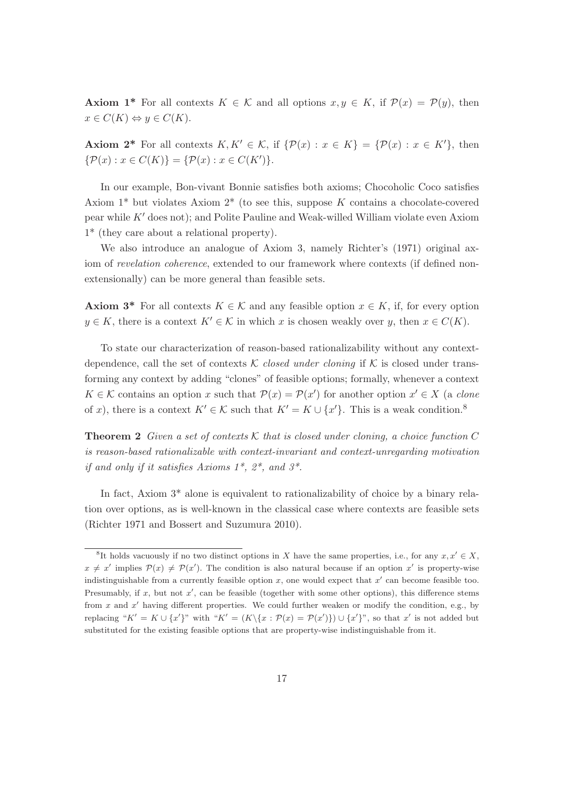**Axiom 1<sup>\*</sup>** For all contexts  $K \in \mathcal{K}$  and all options  $x, y \in K$ , if  $\mathcal{P}(x) = \mathcal{P}(y)$ , then  $x \in C(K) \Leftrightarrow y \in C(K).$ 

**Axiom 2<sup>\*</sup>** For all contexts  $K, K' \in \mathcal{K}$ , if  $\{\mathcal{P}(x) : x \in K\} = \{\mathcal{P}(x) : x \in K'\}$ , then  $\{\mathcal{P}(x) : x \in C(K)\} = \{\mathcal{P}(x) : x \in C(K')\}.$ 

In our example, Bon-vivant Bonnie satisfies both axioms; Chocoholic Coco satisfies Axiom 1\* but violates Axiom 2\* (to see this, suppose K contains a chocolate-covered pear while K′ does not); and Polite Pauline and Weak-willed William violate even Axiom 1\* (they care about a relational property).

We also introduce an analogue of Axiom 3, namely Richter's (1971) original axiom of revelation coherence, extended to our framework where contexts (if defined nonextensionally) can be more general than feasible sets.

**Axiom 3<sup>\*</sup>** For all contexts  $K \in \mathcal{K}$  and any feasible option  $x \in K$ , if, for every option  $y \in K$ , there is a context  $K' \in \mathcal{K}$  in which x is chosen weakly over y, then  $x \in C(K)$ .

To state our characterization of reason-based rationalizability without any contextdependence, call the set of contexts K closed under cloning if K is closed under transforming any context by adding "clones" of feasible options; formally, whenever a context  $K \in \mathcal{K}$  contains an option x such that  $\mathcal{P}(x) = \mathcal{P}(x')$  for another option  $x' \in X$  (a clone of x), there is a context  $K' \in \mathcal{K}$  such that  $K' = K \cup \{x'\}$ . This is a weak condition.<sup>8</sup>

**Theorem 2** Given a set of contexts K that is closed under cloning, a choice function C is reason-based rationalizable with context-invariant and context-unregarding motivation if and only if it satisfies Axioms  $1^*$ ,  $2^*$ , and  $3^*$ .

In fact, Axiom 3\* alone is equivalent to rationalizability of choice by a binary relation over options, as is well-known in the classical case where contexts are feasible sets (Richter 1971 and Bossert and Suzumura 2010).

<sup>&</sup>lt;sup>8</sup>It holds vacuously if no two distinct options in X have the same properties, i.e., for any  $x, x' \in X$ ,  $x \neq x'$  implies  $\mathcal{P}(x) \neq \mathcal{P}(x')$ . The condition is also natural because if an option x' is property-wise indistinguishable from a currently feasible option  $x$ , one would expect that  $x'$  can become feasible too. Presumably, if  $x$ , but not  $x'$ , can be feasible (together with some other options), this difference stems from  $x$  and  $x'$  having different properties. We could further weaken or modify the condition, e.g., by replacing " $K' = K \cup \{x'\}$ " with " $K' = (K \setminus \{x : \mathcal{P}(x) = \mathcal{P}(x')\}) \cup \{x'\}$ ", so that x' is not added but substituted for the existing feasible options that are property-wise indistinguishable from it.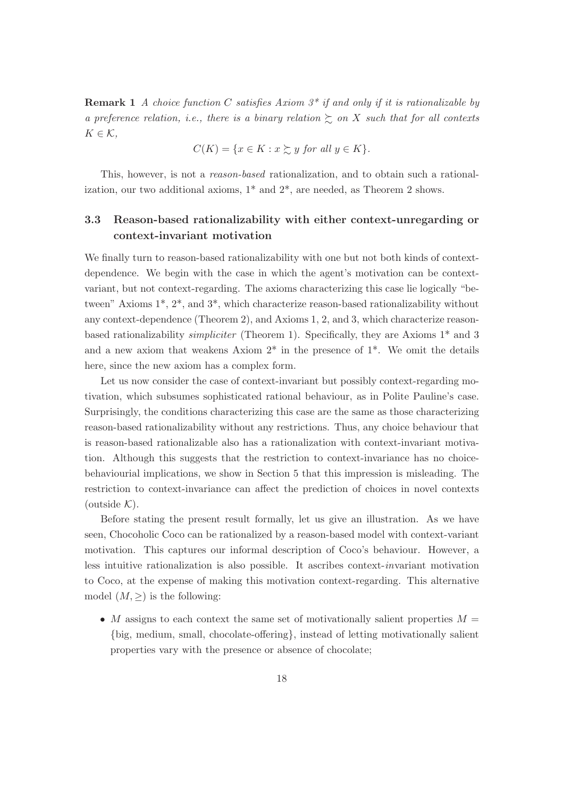**Remark 1** A choice function C satisfies Axiom  $3^*$  if and only if it is rationalizable by a preference relation, i.e., there is a binary relation  $\gtrsim$  on X such that for all contexts  $K \in \mathcal{K}$ ,

$$
C(K) = \{ x \in K : x \succsim y \text{ for all } y \in K \}.
$$

This, however, is not a reason-based rationalization, and to obtain such a rationalization, our two additional axioms,  $1^*$  and  $2^*$ , are needed, as Theorem 2 shows.

### 3.3 Reason-based rationalizability with either context-unregarding or context-invariant motivation

We finally turn to reason-based rationalizability with one but not both kinds of contextdependence. We begin with the case in which the agent's motivation can be contextvariant, but not context-regarding. The axioms characterizing this case lie logically "between" Axioms 1\*, 2\*, and 3\*, which characterize reason-based rationalizability without any context-dependence (Theorem 2), and Axioms 1, 2, and 3, which characterize reasonbased rationalizability simpliciter (Theorem 1). Specifically, they are Axioms 1\* and 3 and a new axiom that weakens Axiom  $2^*$  in the presence of  $1^*$ . We omit the details here, since the new axiom has a complex form.

Let us now consider the case of context-invariant but possibly context-regarding motivation, which subsumes sophisticated rational behaviour, as in Polite Pauline's case. Surprisingly, the conditions characterizing this case are the same as those characterizing reason-based rationalizability without any restrictions. Thus, any choice behaviour that is reason-based rationalizable also has a rationalization with context-invariant motivation. Although this suggests that the restriction to context-invariance has no choicebehaviourial implications, we show in Section 5 that this impression is misleading. The restriction to context-invariance can affect the prediction of choices in novel contexts (outside  $K$ ).

Before stating the present result formally, let us give an illustration. As we have seen, Chocoholic Coco can be rationalized by a reason-based model with context-variant motivation. This captures our informal description of Coco's behaviour. However, a less intuitive rationalization is also possible. It ascribes context-invariant motivation to Coco, at the expense of making this motivation context-regarding. This alternative model  $(M, \geq)$  is the following:

• M assigns to each context the same set of motivationally salient properties  $M =$ {big, medium, small, chocolate-offering}, instead of letting motivationally salient properties vary with the presence or absence of chocolate;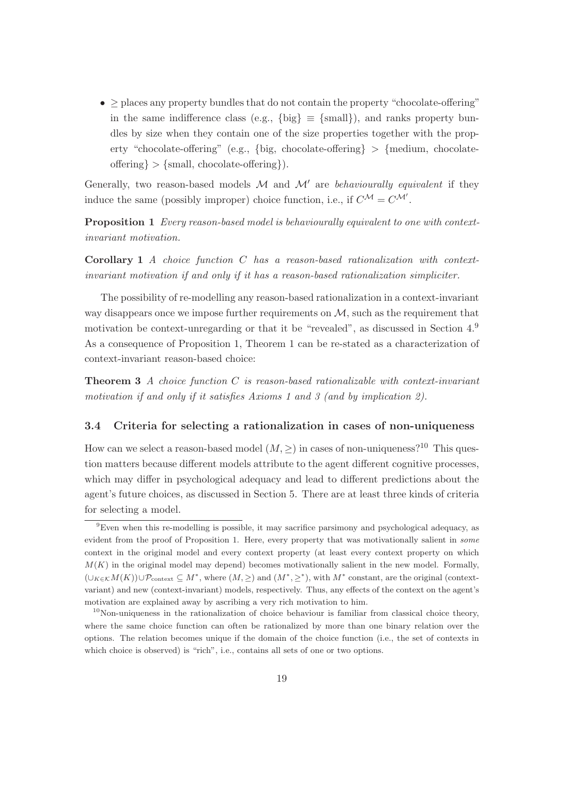•  $\geq$  places any property bundles that do not contain the property "chocolate-offering" in the same indifference class (e.g., {big}  $\equiv$  {small}), and ranks property bundles by size when they contain one of the size properties together with the property "chocolate-offering" (e.g., {big, chocolate-offering}  $>$  {medium, chocolateoffering  $\{\text{small}, \text{ chocolate-offering}\}\)$ .

Generally, two reason-based models  $M$  and  $M'$  are behaviourally equivalent if they induce the same (possibly improper) choice function, i.e., if  $C^{\mathcal{M}} = C^{\mathcal{M}'}$ .

Proposition 1 Every reason-based model is behaviourally equivalent to one with contextinvariant motivation.

**Corollary 1** A choice function  $C$  has a reason-based rationalization with contextinvariant motivation if and only if it has a reason-based rationalization simpliciter.

The possibility of re-modelling any reason-based rationalization in a context-invariant way disappears once we impose further requirements on  $M$ , such as the requirement that motivation be context-unregarding or that it be "revealed", as discussed in Section 4.<sup>9</sup> As a consequence of Proposition 1, Theorem 1 can be re-stated as a characterization of context-invariant reason-based choice:

**Theorem 3** A choice function  $C$  is reason-based rationalizable with context-invariant motivation if and only if it satisfies Axioms 1 and 3 (and by implication 2).

### 3.4 Criteria for selecting a rationalization in cases of non-uniqueness

How can we select a reason-based model  $(M, >)$  in cases of non-uniqueness?<sup>10</sup> This question matters because different models attribute to the agent different cognitive processes, which may differ in psychological adequacy and lead to different predictions about the agent's future choices, as discussed in Section 5. There are at least three kinds of criteria for selecting a model.

<sup>9</sup>Even when this re-modelling is possible, it may sacrifice parsimony and psychological adequacy, as evident from the proof of Proposition 1. Here, every property that was motivationally salient in some context in the original model and every context property (at least every context property on which  $M(K)$  in the original model may depend) becomes motivationally salient in the new model. Formally,  $(\cup_{K\in\mathcal{K}}M(K))\cup\mathcal{P}_{\text{context}}\subseteq M^*$ , where  $(M,\geq)$  and  $(M^*,\geq^*)$ , with  $M^*$  constant, are the original (contextvariant) and new (context-invariant) models, respectively. Thus, any effects of the context on the agent's motivation are explained away by ascribing a very rich motivation to him.

 $10$ Non-uniqueness in the rationalization of choice behaviour is familiar from classical choice theory, where the same choice function can often be rationalized by more than one binary relation over the options. The relation becomes unique if the domain of the choice function (i.e., the set of contexts in which choice is observed) is "rich", i.e., contains all sets of one or two options.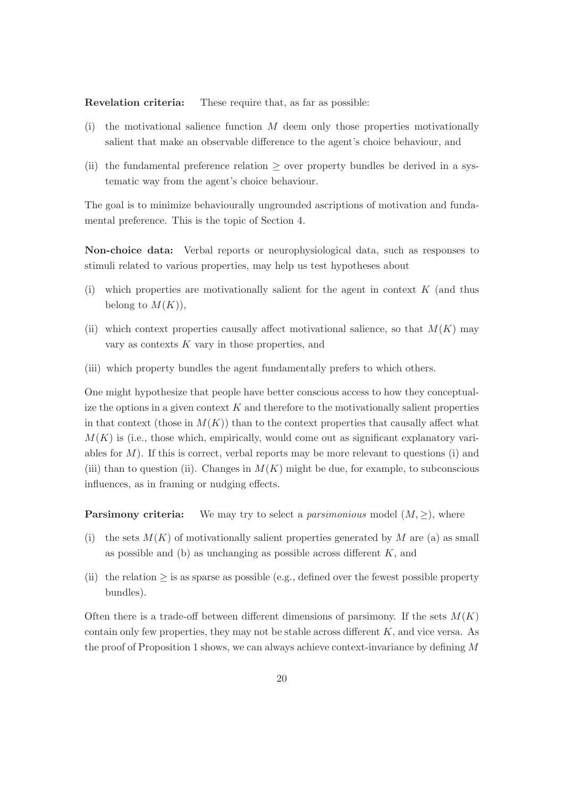Revelation criteria: These require that, as far as possible:

- (i) the motivational salience function  $M$  deem only those properties motivationally salient that make an observable difference to the agent's choice behaviour, and
- (ii) the fundamental preference relation  $\geq$  over property bundles be derived in a systematic way from the agent's choice behaviour.

The goal is to minimize behaviourally ungrounded ascriptions of motivation and fundamental preference. This is the topic of Section 4.

Non-choice data: Verbal reports or neurophysiological data, such as responses to stimuli related to various properties, may help us test hypotheses about

- $(i)$  which properties are motivationally salient for the agent in context  $K$  (and thus belong to  $M(K)$ ),
- (ii) which context properties causally affect motivational salience, so that  $M(K)$  may vary as contexts  $K$  vary in those properties, and
- (iii) which property bundles the agent fundamentally prefers to which others.

One might hypothesize that people have better conscious access to how they conceptualize the options in a given context  $K$  and therefore to the motivationally salient properties in that context (those in  $M(K)$ ) than to the context properties that causally affect what  $M(K)$  is (i.e., those which, empirically, would come out as significant explanatory variables for  $M$ ). If this is correct, verbal reports may be more relevant to questions (i) and (iii) than to question (ii). Changes in  $M(K)$  might be due, for example, to subconscious influences, as in framing or nudging effects.

**Parsimony criteria:** We may try to select a *parsimonious* model  $(M, \geq)$ , where

- (i) the sets  $M(K)$  of motivationally salient properties generated by M are (a) as small as possible and (b) as unchanging as possible across different  $K$ , and
- (ii) the relation  $\geq$  is as sparse as possible (e.g., defined over the fewest possible property bundles).

Often there is a trade-off between different dimensions of parsimony. If the sets  $M(K)$ contain only few properties, they may not be stable across different  $K$ , and vice versa. As the proof of Proposition 1 shows, we can always achieve context-invariance by defining M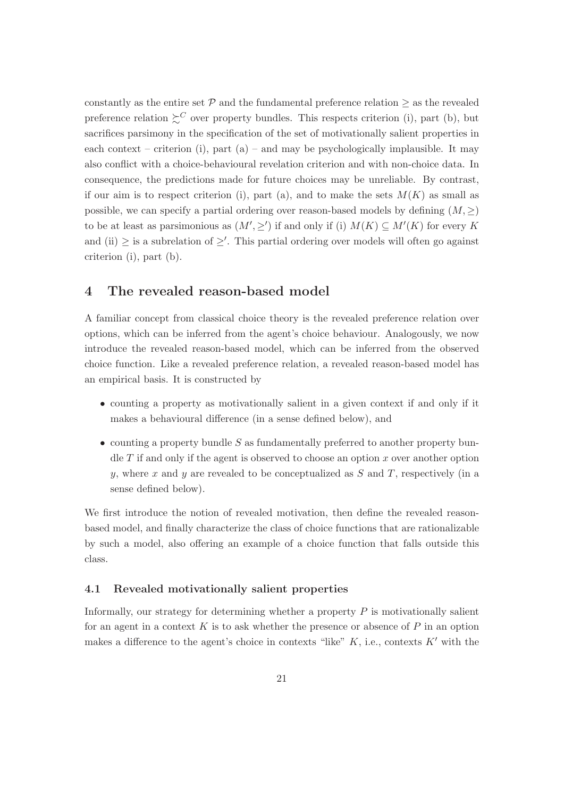constantly as the entire set  $P$  and the fundamental preference relation  $\geq$  as the revealed preference relation  $\succeq^C$  over property bundles. This respects criterion (i), part (b), but sacrifices parsimony in the specification of the set of motivationally salient properties in each context – criterion (i), part (a) – and may be psychologically implausible. It may also conflict with a choice-behavioural revelation criterion and with non-choice data. In consequence, the predictions made for future choices may be unreliable. By contrast, if our aim is to respect criterion (i), part (a), and to make the sets  $M(K)$  as small as possible, we can specify a partial ordering over reason-based models by defining  $(M, \geq)$ to be at least as parsimonious as  $(M', \geq')$  if and only if (i)  $M(K) \subseteq M'(K)$  for every K and (ii)  $\geq$  is a subrelation of  $\geq'$ . This partial ordering over models will often go against criterion (i), part (b).

### 4 The revealed reason-based model

A familiar concept from classical choice theory is the revealed preference relation over options, which can be inferred from the agent's choice behaviour. Analogously, we now introduce the revealed reason-based model, which can be inferred from the observed choice function. Like a revealed preference relation, a revealed reason-based model has an empirical basis. It is constructed by

- counting a property as motivationally salient in a given context if and only if it makes a behavioural difference (in a sense defined below), and
- counting a property bundle  $S$  as fundamentally preferred to another property bundle  $T$  if and only if the agent is observed to choose an option  $x$  over another option y, where x and y are revealed to be conceptualized as  $S$  and  $T$ , respectively (in a sense defined below).

We first introduce the notion of revealed motivation, then define the revealed reasonbased model, and finally characterize the class of choice functions that are rationalizable by such a model, also offering an example of a choice function that falls outside this class.

### 4.1 Revealed motivationally salient properties

Informally, our strategy for determining whether a property  $P$  is motivationally salient for an agent in a context K is to ask whether the presence or absence of P in an option makes a difference to the agent's choice in contexts "like"  $K$ , i.e., contexts  $K'$  with the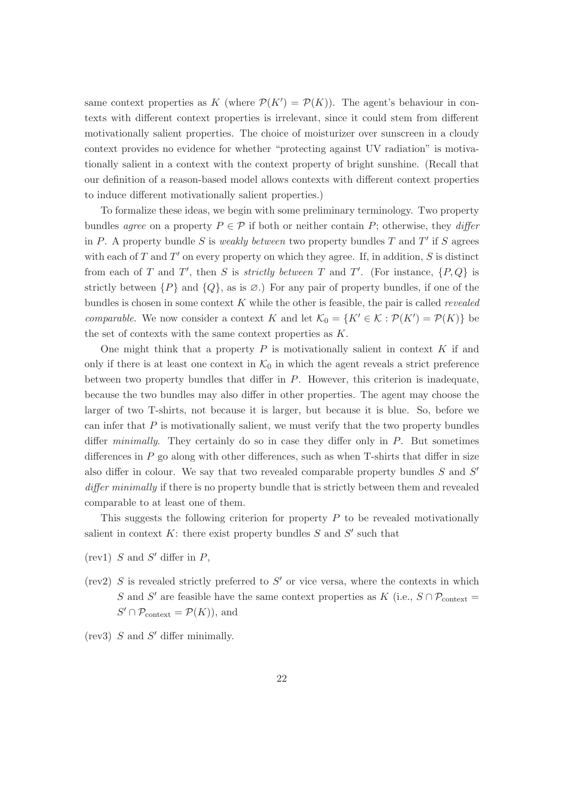same context properties as K (where  $\mathcal{P}(K') = \mathcal{P}(K)$ ). The agent's behaviour in contexts with different context properties is irrelevant, since it could stem from different motivationally salient properties. The choice of moisturizer over sunscreen in a cloudy context provides no evidence for whether "protecting against UV radiation" is motivationally salient in a context with the context property of bright sunshine. (Recall that our definition of a reason-based model allows contexts with different context properties to induce different motivationally salient properties.)

To formalize these ideas, we begin with some preliminary terminology. Two property bundles agree on a property  $P \in \mathcal{P}$  if both or neither contain P; otherwise, they differ in P. A property bundle S is weakly between two property bundles T and T' if S agrees with each of  $T$  and  $T'$  on every property on which they agree. If, in addition,  $S$  is distinct from each of T and T', then S is strictly between T and T'. (For instance,  $\{P, Q\}$  is strictly between  $\{P\}$  and  $\{Q\}$ , as is  $\emptyset$ .) For any pair of property bundles, if one of the bundles is chosen in some context  $K$  while the other is feasible, the pair is called *revealed comparable.* We now consider a context K and let  $\mathcal{K}_0 = \{K' \in \mathcal{K} : \mathcal{P}(K') = \mathcal{P}(K)\}\)$ the set of contexts with the same context properties as K.

One might think that a property  $P$  is motivationally salient in context  $K$  if and only if there is at least one context in  $\mathcal{K}_0$  in which the agent reveals a strict preference between two property bundles that differ in P. However, this criterion is inadequate, because the two bundles may also differ in other properties. The agent may choose the larger of two T-shirts, not because it is larger, but because it is blue. So, before we can infer that  $P$  is motivationally salient, we must verify that the two property bundles differ *minimally*. They certainly do so in case they differ only in  $P$ . But sometimes differences in  $P$  go along with other differences, such as when T-shirts that differ in size also differ in colour. We say that two revealed comparable property bundles  $S$  and  $S'$ differ minimally if there is no property bundle that is strictly between them and revealed comparable to at least one of them.

This suggests the following criterion for property  $P$  to be revealed motivationally salient in context  $K$ : there exist property bundles  $S$  and  $S'$  such that

- $(\text{rev1})$  S and S' differ in P,
- (rev2)  $S$  is revealed strictly preferred to  $S'$  or vice versa, where the contexts in which S and S' are feasible have the same context properties as K (i.e.,  $S \cap \mathcal{P}_{\text{context}} =$  $S' \cap \mathcal{P}_{\text{context}} = \mathcal{P}(K)$ , and
- $(rev3)$  S and S' differ minimally.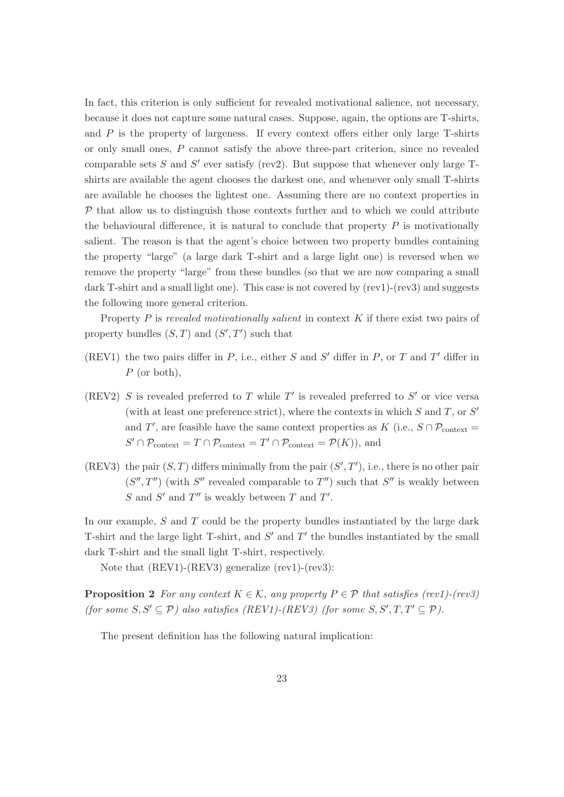In fact, this criterion is only sufficient for revealed motivational salience, not necessary, because it does not capture some natural cases. Suppose, again, the options are T-shirts, and  $P$  is the property of largeness. If every context offers either only large  $T$ -shirts or only small ones, P cannot satisfy the above three-part criterion, since no revealed comparable sets  $S$  and  $S'$  ever satisfy (rev2). But suppose that whenever only large Tshirts are available the agent chooses the darkest one, and whenever only small T-shirts are available he chooses the lightest one. Assuming there are no context properties in  $P$  that allow us to distinguish those contexts further and to which we could attribute the behavioural difference, it is natural to conclude that property  $P$  is motivationally salient. The reason is that the agent's choice between two property bundles containing the property "large" (a large dark T-shirt and a large light one) is reversed when we remove the property "large" from these bundles (so that we are now comparing a small dark T-shirt and a small light one). This case is not covered by (rev1)-(rev3) and suggests the following more general criterion.

Property  $P$  is revealed motivationally salient in context  $K$  if there exist two pairs of property bundles  $(S, T)$  and  $(S', T')$  such that

- (REV1) the two pairs differ in  $P$ , i.e., either  $S$  and  $S'$  differ in  $P$ , or  $T$  and  $T'$  differ in P (or both),
- (REV2) S is revealed preferred to T while  $T'$  is revealed preferred to S' or vice versa (with at least one preference strict), where the contexts in which  $S$  and  $T$ , or  $S'$ and T', are feasible have the same context properties as K (i.e.,  $S \cap \mathcal{P}_{\text{context}} =$  $S' \cap \mathcal{P}_{\text{context}} = T \cap \mathcal{P}_{\text{context}} = T' \cap \mathcal{P}_{\text{context}} = \mathcal{P}(K)$ , and
- (REV3) the pair  $(S, T)$  differs minimally from the pair  $(S', T')$ , i.e., there is no other pair  $(S'', T'')$  (with S'' revealed comparable to  $T'$ ) such that S'' is weakly between S and S' and  $T''$  is weakly between T and T'.

In our example,  $S$  and  $T$  could be the property bundles instantiated by the large dark T-shirt and the large light T-shirt, and  $S'$  and  $T'$  the bundles instantiated by the small dark T-shirt and the small light T-shirt, respectively.

Note that (REV1)-(REV3) generalize (rev1)-(rev3):

**Proposition 2** For any context  $K \in \mathcal{K}$ , any property  $P \in \mathcal{P}$  that satisfies (rev1)-(rev3) (for some  $S, S' \subseteq \mathcal{P}$ ) also satisfies (REV1)-(REV3) (for some  $S, S', T, T' \subseteq \mathcal{P}$ ).

The present definition has the following natural implication: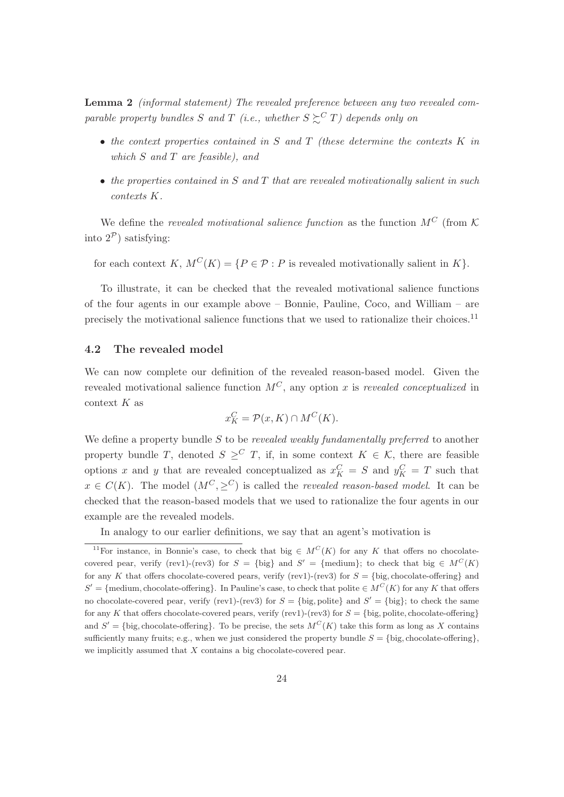Lemma 2 (informal statement) The revealed preference between any two revealed comparable property bundles S and T (i.e., whether  $S \succsim^C T$ ) depends only on

- the context properties contained in  $S$  and  $T$  (these determine the contexts  $K$  in which  $S$  and  $T$  are feasible), and
- $\bullet$  the properties contained in S and T that are revealed motivationally salient in such contexts K.

We define the revealed motivational salience function as the function  $M^C$  (from K. into  $2^{\mathcal{P}}$ ) satisfying:

for each context K,  $M^{C}(K) = \{P \in \mathcal{P} : P \text{ is revealed motivationally salient in } K\}.$ 

To illustrate, it can be checked that the revealed motivational salience functions of the four agents in our example above – Bonnie, Pauline, Coco, and William – are precisely the motivational salience functions that we used to rationalize their choices.<sup>11</sup>

### 4.2 The revealed model

We can now complete our definition of the revealed reason-based model. Given the revealed motivational salience function  $M<sup>C</sup>$ , any option x is revealed conceptualized in context  $K$  as

$$
x_K^C = \mathcal{P}(x, K) \cap M^C(K).
$$

We define a property bundle  $S$  to be revealed weakly fundamentally preferred to another property bundle T, denoted  $S \geq^C T$ , if, in some context  $K \in \mathcal{K}$ , there are feasible options x and y that are revealed conceptualized as  $x_K^C = S$  and  $y_K^C = T$  such that  $x \in C(K)$ . The model  $(M^C, \geq^C)$  is called the *revealed reason-based model*. It can be checked that the reason-based models that we used to rationalize the four agents in our example are the revealed models.

In analogy to our earlier definitions, we say that an agent's motivation is

<sup>&</sup>lt;sup>11</sup>For instance, in Bonnie's case, to check that big  $\in M^C(K)$  for any K that offers no chocolatecovered pear, verify (rev1)-(rev3) for  $S = \{\text{big}\}$  and  $S' = \{\text{medium}\};$  to check that big  $\in M^C(K)$ for any K that offers chocolate-covered pears, verify (rev1)-(rev3) for  $S = \{\text{big, chocolate-offering}\}$  and  $S' = \{$ medium, chocolate-offering $\}$ . In Pauline's case, to check that polite  $\in M^C(K)$  for any K that offers no chocolate-covered pear, verify (rev1)-(rev3) for  $S = \{\text{big}, \text{policy}\}$  and  $S' = \{\text{big}\}$ ; to check the same for any K that offers chocolate-covered pears, verify (rev1)-(rev3) for  $S = \{\text{big}, \text{policy}, \text{choice}, \text{ordering}\}$ and  $S' = \{\text{big}, \text{choose-offering}\}.$  To be precise, the sets  $M^C(K)$  take this form as long as X contains sufficiently many fruits; e.g., when we just considered the property bundle  $S = \{\text{big}, \text{choose-othering}\},$ we implicitly assumed that  $X$  contains a big chocolate-covered pear.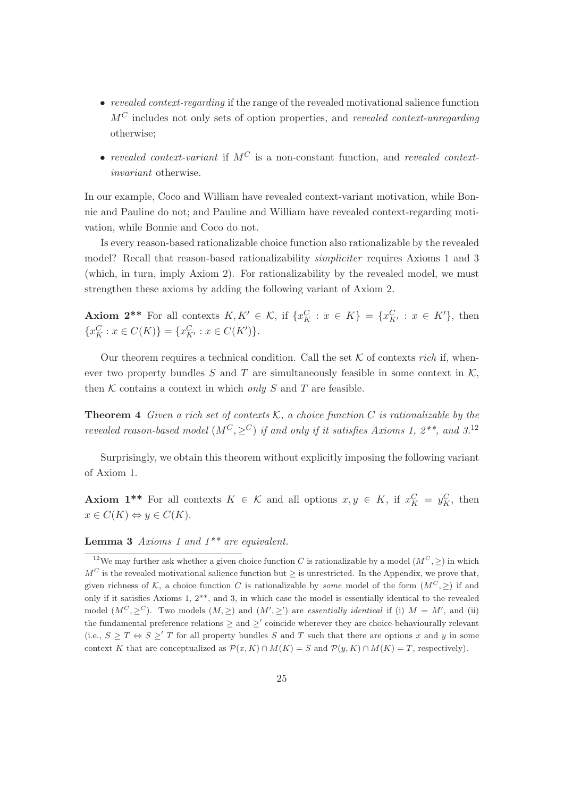- revealed context-regarding if the range of the revealed motivational salience function  $M<sup>C</sup>$  includes not only sets of option properties, and revealed context-unregarding otherwise;
- revealed context-variant if  $M^C$  is a non-constant function, and revealed contextinvariant otherwise.

In our example, Coco and William have revealed context-variant motivation, while Bonnie and Pauline do not; and Pauline and William have revealed context-regarding motivation, while Bonnie and Coco do not.

Is every reason-based rationalizable choice function also rationalizable by the revealed model? Recall that reason-based rationalizability *simpliciter* requires Axioms 1 and 3 (which, in turn, imply Axiom 2). For rationalizability by the revealed model, we must strengthen these axioms by adding the following variant of Axiom 2.

**Axiom 2\*\*** For all contexts  $K, K' \in \mathcal{K}$ , if  $\{x_K^C : x \in K\} = \{x_{K'}^C : x \in K'\}$ , then  ${x_K^C : x \in C(K)} = {x_{K'}^C : x \in C(K')}$ .

Our theorem requires a technical condition. Call the set  $K$  of contexts rich if, whenever two property bundles S and T are simultaneously feasible in some context in  $K$ , then  $K$  contains a context in which only  $S$  and  $T$  are feasible.

**Theorem 4** Given a rich set of contexts K, a choice function C is rationalizable by the revealed reason-based model  $(M^C, \geq^C)$  if and only if it satisfies Axioms 1,  $2^{**}$ , and  $3^{12}$ 

Surprisingly, we obtain this theorem without explicitly imposing the following variant of Axiom 1.

**Axiom 1\*\*** For all contexts  $K \in \mathcal{K}$  and all options  $x, y \in K$ , if  $x_K^C = y_K^C$ , then  $x \in C(K) \Leftrightarrow y \in C(K).$ 

**Lemma 3** Axioms 1 and  $1^{**}$  are equivalent.

<sup>&</sup>lt;sup>12</sup>We may further ask whether a given choice function C is rationalizable by a model  $(M^C,>)$  in which  $M<sup>C</sup>$  is the revealed motivational salience function but  $\geq$  is unrestricted. In the Appendix, we prove that, given richness of K, a choice function C is rationalizable by *some* model of the form  $(M^C,>)$  if and only if it satisfies Axioms 1,  $2^{**}$ , and 3, in which case the model is essentially identical to the revealed model  $(M^C, \geq^C)$ . Two models  $(M, \geq)$  and  $(M', \geq')$  are *essentially identical* if (i)  $M = M'$ , and (ii) the fundamental preference relations  $\geq$  and  $\geq'$  coincide wherever they are choice-behaviourally relevant (i.e.,  $S \geq T \Leftrightarrow S \geq T$  for all property bundles S and T such that there are options x and y in some context K that are conceptualized as  $\mathcal{P}(x, K) \cap M(K) = S$  and  $\mathcal{P}(y, K) \cap M(K) = T$ , respectively).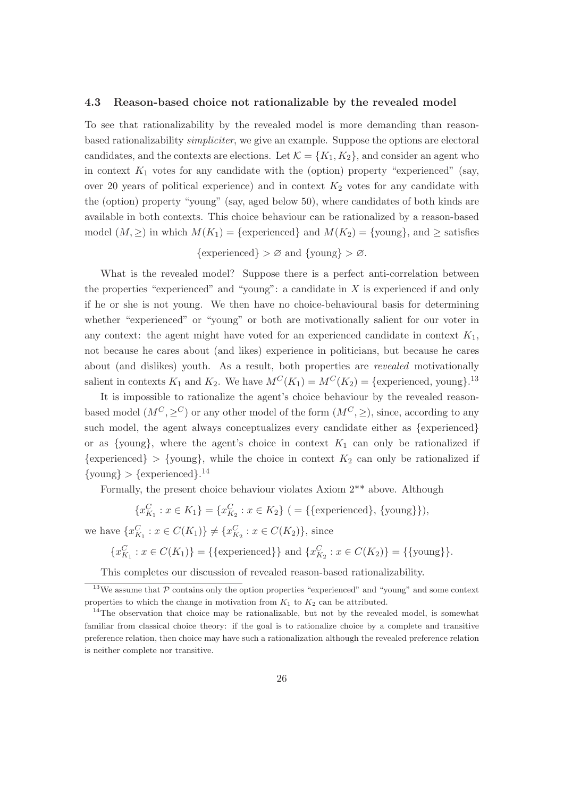#### 4.3 Reason-based choice not rationalizable by the revealed model

To see that rationalizability by the revealed model is more demanding than reasonbased rationalizability simpliciter, we give an example. Suppose the options are electoral candidates, and the contexts are elections. Let  $\mathcal{K} = \{K_1, K_2\}$ , and consider an agent who in context  $K_1$  votes for any candidate with the (option) property "experienced" (say, over 20 years of political experience) and in context  $K_2$  votes for any candidate with the (option) property "young" (say, aged below 50), where candidates of both kinds are available in both contexts. This choice behaviour can be rationalized by a reason-based model  $(M, \geq)$  in which  $M(K_1) = \{$  experienced} and  $M(K_2) = \{$ young}, and  $\geq$  satisfies

 $\{ \text{experimental} \} > \varnothing \text{ and } \{ \text{young} \} > \varnothing.$ 

What is the revealed model? Suppose there is a perfect anti-correlation between the properties "experienced" and "young": a candidate in  $X$  is experienced if and only if he or she is not young. We then have no choice-behavioural basis for determining whether "experienced" or "young" or both are motivationally salient for our voter in any context: the agent might have voted for an experienced candidate in context  $K_1$ , not because he cares about (and likes) experience in politicians, but because he cares about (and dislikes) youth. As a result, both properties are revealed motivationally salient in contexts  $K_1$  and  $K_2$ . We have  $M^C(K_1) = M^C(K_2) = \{$  experienced, young $\}$ .<sup>13</sup>

It is impossible to rationalize the agent's choice behaviour by the revealed reasonbased model  $(M^C, \geq^C)$  or any other model of the form  $(M^C, \geq)$ , since, according to any such model, the agent always conceptualizes every candidate either as {experienced} or as {young}, where the agent's choice in context  $K_1$  can only be rationalized if  $\{ \text{experiences} \} > \{ \text{young} \}$ , while the choice in context  $K_2$  can only be rationalized if  $\{\text{young}\} > {\text{experienced}}$ .<sup>14</sup>

Formally, the present choice behaviour violates Axiom 2\*\* above. Although

$$
\{x_{K_1}^C : x \in K_1\} = \{x_{K_2}^C : x \in K_2\} \ ( = \{\{\text{experimental}\}, \{\text{young}\}\}),
$$

we have  $\{x_{K_1}^C : x \in C(K_1)\} \neq \{x_{K_2}^C : x \in C(K_2)\}\$ , since

 ${x_{K_1}^C : x \in C(K_1)} = {\text{ } \{\text{experimental} \} \text{ and } {x_{K_2}^C : x \in C(K_2)} = {\text{ } \{\text{young} \} \}.$ 

This completes our discussion of revealed reason-based rationalizability.

 $13$ We assume that  $P$  contains only the option properties "experienced" and "young" and some context properties to which the change in motivation from  $K_1$  to  $K_2$  can be attributed.

<sup>&</sup>lt;sup>14</sup>The observation that choice may be rationalizable, but not by the revealed model, is somewhat familiar from classical choice theory: if the goal is to rationalize choice by a complete and transitive preference relation, then choice may have such a rationalization although the revealed preference relation is neither complete nor transitive.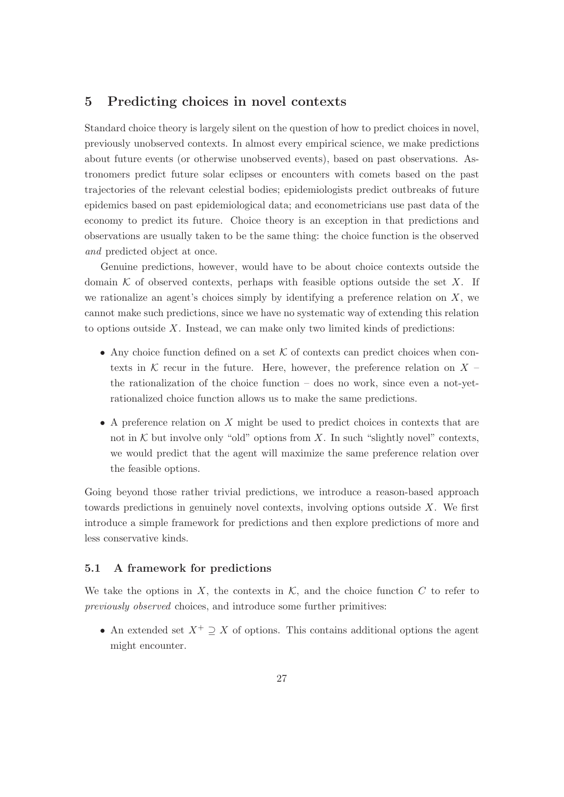### 5 Predicting choices in novel contexts

Standard choice theory is largely silent on the question of how to predict choices in novel, previously unobserved contexts. In almost every empirical science, we make predictions about future events (or otherwise unobserved events), based on past observations. Astronomers predict future solar eclipses or encounters with comets based on the past trajectories of the relevant celestial bodies; epidemiologists predict outbreaks of future epidemics based on past epidemiological data; and econometricians use past data of the economy to predict its future. Choice theory is an exception in that predictions and observations are usually taken to be the same thing: the choice function is the observed and predicted object at once.

Genuine predictions, however, would have to be about choice contexts outside the domain  $K$  of observed contexts, perhaps with feasible options outside the set X. If we rationalize an agent's choices simply by identifying a preference relation on  $X$ , we cannot make such predictions, since we have no systematic way of extending this relation to options outside  $X$ . Instead, we can make only two limited kinds of predictions:

- Any choice function defined on a set  $K$  of contexts can predict choices when contexts in K recur in the future. Here, however, the preference relation on  $X$ the rationalization of the choice function – does no work, since even a not-yetrationalized choice function allows us to make the same predictions.
- $\bullet$  A preference relation on X might be used to predict choices in contexts that are not in  $K$  but involve only "old" options from X. In such "slightly novel" contexts, we would predict that the agent will maximize the same preference relation over the feasible options.

Going beyond those rather trivial predictions, we introduce a reason-based approach towards predictions in genuinely novel contexts, involving options outside X. We first introduce a simple framework for predictions and then explore predictions of more and less conservative kinds.

### 5.1 A framework for predictions

We take the options in X, the contexts in  $K$ , and the choice function  $C$  to refer to previously observed choices, and introduce some further primitives:

• An extended set  $X^+ \supseteq X$  of options. This contains additional options the agent might encounter.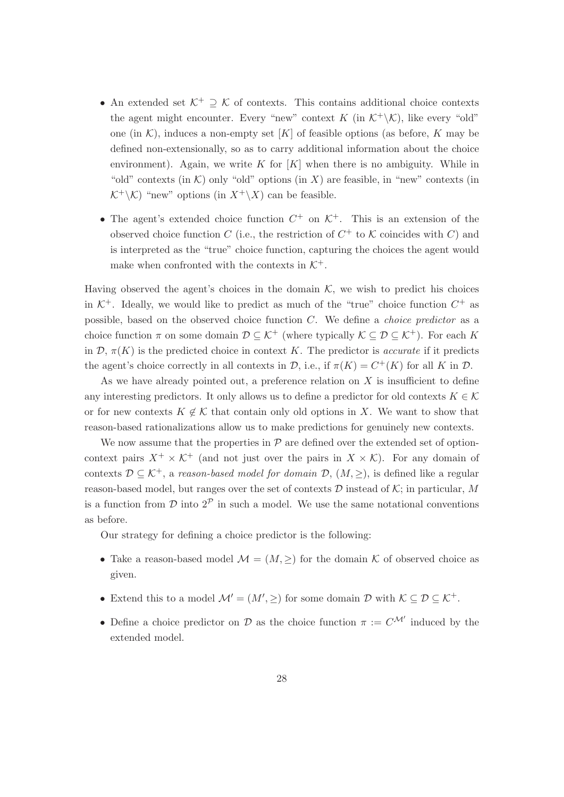- An extended set  $\mathcal{K}^+ \supset \mathcal{K}$  of contexts. This contains additional choice contexts the agent might encounter. Every "new" context K (in  $K^+\setminus\mathcal{K}$ ), like every "old" one (in  $\mathcal{K}$ ), induces a non-empty set [K] of feasible options (as before, K may be defined non-extensionally, so as to carry additional information about the choice environment). Again, we write K for  $[K]$  when there is no ambiguity. While in "old" contexts (in  $\mathcal{K}$ ) only "old" options (in X) are feasible, in "new" contexts (in  $\mathcal{K}^+\backslash\mathcal{K}$ ) "new" options (in  $X^+\backslash X$ ) can be feasible.
- The agent's extended choice function  $C^+$  on  $\mathcal{K}^+$ . This is an extension of the observed choice function C (i.e., the restriction of  $C^+$  to K coincides with C) and is interpreted as the "true" choice function, capturing the choices the agent would make when confronted with the contexts in  $K^+$ .

Having observed the agent's choices in the domain  $K$ , we wish to predict his choices in  $K^+$ . Ideally, we would like to predict as much of the "true" choice function  $C^+$  as possible, based on the observed choice function C. We define a choice predictor as a choice function  $\pi$  on some domain  $\mathcal{D} \subseteq \mathcal{K}^+$  (where typically  $\mathcal{K} \subseteq \mathcal{D} \subseteq \mathcal{K}^+$ ). For each K in  $\mathcal{D}, \pi(K)$  is the predicted choice in context K. The predictor is *accurate* if it predicts the agent's choice correctly in all contexts in  $\mathcal{D}$ , i.e., if  $\pi(K) = C^+(K)$  for all K in  $\mathcal{D}$ .

As we have already pointed out, a preference relation on  $X$  is insufficient to define any interesting predictors. It only allows us to define a predictor for old contexts  $K \in \mathcal{K}$ or for new contexts  $K \notin \mathcal{K}$  that contain only old options in X. We want to show that reason-based rationalizations allow us to make predictions for genuinely new contexts.

We now assume that the properties in  $P$  are defined over the extended set of optioncontext pairs  $X^+ \times \mathcal{K}^+$  (and not just over the pairs in  $X \times \mathcal{K}$ ). For any domain of contexts  $\mathcal{D} \subseteq \mathcal{K}^+$ , a reason-based model for domain  $\mathcal{D}$ ,  $(M, \geq)$ , is defined like a regular reason-based model, but ranges over the set of contexts  $D$  instead of  $K$ ; in particular, M is a function from  $\mathcal D$  into  $2^{\mathcal P}$  in such a model. We use the same notational conventions as before.

Our strategy for defining a choice predictor is the following:

- Take a reason-based model  $\mathcal{M} = (M, \geq)$  for the domain K of observed choice as given.
- Extend this to a model  $\mathcal{M}' = (M', \geq)$  for some domain  $\mathcal{D}$  with  $\mathcal{K} \subseteq \mathcal{D} \subseteq \mathcal{K}^+$ .
- Define a choice predictor on D as the choice function  $\pi := C^{\mathcal{M}'}$  induced by the extended model.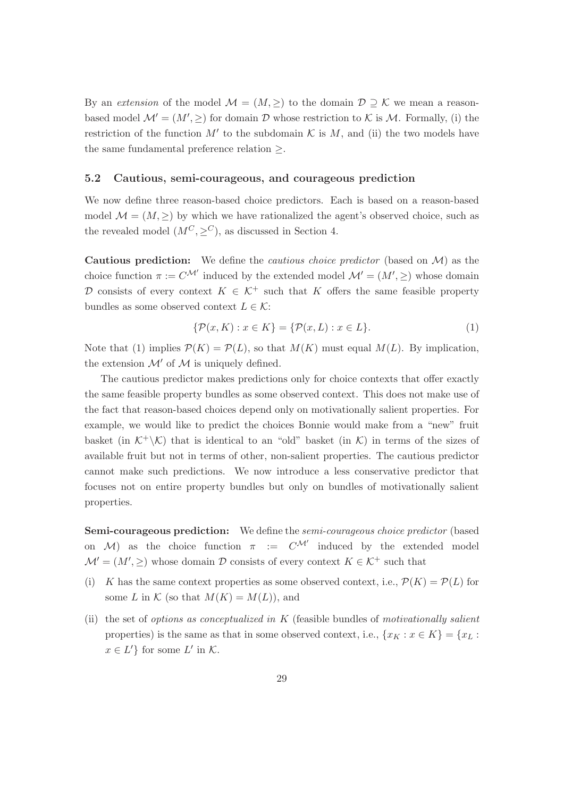By an extension of the model  $\mathcal{M} = (M, \geq)$  to the domain  $\mathcal{D} \supset \mathcal{K}$  we mean a reasonbased model  $\mathcal{M}' = (M', \geq)$  for domain  $\mathcal D$  whose restriction to K is M. Formally, (i) the restriction of the function  $M'$  to the subdomain  $K$  is  $M$ , and (ii) the two models have the same fundamental preference relation  $\geq$ .

#### 5.2 Cautious, semi-courageous, and courageous prediction

We now define three reason-based choice predictors. Each is based on a reason-based model  $\mathcal{M} = (M, \geq)$  by which we have rationalized the agent's observed choice, such as the revealed model  $(M^C, \geq^C)$ , as discussed in Section 4.

**Cautious prediction:** We define the *cautious choice predictor* (based on  $\mathcal{M}$ ) as the choice function  $\pi := C^{\mathcal{M}'}$  induced by the extended model  $\mathcal{M}' = (M', \geq)$  whose domain D consists of every context  $K \in \mathcal{K}^+$  such that K offers the same feasible property bundles as some observed context  $L \in \mathcal{K}$ :

$$
\{\mathcal{P}(x,K) : x \in K\} = \{\mathcal{P}(x,L) : x \in L\}.
$$
 (1)

Note that (1) implies  $\mathcal{P}(K) = \mathcal{P}(L)$ , so that  $M(K)$  must equal  $M(L)$ . By implication, the extension  $\mathcal{M}'$  of  $\mathcal M$  is uniquely defined.

The cautious predictor makes predictions only for choice contexts that offer exactly the same feasible property bundles as some observed context. This does not make use of the fact that reason-based choices depend only on motivationally salient properties. For example, we would like to predict the choices Bonnie would make from a "new" fruit basket (in  $\mathcal{K}^+\backslash\mathcal{K}$ ) that is identical to an "old" basket (in  $\mathcal{K}$ ) in terms of the sizes of available fruit but not in terms of other, non-salient properties. The cautious predictor cannot make such predictions. We now introduce a less conservative predictor that focuses not on entire property bundles but only on bundles of motivationally salient properties.

Semi-courageous prediction: We define the semi-courageous choice predictor (based on M) as the choice function  $\pi$  :=  $C^{\mathcal{M}'}$  induced by the extended model  $\mathcal{M}' = (M', \geq)$  whose domain D consists of every context  $K \in \mathcal{K}^+$  such that

- (i) K has the same context properties as some observed context, i.e.,  $\mathcal{P}(K) = \mathcal{P}(L)$  for some L in K (so that  $M(K) = M(L)$ ), and
- (ii) the set of *options as conceptualized in*  $K$  (feasible bundles of *motivationally salient* properties) is the same as that in some observed context, i.e.,  $\{x_K : x \in K\} = \{x_L :$  $x \in L'$  for some  $L'$  in K.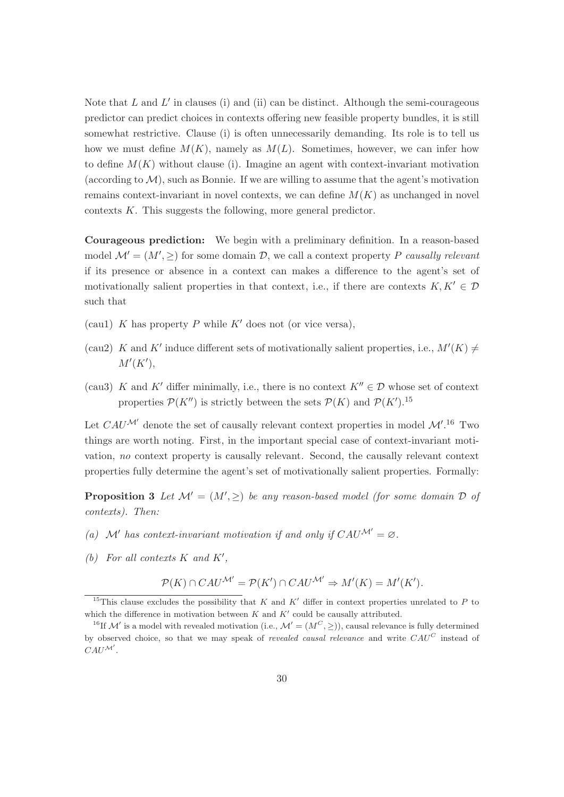Note that  $L$  and  $L'$  in clauses (i) and (ii) can be distinct. Although the semi-courageous predictor can predict choices in contexts offering new feasible property bundles, it is still somewhat restrictive. Clause (i) is often unnecessarily demanding. Its role is to tell us how we must define  $M(K)$ , namely as  $M(L)$ . Sometimes, however, we can infer how to define  $M(K)$  without clause (i). Imagine an agent with context-invariant motivation (according to  $\mathcal{M}$ ), such as Bonnie. If we are willing to assume that the agent's motivation remains context-invariant in novel contexts, we can define  $M(K)$  as unchanged in novel contexts K. This suggests the following, more general predictor.

Courageous prediction: We begin with a preliminary definition. In a reason-based model  $\mathcal{M}' = (M', \geq)$  for some domain  $\mathcal{D}$ , we call a context property P causally relevant if its presence or absence in a context can makes a difference to the agent's set of motivationally salient properties in that context, i.e., if there are contexts  $K, K' \in \mathcal{D}$ such that

- (cau1) K has property P while  $K'$  does not (or vice versa),
- (cau2) K and K' induce different sets of motivationally salient properties, i.e.,  $M'(K) \neq$  $M'(K'),$
- (cau3) K and K' differ minimally, i.e., there is no context  $K'' \in \mathcal{D}$  whose set of context properties  $\mathcal{P}(K'')$  is strictly between the sets  $\mathcal{P}(K)$  and  $\mathcal{P}(K')$ .<sup>15</sup>

Let  $CAU^{\mathcal{M}'}$  denote the set of causally relevant context properties in model  $\mathcal{M}'$ .<sup>16</sup> Two things are worth noting. First, in the important special case of context-invariant motivation, no context property is causally relevant. Second, the causally relevant context properties fully determine the agent's set of motivationally salient properties. Formally:

**Proposition 3** Let  $\mathcal{M}' = (M', \geq)$  be any reason-based model (for some domain  $\mathcal{D}$  of contexts). Then:

- (a) M' has context-invariant motivation if and only if  $CAU^{\mathcal{M}'} = \emptyset$ .
- (b) For all contexts  $K$  and  $K'$ ,

$$
\mathcal{P}(K) \cap CAU^{\mathcal{M}'} = \mathcal{P}(K') \cap CAU^{\mathcal{M}'} \Rightarrow M'(K) = M'(K').
$$

<sup>&</sup>lt;sup>15</sup>This clause excludes the possibility that K and K' differ in context properties unrelated to P to which the difference in motivation between  $K$  and  $K'$  could be causally attributed.

<sup>&</sup>lt;sup>16</sup>If M' is a model with revealed motivation (i.e.,  $\mathcal{M}' = (M^C, \geq)$ ), causal relevance is fully determined by observed choice, so that we may speak of *revealed causal relevance* and write  $CAU<sup>C</sup>$  instead of  $CAU^{\mathcal{M}'}$ .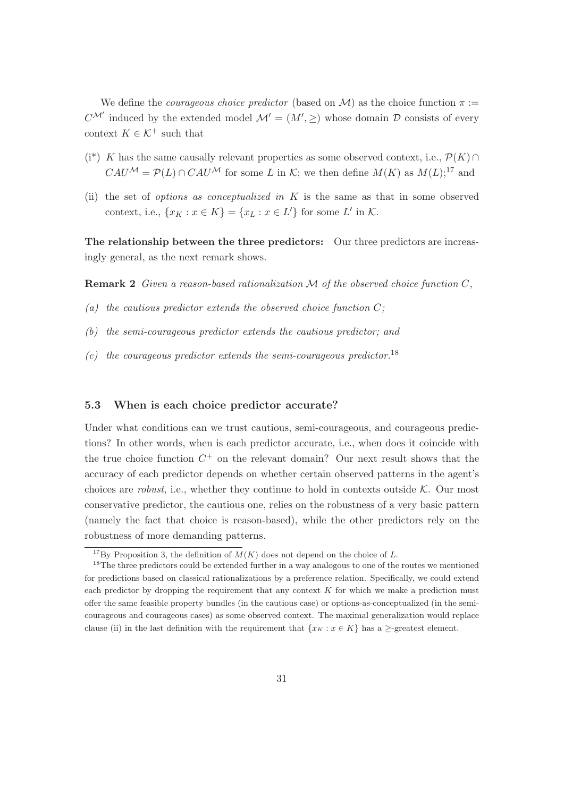We define the *courageous choice predictor* (based on M) as the choice function  $\pi$  :=  $C^{\mathcal{M}'}$  induced by the extended model  $\mathcal{M}' = (M', \geq)$  whose domain  $\mathcal D$  consists of every context  $K \in \mathcal{K}^+$  such that

- $(i^*)$  K has the same causally relevant properties as some observed context, i.e.,  $\mathcal{P}(K) \cap$  $CAU^{\mathcal{M}} = \mathcal{P}(L) \cap CAU^{\mathcal{M}}$  for some L in K; we then define  $M(K)$  as  $M(L):^{17}$  and
- (ii) the set of *options as conceptualized in*  $K$  is the same as that in some observed context, i.e.,  $\{x_K : x \in K\} = \{x_L : x \in L'\}$  for some L' in K.

The relationship between the three predictors: Our three predictors are increasingly general, as the next remark shows.

**Remark 2** Given a reason-based rationalization  $M$  of the observed choice function  $C$ ,

- (a) the cautious predictor extends the observed choice function  $C$ :
- (b) the semi-courageous predictor extends the cautious predictor; and
- (c) the courageous predictor extends the semi-courageous predictor.<sup>18</sup>

#### 5.3 When is each choice predictor accurate?

Under what conditions can we trust cautious, semi-courageous, and courageous predictions? In other words, when is each predictor accurate, i.e., when does it coincide with the true choice function  $C^+$  on the relevant domain? Our next result shows that the accuracy of each predictor depends on whether certain observed patterns in the agent's choices are *robust*, i.e., whether they continue to hold in contexts outside  $K$ . Our most conservative predictor, the cautious one, relies on the robustness of a very basic pattern (namely the fact that choice is reason-based), while the other predictors rely on the robustness of more demanding patterns.

<sup>&</sup>lt;sup>17</sup>By Proposition 3, the definition of  $M(K)$  does not depend on the choice of L.

<sup>&</sup>lt;sup>18</sup>The three predictors could be extended further in a way analogous to one of the routes we mentioned for predictions based on classical rationalizations by a preference relation. Specifically, we could extend each predictor by dropping the requirement that any context  $K$  for which we make a prediction must offer the same feasible property bundles (in the cautious case) or options-as-conceptualized (in the semicourageous and courageous cases) as some observed context. The maximal generalization would replace clause (ii) in the last definition with the requirement that  $\{x_K : x \in K\}$  has a  $\geq$ -greatest element.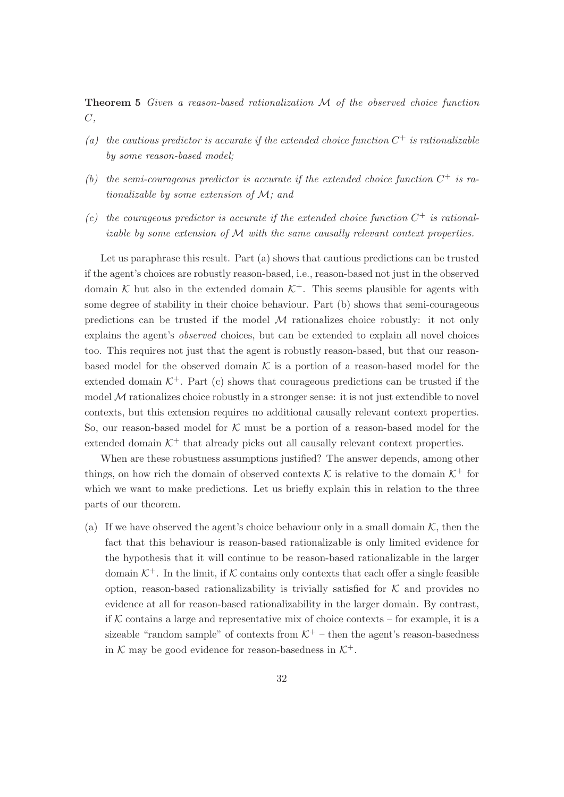Theorem 5 Given a reason-based rationalization M of the observed choice function  $C,$ 

- (a) the cautious predictor is accurate if the extended choice function  $C^+$  is rationalizable by some reason-based model;
- (b) the semi-courageous predictor is accurate if the extended choice function  $C^+$  is rationalizable by some extension of M; and
- (c) the courageous predictor is accurate if the extended choice function  $C^+$  is rationalizable by some extension of M with the same causally relevant context properties.

Let us paraphrase this result. Part (a) shows that cautious predictions can be trusted if the agent's choices are robustly reason-based, i.e., reason-based not just in the observed domain K but also in the extended domain  $K^+$ . This seems plausible for agents with some degree of stability in their choice behaviour. Part (b) shows that semi-courageous predictions can be trusted if the model  $\mathcal M$  rationalizes choice robustly: it not only explains the agent's observed choices, but can be extended to explain all novel choices too. This requires not just that the agent is robustly reason-based, but that our reasonbased model for the observed domain  $K$  is a portion of a reason-based model for the extended domain  $K^+$ . Part (c) shows that courageous predictions can be trusted if the model  $M$  rationalizes choice robustly in a stronger sense: it is not just extendible to novel contexts, but this extension requires no additional causally relevant context properties. So, our reason-based model for  $K$  must be a portion of a reason-based model for the extended domain  $K^+$  that already picks out all causally relevant context properties.

When are these robustness assumptions justified? The answer depends, among other things, on how rich the domain of observed contexts  $K$  is relative to the domain  $K^+$  for which we want to make predictions. Let us briefly explain this in relation to the three parts of our theorem.

(a) If we have observed the agent's choice behaviour only in a small domain  $K$ , then the fact that this behaviour is reason-based rationalizable is only limited evidence for the hypothesis that it will continue to be reason-based rationalizable in the larger domain  $K^+$ . In the limit, if K contains only contexts that each offer a single feasible option, reason-based rationalizability is trivially satisfied for  $K$  and provides no evidence at all for reason-based rationalizability in the larger domain. By contrast, if  $K$  contains a large and representative mix of choice contexts – for example, it is a sizeable "random sample" of contexts from  $K^+$  – then the agent's reason-basedness in K may be good evidence for reason-basedness in  $K^+$ .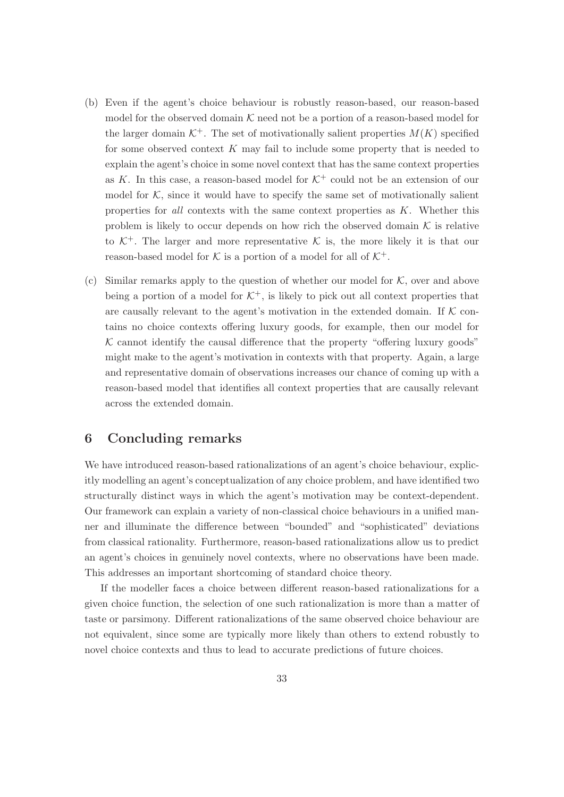- (b) Even if the agent's choice behaviour is robustly reason-based, our reason-based model for the observed domain  $K$  need not be a portion of a reason-based model for the larger domain  $K^+$ . The set of motivationally salient properties  $M(K)$  specified for some observed context  $K$  may fail to include some property that is needed to explain the agent's choice in some novel context that has the same context properties as K. In this case, a reason-based model for  $K^+$  could not be an extension of our model for  $K$ , since it would have to specify the same set of motivationally salient properties for all contexts with the same context properties as  $K$ . Whether this problem is likely to occur depends on how rich the observed domain  $K$  is relative to  $K^+$ . The larger and more representative K is, the more likely it is that our reason-based model for K is a portion of a model for all of  $K^+$ .
- (c) Similar remarks apply to the question of whether our model for  $K$ , over and above being a portion of a model for  $K^+$ , is likely to pick out all context properties that are causally relevant to the agent's motivation in the extended domain. If  $K$  contains no choice contexts offering luxury goods, for example, then our model for  $K$  cannot identify the causal difference that the property "offering luxury goods" might make to the agent's motivation in contexts with that property. Again, a large and representative domain of observations increases our chance of coming up with a reason-based model that identifies all context properties that are causally relevant across the extended domain.

### 6 Concluding remarks

We have introduced reason-based rationalizations of an agent's choice behaviour, explicitly modelling an agent's conceptualization of any choice problem, and have identified two structurally distinct ways in which the agent's motivation may be context-dependent. Our framework can explain a variety of non-classical choice behaviours in a unified manner and illuminate the difference between "bounded" and "sophisticated" deviations from classical rationality. Furthermore, reason-based rationalizations allow us to predict an agent's choices in genuinely novel contexts, where no observations have been made. This addresses an important shortcoming of standard choice theory.

If the modeller faces a choice between different reason-based rationalizations for a given choice function, the selection of one such rationalization is more than a matter of taste or parsimony. Different rationalizations of the same observed choice behaviour are not equivalent, since some are typically more likely than others to extend robustly to novel choice contexts and thus to lead to accurate predictions of future choices.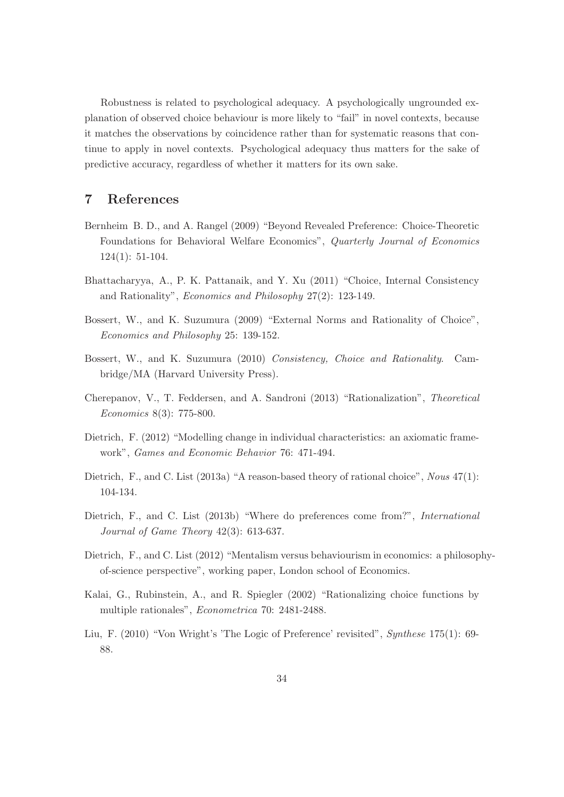Robustness is related to psychological adequacy. A psychologically ungrounded explanation of observed choice behaviour is more likely to "fail" in novel contexts, because it matches the observations by coincidence rather than for systematic reasons that continue to apply in novel contexts. Psychological adequacy thus matters for the sake of predictive accuracy, regardless of whether it matters for its own sake.

### 7 References

- Bernheim B. D., and A. Rangel (2009) "Beyond Revealed Preference: Choice-Theoretic Foundations for Behavioral Welfare Economics", Quarterly Journal of Economics 124(1): 51-104.
- Bhattacharyya, A., P. K. Pattanaik, and Y. Xu (2011) "Choice, Internal Consistency and Rationality", Economics and Philosophy 27(2): 123-149.
- Bossert, W., and K. Suzumura (2009) "External Norms and Rationality of Choice", Economics and Philosophy 25: 139-152.
- Bossert, W., and K. Suzumura (2010) Consistency, Choice and Rationality. Cambridge/MA (Harvard University Press).
- Cherepanov, V., T. Feddersen, and A. Sandroni (2013) "Rationalization", Theoretical Economics 8(3): 775-800.
- Dietrich, F. (2012) "Modelling change in individual characteristics: an axiomatic framework", Games and Economic Behavior 76: 471-494.
- Dietrich, F., and C. List (2013a) "A reason-based theory of rational choice", Nous 47(1): 104-134.
- Dietrich, F., and C. List (2013b) "Where do preferences come from?", *International* Journal of Game Theory 42(3): 613-637.
- Dietrich, F., and C. List (2012) "Mentalism versus behaviourism in economics: a philosophyof-science perspective", working paper, London school of Economics.
- Kalai, G., Rubinstein, A., and R. Spiegler (2002) "Rationalizing choice functions by multiple rationales", Econometrica 70: 2481-2488.
- Liu, F. (2010) "Von Wright's 'The Logic of Preference' revisited", Synthese 175(1): 69- 88.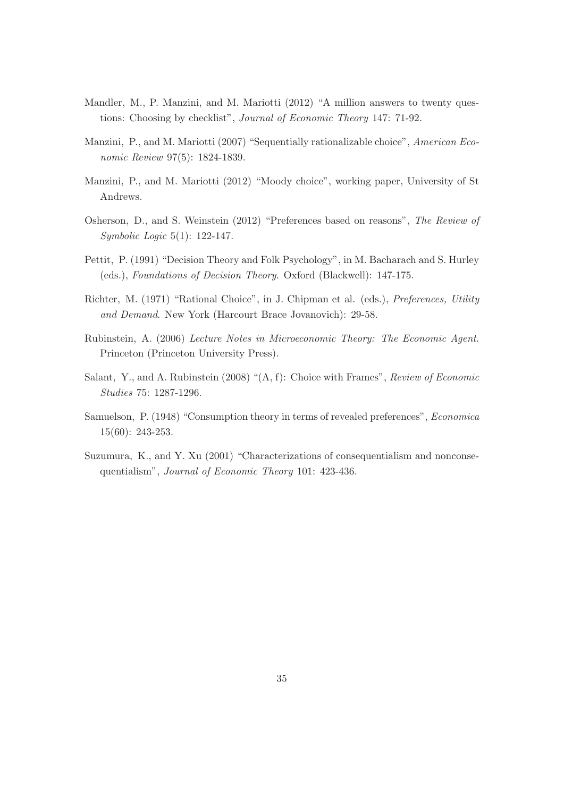- Mandler, M., P. Manzini, and M. Mariotti (2012) "A million answers to twenty questions: Choosing by checklist", Journal of Economic Theory 147: 71-92.
- Manzini, P., and M. Mariotti (2007) "Sequentially rationalizable choice", American Economic Review 97(5): 1824-1839.
- Manzini, P., and M. Mariotti (2012) "Moody choice", working paper, University of St Andrews.
- Osherson, D., and S. Weinstein (2012) "Preferences based on reasons", The Review of Symbolic Logic 5(1): 122-147.
- Pettit, P. (1991) "Decision Theory and Folk Psychology", in M. Bacharach and S. Hurley (eds.), Foundations of Decision Theory. Oxford (Blackwell): 147-175.
- Richter, M. (1971) "Rational Choice", in J. Chipman et al. (eds.), Preferences, Utility and Demand. New York (Harcourt Brace Jovanovich): 29-58.
- Rubinstein, A. (2006) Lecture Notes in Microeconomic Theory: The Economic Agent. Princeton (Princeton University Press).
- Salant, Y., and A. Rubinstein (2008) "(A, f): Choice with Frames", Review of Economic Studies 75: 1287-1296.
- Samuelson, P. (1948) "Consumption theory in terms of revealed preferences", Economica 15(60): 243-253.
- Suzumura, K., and Y. Xu (2001) "Characterizations of consequentialism and nonconsequentialism", Journal of Economic Theory 101: 423-436.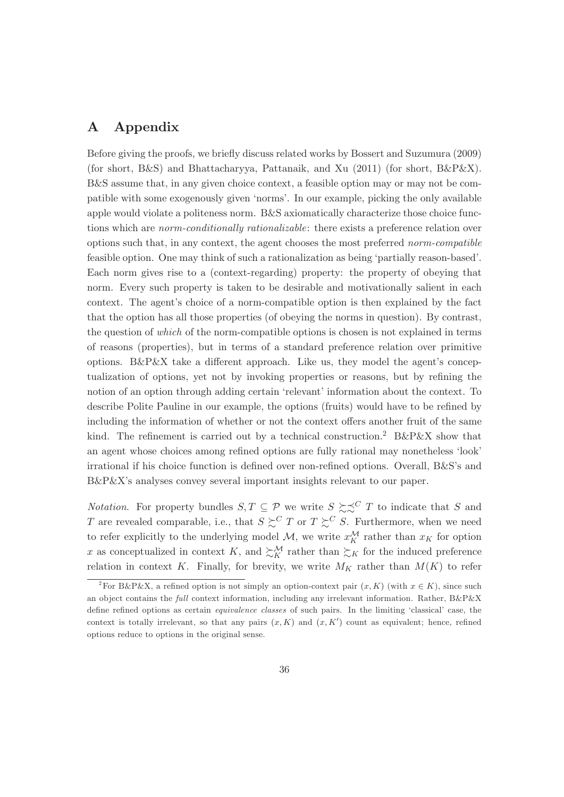#### Appendix  $\mathbf{A}$

Before giving the proofs, we briefly discuss related works by Bossert and Suzumura (2009) (for short, B&S) and Bhattacharyya, Pattanaik, and Xu (2011) (for short,  $B\&P\&X$ ). B&S assume that, in any given choice context, a feasible option may or may not be compatible with some exogenously given 'norms'. In our example, picking the only available apple would violate a politeness norm. B&S axiomatically characterize those choice functions which are *norm-conditionally rationalizable*: there exists a preference relation over options such that, in any context, the agent chooses the most preferred norm-compatible feasible option. One may think of such a rationalization as being 'partially reason-based'. Each norm gives rise to a (context-regarding) property: the property of obeying that norm. Every such property is taken to be desirable and motivationally salient in each context. The agent's choice of a norm-compatible option is then explained by the fact that the option has all those properties (of obeying the norms in question). By contrast, the question of *which* of the norm-compatible options is chosen is not explained in terms of reasons (properties), but in terms of a standard preference relation over primitive options. B&P&X take a different approach. Like us, they model the agent's conceptualization of options, yet not by invoking properties or reasons, but by refining the notion of an option through adding certain 'relevant' information about the context. To describe Polite Pauline in our example, the options (fruits) would have to be refined by including the information of whether or not the context offers another fruit of the same kind. The refinement is carried out by a technical construction.<sup>2</sup> B&P&X show that an agent whose choices among refined options are fully rational may nonetheless 'look' irrational if his choice function is defined over non-refined options. Overall, B&S's and  $B\&P\&X$ 's analyses convey several important insights relevant to our paper.

*Notation.* For property bundles  $S, T \subseteq \mathcal{P}$  we write  $S \succeq S^C T$  to indicate that S and T are revealed comparable, i.e., that  $S \succeq^{C} T$  or  $T \succeq^{C} S$ . Furthermore, when we need to refer explicitly to the underlying model M, we write  $x_K^{\mathcal{M}}$  rather than  $x_K$  for option x as conceptualized in context K, and  $\sum_{K}^{M}$  rather than  $\sum_{K}$  for the induced preference relation in context K. Finally, for brevity, we write  $M_K$  rather than  $M(K)$  to refer

<sup>&</sup>lt;sup>2</sup>For B&P&X, a refined option is not simply an option-context pair  $(x, K)$  (with  $x \in K$ ), since such an object contains the full context information, including any irrelevant information. Rather,  $B\&P\&X$ define refined options as certain *equivalence classes* of such pairs. In the limiting 'classical' case, the context is totally irrelevant, so that any pairs  $(x, K)$  and  $(x, K')$  count as equivalent; hence, refined options reduce to options in the original sense.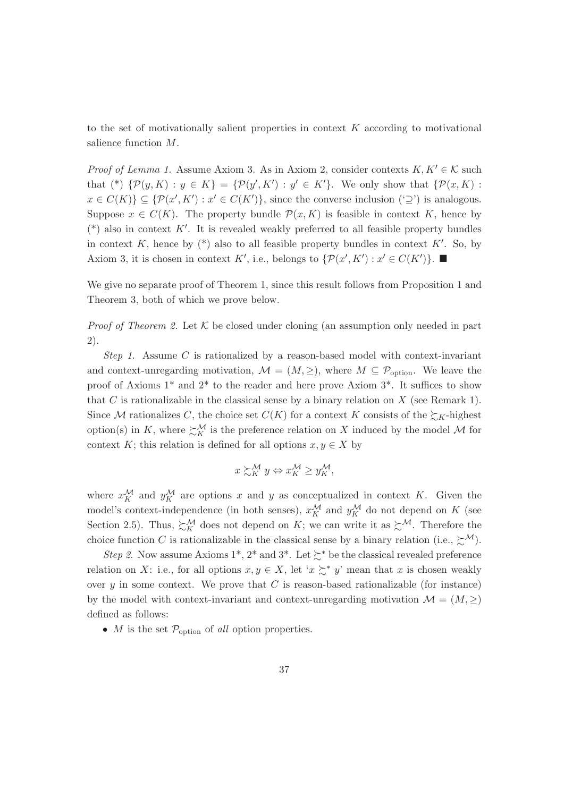to the set of motivationally salient properties in context  $K$  according to motivational salience function  $M$ .

*Proof of Lemma 1.* Assume Axiom 3. As in Axiom 2, consider contexts  $K, K' \in \mathcal{K}$  such that (\*)  $\{\mathcal{P}(y,K): y \in K\} = \{\mathcal{P}(y',K'): y' \in K'\}.$  We only show that  $\{\mathcal{P}(x,K):$  $x \in C(K)$   $\subseteq \{ \mathcal{P}(x', K') : x' \in C(K') \},$  since the converse inclusion  $(\supseteq')$  is analogous. Suppose  $x \in C(K)$ . The property bundle  $\mathcal{P}(x,K)$  is feasible in context K, hence by (\*) also in context K'. It is revealed weakly preferred to all feasible property bundles in context K, hence by  $(*)$  also to all feasible property bundles in context K'. So, by Axiom 3, it is chosen in context K', i.e., belongs to  $\{\mathcal{P}(x', K'): x' \in C(K')\}$ .

We give no separate proof of Theorem 1, since this result follows from Proposition 1 and Theorem 3, both of which we prove below.

*Proof of Theorem 2.* Let  $K$  be closed under cloning (an assumption only needed in part  $(2).$ 

Step 1. Assume C is rationalized by a reason-based model with context-invariant and context-unregarding motivation,  $\mathcal{M} = (M, \geq)$ , where  $M \subseteq \mathcal{P}_{\text{option}}$ . We leave the proof of Axioms  $1^*$  and  $2^*$  to the reader and here prove Axiom  $3^*$ . It suffices to show that C is rationalizable in the classical sense by a binary relation on X (see Remark 1). Since M rationalizes C, the choice set  $C(K)$  for a context K consists of the  $\succsim_K$ -highest option(s) in K, where  $\sum_{K}^{M}$  is the preference relation on X induced by the model M for context K; this relation is defined for all options  $x, y \in X$  by

$$
x \succsim_K^{\mathcal{M}} y \Leftrightarrow x_K^{\mathcal{M}} \ge y_K^{\mathcal{M}},
$$

where  $x_K^{\mathcal{M}}$  and  $y_K^{\mathcal{M}}$  are options x and y as conceptualized in context K. Given the model's context-independence (in both senses),  $x_{K}^{\mathcal{M}}$  and  $y_{K}^{\mathcal{M}}$  do not depend on  $K$  (see Section 2.5). Thus,  $\sum_{K}^{M}$  does not depend on K; we can write it as  $\sum^{\mathcal{M}}$ . Therefore the choice function C is rationalizable in the classical sense by a binary relation (i.e.,  $\succsim^{\mathcal{M}}$ ).

*Step 2.* Now assume Axioms 1<sup>\*</sup>, 2<sup>\*</sup> and 3<sup>\*</sup>. Let  $\succsim$  be the classical revealed preference relation on X: i.e., for all options  $x, y \in X$ , let ' $x \succeq^* y$ ' mean that x is chosen weakly over  $y$  in some context. We prove that C is reason-based rationalizable (for instance) by the model with context-invariant and context-unregarding motivation  $\mathcal{M} = (M, \geq)$ defined as follows:

• *M* is the set  $\mathcal{P}_{\text{option}}$  of *all* option properties.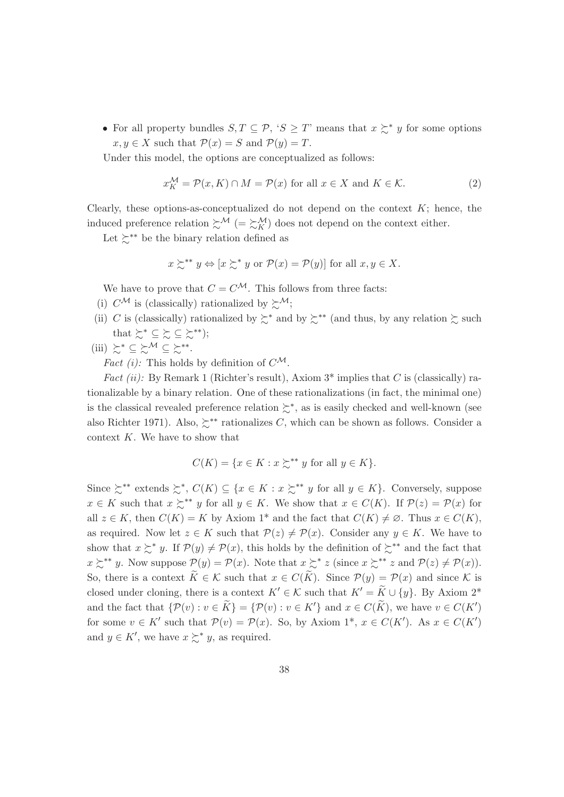• For all property bundles  $S, T \subseteq \mathcal{P}, 'S \geq T'$  means that  $x \succeq^* y$  for some options  $x, y \in X$  such that  $\mathcal{P}(x) = S$  and  $\mathcal{P}(y) = T$ .

Under this model, the options are conceptualized as follows:

$$
x_K^{\mathcal{M}} = \mathcal{P}(x, K) \cap M = \mathcal{P}(x) \text{ for all } x \in X \text{ and } K \in \mathcal{K}.
$$
 (2)

Clearly, these options-as-conceptualized do not depend on the context  $K$ ; hence, the induced preference relation  $\succsim^{\mathcal{M}}$  (=  $\succsim^{\mathcal{M}}$ ) does not depend on the context either.

Let  $\mathbb{R}^{**}$  be the binary relation defined as

$$
x \succcurlyeq^{**} y \Leftrightarrow [x \succsim^* y \text{ or } \mathcal{P}(x) = \mathcal{P}(y)]
$$
 for all  $x, y \in X$ .

We have to prove that  $C = C^{\mathcal{M}}$ . This follows from three facts:

- (i)  $C^{\mathcal{M}}$  is (classically) rationalized by  $\succsim^{\mathcal{M}}$ ;
- (ii) C is (classically) rationalized by  $\succsim^*$  and by  $\succsim^{**}$  (and thus, by any relation  $\succsim$  such that  $\succsim^* \ \subseteq \ \succsim \ \ \succeq \ \succsim^{**} );$
- (iii)  $\succcurlyeq^* \subseteq \succcurlyeq^{\mathcal{M}} \subseteq \succcurlyeq^{**}.$

*Fact (i):* This holds by definition of  $C^{\mathcal{M}}$ .

*Fact (ii)*: By Remark 1 (Richter's result), Axiom  $3^*$  implies that C is (classically) rationalizable by a binary relation. One of these rationalizations (in fact, the minimal one) is the classical revealed preference relation  $\succsim^*$ , as is easily checked and well-known (see also Richter 1971). Also,  $\zeta^{**}$  rationalizes C, which can be shown as follows. Consider a context  $K$ . We have to show that

$$
C(K) = \{ x \in K : x \succ^{\ast\ast} y \text{ for all } y \in K \}.
$$

Since  $\succsim^{**}$  extends  $\succsim^*$ ,  $C(K) \subseteq \{x \in K : x \succsim^{**} y \text{ for all } y \in K\}$ . Conversely, suppose  $x \in K$  such that  $x \succeq^{**} y$  for all  $y \in K$ . We show that  $x \in C(K)$ . If  $\mathcal{P}(z) = \mathcal{P}(x)$  for all  $z \in K$ , then  $C(K) = K$  by Axiom 1<sup>\*</sup> and the fact that  $C(K) \neq \emptyset$ . Thus  $x \in C(K)$ , as required. Now let  $z \in K$  such that  $\mathcal{P}(z) \neq \mathcal{P}(x)$ . Consider any  $y \in K$ . We have to show that  $x \succeq^* y$ . If  $\mathcal{P}(y) \neq \mathcal{P}(x)$ , this holds by the definition of  $\succeq^{**}$  and the fact that  $x \succcurlyeq^{**} y$ . Now suppose  $\mathcal{P}(y) = \mathcal{P}(x)$ . Note that  $x \succcurlyeq^{*} z$  (since  $x \succcurlyeq^{**} z$  and  $\mathcal{P}(z) \neq \mathcal{P}(x)$ ). So, there is a context  $\widetilde{K} \in \mathcal{K}$  such that  $x \in C(\widetilde{K})$ . Since  $\mathcal{P}(y) = \mathcal{P}(x)$  and since K is closed under cloning, there is a context  $K' \in \mathcal{K}$  such that  $K' = \widetilde{K} \cup \{y\}$ . By Axiom 2<sup>\*</sup> and the fact that  $\{\mathcal{P}(v): v \in \widetilde{K}\} = \{\mathcal{P}(v): v \in K'\}$  and  $x \in C(\widetilde{K})$ , we have  $v \in C(K')$ for some  $v \in K'$  such that  $\mathcal{P}(v) = \mathcal{P}(x)$ . So, by Axiom 1<sup>\*</sup>,  $x \in C(K')$ . As  $x \in C(K')$ and  $y \in K'$ , we have  $x \succsim^* y$ , as required.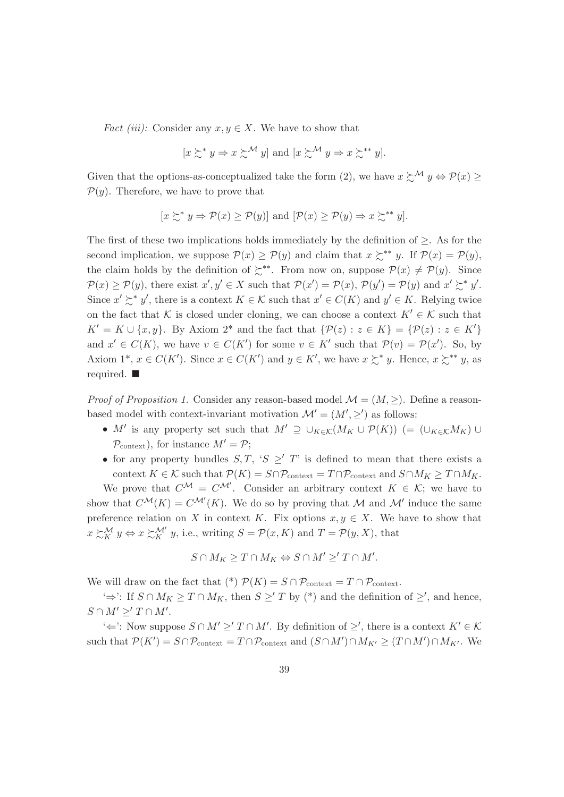*Fact (iii):* Consider any  $x, y \in X$ . We have to show that

$$
[x \succsim^* y \Rightarrow x \succsim^{\mathcal{M}} y]
$$
 and  $[x \succsim^{\mathcal{M}} y \Rightarrow x \succsim^{**} y]$ .

Given that the options-as-conceptualized take the form (2), we have  $x \succsim^{\mathcal{M}} y \Leftrightarrow \mathcal{P}(x) \geq$  $\mathcal{P}(y)$ . Therefore, we have to prove that

$$
[x \succsim^* y \Rightarrow \mathcal{P}(x) \ge \mathcal{P}(y)]
$$
 and  $[\mathcal{P}(x) \ge \mathcal{P}(y) \Rightarrow x \succsim^{**} y].$ 

The first of these two implications holds immediately by the definition of  $\geq$ . As for the second implication, we suppose  $\mathcal{P}(x) \ge \mathcal{P}(y)$  and claim that  $x \succcurlyeq^{**} y$ . If  $\mathcal{P}(x) = \mathcal{P}(y)$ , the claim holds by the definition of  $\zeta^{**}$ . From now on, suppose  $\mathcal{P}(x) \neq \mathcal{P}(y)$ . Since  $\mathcal{P}(x) \ge \mathcal{P}(y)$ , there exist  $x', y' \in X$  such that  $\mathcal{P}(x') = \mathcal{P}(x)$ ,  $\mathcal{P}(y') = \mathcal{P}(y)$  and  $x' \succeq^* y'$ . Since  $x' \succeq^* y'$ , there is a context  $K \in \mathcal{K}$  such that  $x' \in C(K)$  and  $y' \in K$ . Relying twice on the fact that K is closed under cloning, we can choose a context  $K' \in \mathcal{K}$  such that  $K' = K \cup \{x, y\}$ . By Axiom 2<sup>\*</sup> and the fact that  $\{\mathcal{P}(z) : z \in K\} = \{\mathcal{P}(z) : z \in K'\}$ and  $x' \in C(K)$ , we have  $v \in C(K')$  for some  $v \in K'$  such that  $\mathcal{P}(v) = \mathcal{P}(x')$ . So, by Axiom 1<sup>\*</sup>,  $x \in C(K')$ . Since  $x \in C(K')$  and  $y \in K'$ , we have  $x \succsim^* y$ . Hence,  $x \succsim^{**} y$ , as required.  $\blacksquare$ 

*Proof of Proposition 1.* Consider any reason-based model  $\mathcal{M} = (M,>)$ . Define a reasonbased model with context-invariant motivation  $\mathcal{M}' = (M', >')$  as follows:

- M' is any property set such that  $M' \supseteq \bigcup_{K \in \mathcal{K}} (M_K \cup \mathcal{P}(K))$  (=  $(\bigcup_{K \in \mathcal{K}} M_K) \cup$  $\mathcal{P}_{\text{context}}$ , for instance  $M' = \mathcal{P}$ ;
- for any property bundles S, T, 'S  $\geq'$  T' is defined to mean that there exists a context  $K \in \mathcal{K}$  such that  $\mathcal{P}(K) = S \cap \mathcal{P}_{\text{context}} = T \cap \mathcal{P}_{\text{context}}$  and  $S \cap M_K \geq T \cap M_K$ .

We prove that  $C^{\mathcal{M}} = C^{\mathcal{M}}$ . Consider an arbitrary context  $K \in \mathcal{K}$ ; we have to show that  $C^{\mathcal{M}}(K) = C^{\mathcal{M}'}(K)$ . We do so by proving that M and M' induce the same preference relation on X in context K. Fix options  $x, y \in X$ . We have to show that  $x \succsim K' y \Leftrightarrow x \succsim K' y$ , i.e., writing  $S = \mathcal{P}(x, K)$  and  $T = \mathcal{P}(y, X)$ , that

$$
S \cap M_K \geq T \cap M_K \Leftrightarrow S \cap M' \geq' T \cap M'.
$$

We will draw on the fact that (\*)  $\mathcal{P}(K) = S \cap \mathcal{P}_{\text{context}} = T \cap \mathcal{P}_{\text{context}}$ .

 $\Rightarrow$ : If  $S \cap M_K \geq T \cap M_K$ , then  $S \geq T$  by (\*) and the definition of  $\geq'$ , and hence,  $S \cap M' >' T \cap M'.$ 

 $\iff$ : Now suppose  $S \cap M' \geq T \cap M'$ . By definition of  $\geq'$ , there is a context  $K' \in \mathcal{K}$ such that  $\mathcal{P}(K') = S \cap \mathcal{P}_{\text{context}} = T \cap \mathcal{P}_{\text{context}}$  and  $(S \cap M') \cap M_{K'} \geq (T \cap M') \cap M_{K'}$ . We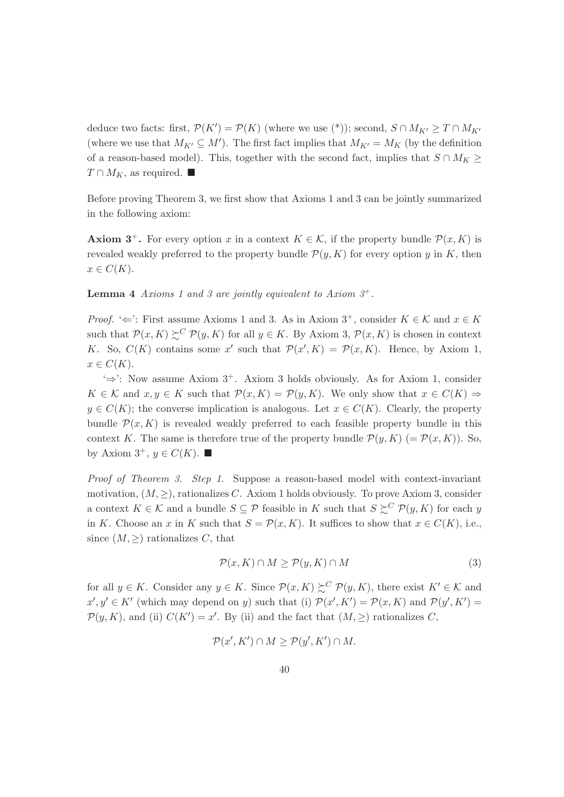deduce two facts: first,  $\mathcal{P}(K') = \mathcal{P}(K)$  (where we use (\*)); second,  $S \cap M_{K'} \geq T \cap M_{K'}$ (where we use that  $M_{K'} \subseteq M'$ ). The first fact implies that  $M_{K'} = M_K$  (by the definition of a reason-based model). This, together with the second fact, implies that  $S \cap M_K \geq$  $T \cap M_K$ , as required.

Before proving Theorem 3, we first show that Axioms 1 and 3 can be jointly summarized in the following axiom:

**Axiom 3<sup>+</sup>.** For every option x in a context  $K \in \mathcal{K}$ , if the property bundle  $\mathcal{P}(x,K)$  is revealed weakly preferred to the property bundle  $\mathcal{P}(y, K)$  for every option y in K, then  $x \in C(K)$ .

**Lemma 4** Axioms 1 and 3 are jointly equivalent to Axiom  $3^+$ .

*Proof.* ' $\Leftarrow$ ': First assume Axioms 1 and 3. As in Axiom 3<sup>+</sup>, consider  $K \in \mathcal{K}$  and  $x \in K$ such that  $\mathcal{P}(x,K) \succeq^C \mathcal{P}(y,K)$  for all  $y \in K$ . By Axiom 3,  $\mathcal{P}(x,K)$  is chosen in context K. So,  $C(K)$  contains some x' such that  $\mathcal{P}(x', K) = \mathcal{P}(x, K)$ . Hence, by Axiom 1,  $x \in C(K)$ .

 $\Rightarrow$  Now assume Axiom 3<sup>+</sup>. Axiom 3 holds obviously. As for Axiom 1, consider  $K \in \mathcal{K}$  and  $x, y \in K$  such that  $\mathcal{P}(x, K) = \mathcal{P}(y, K)$ . We only show that  $x \in C(K) \Rightarrow$  $y \in C(K)$ ; the converse implication is analogous. Let  $x \in C(K)$ . Clearly, the property bundle  $\mathcal{P}(x,K)$  is revealed weakly preferred to each feasible property bundle in this context K. The same is therefore true of the property bundle  $\mathcal{P}(y, K)$  (=  $\mathcal{P}(x, K)$ ). So, by Axiom  $3^+$ ,  $y \in C(K)$ .

*Proof of Theorem 3. Step 1.* Suppose a reason-based model with context-invariant motivation,  $(M, >)$ , rationalizes C. Axiom 1 holds obviously. To prove Axiom 3, consider a context  $K \in \mathcal{K}$  and a bundle  $S \subseteq \mathcal{P}$  feasible in K such that  $S \succeq^C \mathcal{P}(y, K)$  for each y in K. Choose an x in K such that  $S = \mathcal{P}(x, K)$ . It suffices to show that  $x \in C(K)$ , i.e., since  $(M,>)$  rationalizes C, that

$$
\mathcal{P}(x,K) \cap M \ge \mathcal{P}(y,K) \cap M \tag{3}
$$

for all  $y \in K$ . Consider any  $y \in K$ . Since  $\mathcal{P}(x,K) \succeq^{C} \mathcal{P}(y,K)$ , there exist  $K' \in \mathcal{K}$  and  $x', y' \in K'$  (which may depend on y) such that (i)  $\mathcal{P}(x', K') = \mathcal{P}(x, K)$  and  $\mathcal{P}(y', K') =$  $\mathcal{P}(y, K)$ , and (ii)  $C(K') = x'$ . By (ii) and the fact that  $(M, \geq)$  rationalizes C,

$$
\mathcal{P}(x', K') \cap M \ge \mathcal{P}(y', K') \cap M.
$$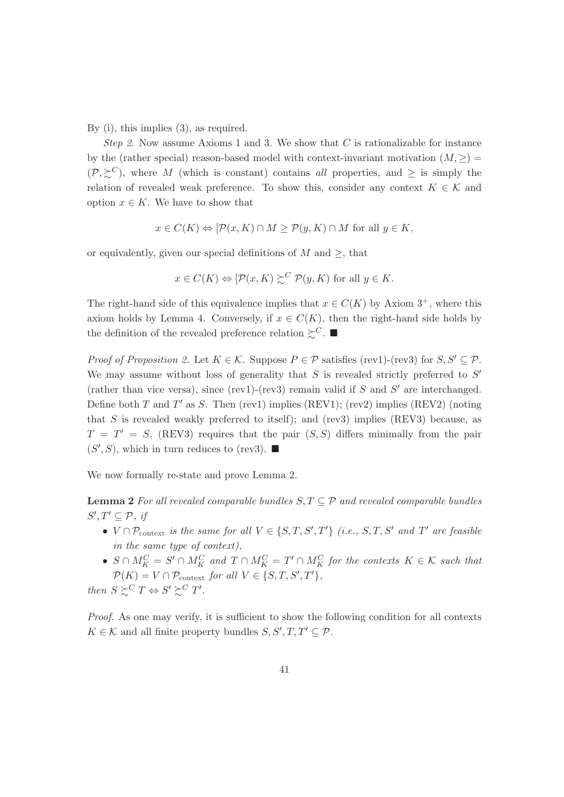By (i), this implies  $(3)$ , as required.

*Step 2.* Now assume Axioms 1 and 3. We show that C is rationalizable for instance by the (rather special) reason-based model with context-invariant motivation  $(M, \geq)$  $(\mathcal{P}, \succeq^C)$ , where M (which is constant) contains all properties, and  $\geq$  is simply the relation of revealed weak preference. To show this, consider any context  $K \in \mathcal{K}$  and option  $x \in K$ . We have to show that

$$
x \in C(K) \Leftrightarrow [\mathcal{P}(x, K) \cap M \ge \mathcal{P}(y, K) \cap M \text{ for all } y \in K,
$$

or equivalently, given our special definitions of M and  $\geq$ , that

$$
x \in C(K) \Leftrightarrow [\mathcal{P}(x, K) \succsim^{C} \mathcal{P}(y, K)]
$$
 for all  $y \in K$ .

The right-hand side of this equivalence implies that  $x \in C(K)$  by Axiom 3<sup>+</sup>, where this axiom holds by Lemma 4. Conversely, if  $x \in C(K)$ , then the right-hand side holds by the definition of the revealed preference relation  $\succeq^C$ .

*Proof of Proposition 2.* Let  $K \in \mathcal{K}$ . Suppose  $P \in \mathcal{P}$  satisfies (rev1)-(rev3) for  $S, S' \subseteq \mathcal{P}$ . We may assume without loss of generality that S is revealed strictly preferred to  $S'$ (rather than vice versa), since (rev1)-(rev3) remain valid if  $S$  and  $S'$  are interchanged. Define both T and T' as S. Then (rev1) implies (REV1); (rev2) implies (REV2) (noting that S is revealed weakly preferred to itself); and (rev3) implies (REV3) because, as  $T = T' = S$ , (REV3) requires that the pair  $(S, S)$  differs minimally from the pair  $(S', S)$ , which in turn reduces to (rev3).

We now formally re-state and prove Lemma 2.

**Lemma 2** For all revealed comparable bundles  $S, T \subseteq \mathcal{P}$  and revealed comparable bundles  $S', T' \subseteq \mathcal{P}, \textit{if}$ 

- $V \cap \mathcal{P}_{context}$  is the same for all  $V \in \{S, T, S', T'\}$  (i.e.,  $S, T, S'$  and  $T'$  are feasible in the same type of context),
- $S \cap M_K^C = S' \cap M_K^C$  and  $T \cap M_K^C = T' \cap M_K^C$  for the contexts  $K \in \mathcal{K}$  such that  $\mathcal{P}(K) = V \cap \mathcal{P}_{\text{context}}$  for all  $V \in \{S, T, S', T'\},\$

then  $S \succeq^C T \Leftrightarrow S' \succeq^C T'$ .

*Proof.* As one may verify, it is sufficient to show the following condition for all contexts  $K \in \mathcal{K}$  and all finite property bundles  $S, S', T, T' \subseteq \mathcal{P}$ .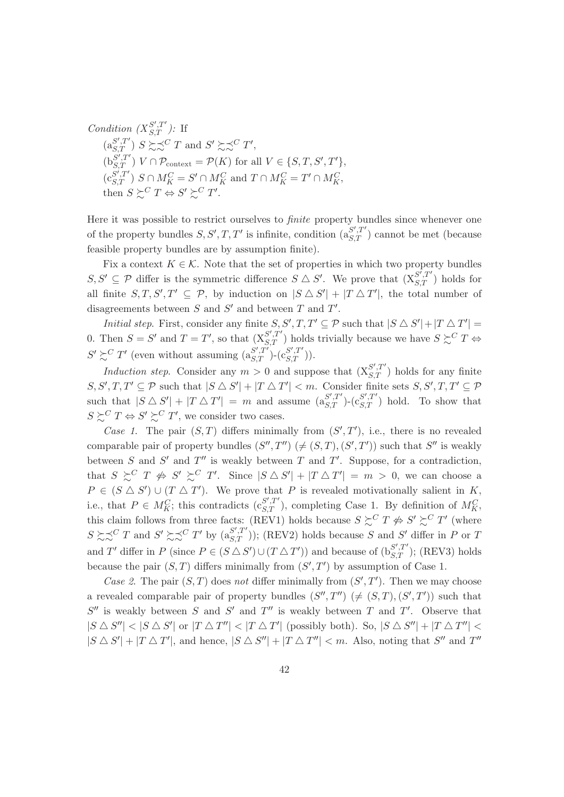Condition  $(X_{S,T}^{S',T'})$ : If<br>  $(a_{S,T}^{S',T'}) S \gtrsim \preceq^C T$  and  $S' \gtrsim \preceq^C T'$ ,  $(b_{S,T}^{S',T'}) V \cap \mathcal{P}_{\text{context}} = \mathcal{P}(K)$  for all  $V \in \{S,T,S',T'\}$  $(c_{S,T}^{S',T'})$   $S \cap M_K^C = S' \cap M_K^C$  and  $T \cap M_K^C = T' \cap M_K^C$ , then  $S \succsim^C T \Leftrightarrow S' \succsim^C T'$ .

Here it was possible to restrict ourselves to *finite* property bundles since whenever one of the property bundles  $S, S', T, T'$  is infinite, condition  $(a_{S,T}^{S',T'})$  cannot be met (because feasible property bundles are by assumption finite).

Fix a context  $K \in \mathcal{K}$ . Note that the set of properties in which two property bundles  $S, S' \subseteq \mathcal{P}$  differ is the symmetric difference  $S \triangle S'$ . We prove that  $(X_{S,T}^{S',T'})$  holds for all finite  $S, T, S', T' \subseteq \mathcal{P}$ , by induction on  $|S \triangle S'| + |T \triangle T'|$ , the total number of disagreements between  $S$  and  $S'$  and between  $T$  and  $T'$ .

*Initial step.* First, consider any finite  $S, S', T, T' \subseteq \mathcal{P}$  such that  $|S \triangle S'| + |T \triangle T'| =$ 0. Then  $S = S'$  and  $T = T'$ , so that  $(X_{S,T}^{S',T'})$  holds trivially because we have  $S \succsim^{C} T \Leftrightarrow$  $S' \succsim^C T'$  (even without assuming  $(a_{S,T}^{S',T'})$ - $(c_{S,T}^{S',T'})$ ).

*Induction step.* Consider any  $m > 0$  and suppose that  $(X_{S,T}^{S',T'})$  holds for any finite  $S, S', T, T' \subseteq \mathcal{P}$  such that  $|S \triangle S'| + |T \triangle T'| < m$ . Consider finite sets  $S, S', T, T' \subseteq \mathcal{P}$ such that  $|S \triangle S'| + |T \triangle T'| = m$  and assume  $(a_{S,T}^{S',T'})$  ( $c_{S,T}^{S',T'}$ ) hold. To show that  $S \succeq^C T \Leftrightarrow S' \succeq^C T'$ , we consider two cases.

Case 1. The pair  $(S,T)$  differs minimally from  $(S',T')$ , i.e., there is no revealed comparable pair of property bundles  $(S'', T'') (\neq (S, T), (S', T'))$  such that S'' is weakly between S and S' and T'' is weakly between T and T'. Suppose, for a contradiction, that  $S \succeq^C T \nleftrightarrow S' \succeq^C T'$ . Since  $|S \triangle S'| + |T \triangle T'| = m > 0$ , we can choose a  $P \in (S \triangle S') \cup (T \triangle T')$ . We prove that P is revealed motivationally salient in K, i.e., that  $P \in M_K^C$ ; this contradicts  $(c_{S,T}^{S',T'})$ , completing Case 1. By definition of  $M_K^C$ , this claim follows from three facts: (REV1) holds because  $S \succsim^C T \nleftrightarrow S' \succsim^C T'$  (where  $S \succsim^C T$  and  $S' \succsim^C T'$  by  $(a_{S,T}^{S',T'}))$ ; (REV2) holds because S and S' differ in P or T and T' differ in P (since  $P \in (S \triangle S') \cup (T \triangle T')$ ) and because of  $(b_{S,T}^{S',T'});$  (REV3) holds because the pair  $(S, T)$  differs minimally from  $(S', T')$  by assumption of Case 1.

Case 2. The pair  $(S, T)$  does not differ minimally from  $(S', T')$ . Then we may choose a revealed comparable pair of property bundles  $(S'', T'') (\neq (S, T), (S', T'))$  such that  $S''$  is weakly between S and S' and T'' is weakly between T and T'. Observe that  $|S \triangle S''|$  <  $|S \triangle S'|$  or  $|T \triangle T''|$  <  $|T \triangle T'|$  (possibly both). So,  $|S \triangle S''| + |T \triangle T''|$  <  $|S \triangle S'| + |T \triangle T'|$ , and hence,  $|S \triangle S''| + |T \triangle T''| < m$ . Also, noting that S'' and T''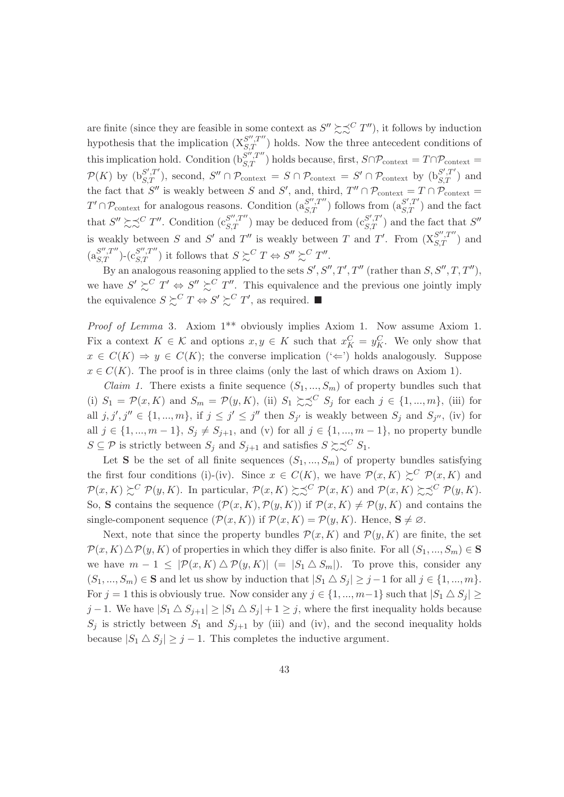are finite (since they are feasible in some context as  $S'' \succeq S^C T''$ ), it follows by induction hypothesis that the implication  $(X_{S,T}^{S'',T''})$  holds. Now the three antecedent conditions of<br>this implication hold. Condition  $(b_{S,T}^{S'',T''})$  holds because, first,  $S \cap \mathcal{P}_{\text{context}} = T \cap \mathcal{P}_{\text{context}} =$  $\mathcal{P}(K)$  by  $(b_{S,T}^{S',T'})$ , second,  $S'' \cap \mathcal{P}_{\text{context}} = S \cap \mathcal{P}_{\text{context}} = S' \cap \mathcal{P}_{\text{context}}$  by  $(b_{S,T}^{S',T'})$  and the fact that S'' is weakly between S and S', and, third,  $T'' \cap \mathcal{P}_{\text{context}} = T \cap \mathcal{P}_{\text{context}} =$  $T' \cap \mathcal{P}_{\text{context}}$  for analogous reasons. Condition  $(a_{S,T}^{S',T''})$  follows from  $(a_{S,T}^{S',T'})$  and the fact<br>that  $S'' \succsim \sim^C T''$ . Condition  $(c_{S,T}^{S',T''})$  may be deduced from  $(c_{S,T}^{S',T'})$  and the fact that  $S''$ is weakly between S and S' and T'' is weakly between T and T'. From  $(X_{S,T}^{S'',T''})$  and  $(a_{S\ T}^{S'',T''})$ - $(c_{S\ T}^{S'',T''})$  it follows that  $S \succsim^{C} T \Leftrightarrow S'' \succsim^{C} T''$ .

By an analogous reasoning applied to the sets  $S', S'', T', T''$  (rather than  $S, S'', T, T''$ ). we have  $S' \succeq^C T' \Leftrightarrow S'' \succeq^C T''$ . This equivalence and the previous one jointly imply the equivalence  $S \succsim^C T \Leftrightarrow S' \succsim^C T'$ , as required.

*Proof of Lemma 3.* Axiom 1<sup>\*\*</sup> obviously implies Axiom 1. Now assume Axiom 1. Fix a context  $K \in \mathcal{K}$  and options  $x, y \in K$  such that  $x_K^C = y_K^C$ . We only show that  $x \in C(K) \Rightarrow y \in C(K)$ ; the converse implication  $(\Leftrightarrow)$  holds analogously. Suppose  $x \in C(K)$ . The proof is in three claims (only the last of which draws on Axiom 1).

*Claim 1.* There exists a finite sequence  $(S_1, ..., S_m)$  of property bundles such that (i)  $S_1 = \mathcal{P}(x, K)$  and  $S_m = \mathcal{P}(y, K)$ , (ii)  $S_1 \succeq \succeq^C S_j$  for each  $j \in \{1, ..., m\}$ , (iii) for all  $j, j', j'' \in \{1, ..., m\}$ , if  $j \leq j' \leq j''$  then  $S_{j'}$  is weakly between  $S_j$  and  $S_{j''}$ , (iv) for all  $j \in \{1, ..., m-1\}, S_j \neq S_{j+1}$ , and (v) for all  $j \in \{1, ..., m-1\}$ , no property bundle  $S \subseteq \mathcal{P}$  is strictly between  $S_i$  and  $S_{i+1}$  and satisfies  $S \succsim \sim^C S_1$ .

Let S be the set of all finite sequences  $(S_1, ..., S_m)$  of property bundles satisfying the first four conditions (i)-(iv). Since  $x \in C(K)$ , we have  $\mathcal{P}(x,K) \succeq^{C} \mathcal{P}(x,K)$  and  $\mathcal{P}(x,K) \succeq^{C} \mathcal{P}(y,K)$ . In particular,  $\mathcal{P}(x,K) \succeq \preceq^{C} \mathcal{P}(x,K)$  and  $\mathcal{P}(x,K) \succeq \preceq^{C} \mathcal{P}(y,K)$ . So, S contains the sequence  $(\mathcal{P}(x,K), \mathcal{P}(y,K))$  if  $\mathcal{P}(x,K) \neq \mathcal{P}(y,K)$  and contains the single-component sequence  $(\mathcal{P}(x,K))$  if  $\mathcal{P}(x,K) = \mathcal{P}(y,K)$ . Hence,  $S \neq \emptyset$ .

Next, note that since the property bundles  $\mathcal{P}(x,K)$  and  $\mathcal{P}(y,K)$  are finite, the set  $\mathcal{P}(x,K)\triangle\mathcal{P}(y,K)$  of properties in which they differ is also finite. For all  $(S_1,...,S_m)\in\mathbf{S}$ we have  $m-1 \leq |\mathcal{P}(x,K) \triangle \mathcal{P}(y,K)| (= |S_1 \triangle S_m|)$ . To prove this, consider any  $(S_1, ..., S_m) \in \mathbf{S}$  and let us show by induction that  $|S_1 \triangle S_i| \geq j-1$  for all  $j \in \{1, ..., m\}$ . For  $j = 1$  this is obviously true. Now consider any  $j \in \{1, ..., m-1\}$  such that  $|S_1 \triangle S_j| \ge$  $j-1$ . We have  $|S_1 \triangle S_{j+1}| \geq |S_1 \triangle S_j| + 1 \geq j$ , where the first inequality holds because  $S_j$  is strictly between  $S_1$  and  $S_{j+1}$  by (iii) and (iv), and the second inequality holds because  $|S_1 \triangle S_j| \geq j-1$ . This completes the inductive argument.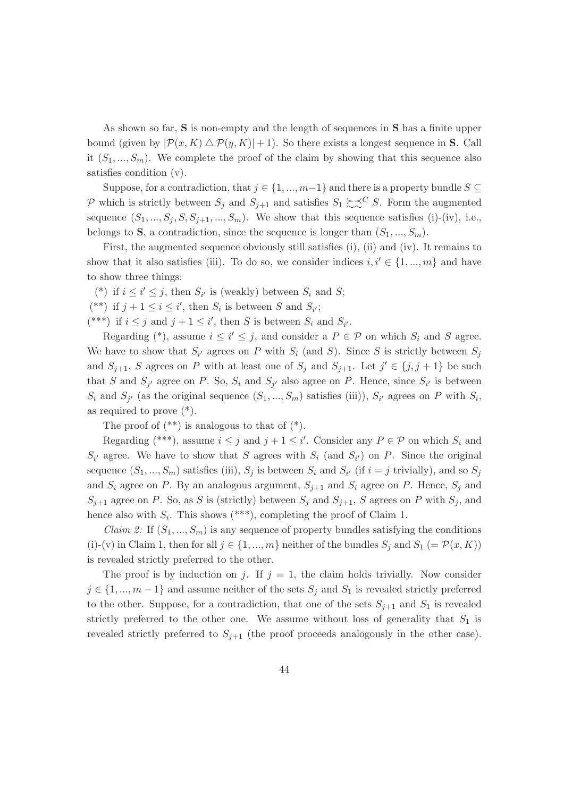As shown so far, S is non-empty and the length of sequences in S has a finite upper bound (given by  $|\mathcal{P}(x,K) \triangle \mathcal{P}(y,K)| + 1$ ). So there exists a longest sequence in **S**. Call it  $(S_1, ..., S_m)$ . We complete the proof of the claim by showing that this sequence also satisfies condition  $(v)$ .

Suppose, for a contradiction, that  $j \in \{1, ..., m-1\}$  and there is a property bundle  $S \subseteq$ P which is strictly between  $S_i$  and  $S_{i+1}$  and satisfies  $S_1 \succeq S^C S$ . Form the augmented sequence  $(S_1, ..., S_j, S, S_{j+1}, ..., S_m)$ . We show that this sequence satisfies (i)-(iv), i.e., belongs to S, a contradiction, since the sequence is longer than  $(S_1, ..., S_m)$ .

First, the augmented sequence obviously still satisfies (i), (ii) and (iv). It remains to show that it also satisfies (iii). To do so, we consider indices  $i, i' \in \{1, ..., m\}$  and have to show three things:

(\*) if  $i \leq i' \leq j$ , then  $S_{i'}$  is (weakly) between  $S_i$  and S;

(\*\*) if  $j + 1 \leq i \leq i'$ , then  $S_i$  is between S and  $S_{i'}$ ;

(\*\*\*) if  $i \leq j$  and  $j + 1 \leq i'$ , then S is between  $S_i$  and  $S_{i'}$ .

Regarding (\*), assume  $i \leq i' \leq j$ , and consider a  $P \in \mathcal{P}$  on which  $S_i$  and S agree. We have to show that  $S_{i'}$  agrees on P with  $S_i$  (and S). Since S is strictly between  $S_i$ and  $S_{j+1}$ , S agrees on P with at least one of  $S_j$  and  $S_{j+1}$ . Let  $j' \in \{j, j+1\}$  be such that S and  $S_{i'}$  agree on P. So,  $S_i$  and  $S_{i'}$  also agree on P. Hence, since  $S_{i'}$  is between  $S_i$  and  $S_{j'}$  (as the original sequence  $(S_1, ..., S_m)$  satisfies (iii)),  $S_{i'}$  agrees on P with  $S_i$ , as required to prove  $(*)$ .

The proof of  $(**)$  is analogous to that of  $(*)$ .

Regarding (\*\*\*), assume  $i \leq j$  and  $j + 1 \leq i'$ . Consider any  $P \in \mathcal{P}$  on which  $S_i$  and  $S_{i'}$  agree. We have to show that S agrees with  $S_i$  (and  $S_{i'}$ ) on P. Since the original sequence  $(S_1, ..., S_m)$  satisfies (iii),  $S_j$  is between  $S_i$  and  $S_{i'}$  (if  $i = j$  trivially), and so  $S_j$ and  $S_i$  agree on P. By an analogous argument,  $S_{j+1}$  and  $S_i$  agree on P. Hence,  $S_j$  and  $S_{j+1}$  agree on P. So, as S is (strictly) between  $S_j$  and  $S_{j+1}$ , S agrees on P with  $S_j$ , and hence also with  $S_i$ . This shows (\*\*\*), completing the proof of Claim 1.

*Claim 2:* If  $(S_1, ..., S_m)$  is any sequence of property bundles satisfying the conditions (i)-(v) in Claim 1, then for all  $j \in \{1, ..., m\}$  neither of the bundles  $S_j$  and  $S_1$  (=  $\mathcal{P}(x, K)$ ) is revealed strictly preferred to the other.

The proof is by induction on j. If  $j = 1$ , the claim holds trivially. Now consider  $j \in \{1, ..., m-1\}$  and assume neither of the sets  $S_j$  and  $S_1$  is revealed strictly preferred to the other. Suppose, for a contradiction, that one of the sets  $S_{i+1}$  and  $S_1$  is revealed strictly preferred to the other one. We assume without loss of generality that  $S_1$  is revealed strictly preferred to  $S_{j+1}$  (the proof proceeds analogously in the other case).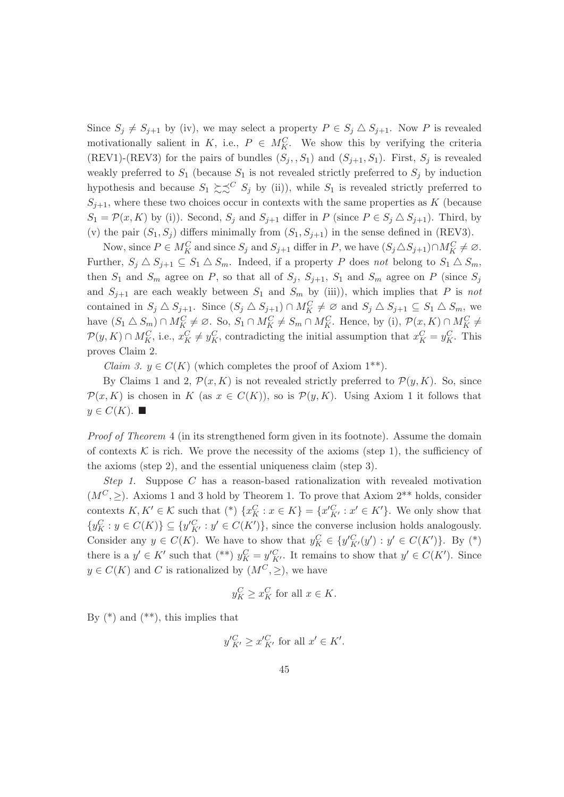Since  $S_i \neq S_{i+1}$  by (iv), we may select a property  $P \in S_i \triangle S_{i+1}$ . Now P is revealed motivationally salient in K, i.e.,  $P \in M_K^C$ . We show this by verifying the criteria (REV1)-(REV3) for the pairs of bundles  $(S_j, S_1)$  and  $(S_{j+1}, S_1)$ . First,  $S_j$  is revealed weakly preferred to  $S_1$  (because  $S_1$  is not revealed strictly preferred to  $S_j$  by induction hypothesis and because  $S_1 \succeq \preceq^C S_j$  by (ii)), while  $S_1$  is revealed strictly preferred to  $S_{i+1}$ , where these two choices occur in contexts with the same properties as K (because  $S_1 = \mathcal{P}(x, K)$  by (i)). Second,  $S_j$  and  $S_{j+1}$  differ in P (since  $P \in S_j \triangle S_{j+1}$ ). Third, by (v) the pair  $(S_1, S_i)$  differs minimally from  $(S_1, S_{i+1})$  in the sense defined in (REV3).

Now, since  $P \in M_K^C$  and since  $S_j$  and  $S_{j+1}$  differ in P, we have  $(S_j \triangle S_{j+1}) \cap M_K^C \neq \emptyset$ . Further,  $S_j \triangle S_{j+1} \subseteq S_1 \triangle S_m$ . Indeed, if a property P does not belong to  $S_1 \triangle S_m$ , then  $S_1$  and  $S_m$  agree on P, so that all of  $S_i$ ,  $S_{i+1}$ ,  $S_1$  and  $S_m$  agree on P (since  $S_i$ and  $S_{i+1}$  are each weakly between  $S_1$  and  $S_m$  by (iii)), which implies that P is not contained in  $S_i \triangle S_{i+1}$ . Since  $(S_i \triangle S_{i+1}) \cap M_K^C \neq \emptyset$  and  $S_i \triangle S_{i+1} \subseteq S_1 \triangle S_m$ , we have  $(S_1 \triangle S_m) \cap M_K^C \neq \emptyset$ . So,  $S_1 \cap M_K^C \neq S_m \cap M_K^C$ . Hence, by (i),  $\mathcal{P}(x, K) \cap M_K^C \neq$  $\mathcal{P}(y,K) \cap M_K^C$ , i.e.,  $x_K^C \neq y_K^C$ , contradicting the initial assumption that  $x_K^C = y_K^C$ . This proves Claim 2.

*Claim 3.*  $y \in C(K)$  (which completes the proof of Axiom 1<sup>\*\*</sup>).

By Claims 1 and 2,  $\mathcal{P}(x,K)$  is not revealed strictly preferred to  $\mathcal{P}(y,K)$ . So, since  $\mathcal{P}(x,K)$  is chosen in K (as  $x \in C(K)$ ), so is  $\mathcal{P}(y,K)$ . Using Axiom 1 it follows that  $y \in C(K)$ .

*Proof of Theorem 4* (in its strengthened form given in its footnote). Assume the domain of contexts K is rich. We prove the necessity of the axioms (step 1), the sufficiency of the axioms (step 2), and the essential uniqueness claim (step 3).

Step 1. Suppose  $C$  has a reason-based rationalization with revealed motivation  $(M^C, \geq)$ . Axioms 1 and 3 hold by Theorem 1. To prove that Axiom 2<sup>\*\*</sup> holds, consider contexts  $K, K' \in \mathcal{K}$  such that  $(*) \{x_K^C : x \in K\} = \{x'^C_{K'} : x' \in K'\}.$  We only show that  $\{y_K^C : y \in C(K)\} \subseteq \{y_{K'}^C : y' \in C(K')\}$ , since the converse inclusion holds analogously. Consider any  $y \in C(K)$ . We have to show that  $y_K^C \in \{y'_{K'}^C(y') : y' \in C(K')\}$ . By (\*) there is a  $y' \in K'$  such that (\*\*)  $y_K^C = y_{K'}^C$ . It remains to show that  $y' \in C(K')$ . Since  $y \in C(K)$  and C is rationalized by  $(M^C, \geq)$ , we have

$$
y_K^C \ge x_K^C \text{ for all } x \in K.
$$

By  $(*)$  and  $(**)$ , this implies that

$$
y'_{K'}^C \ge x'_{K'}^C \text{ for all } x' \in K'.
$$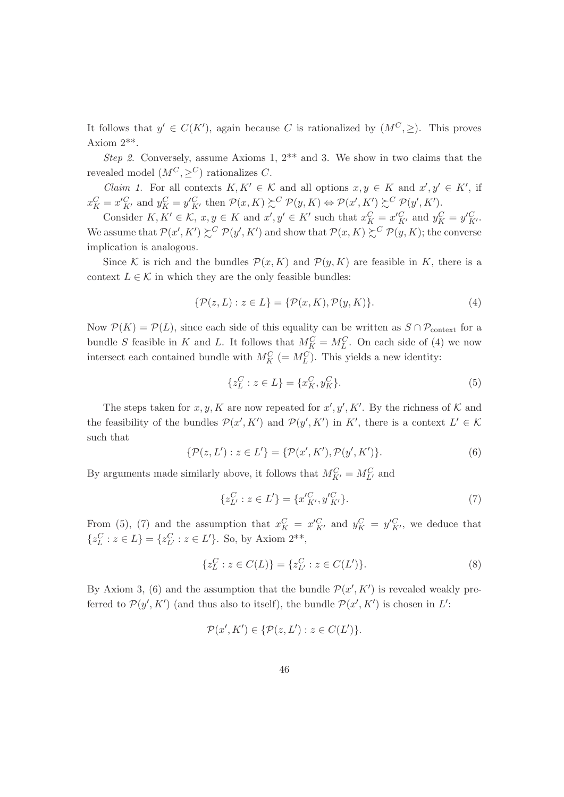It follows that  $y' \in C(K')$ , again because C is rationalized by  $(M^C, \geq)$ . This proves Axiom  $2**$ .

Step 2. Conversely, assume Axioms 1,  $2^{**}$  and 3. We show in two claims that the revealed model  $(M^C, >^C)$  rationalizes C.

*Claim 1.* For all contexts  $K, K' \in \mathcal{K}$  and all options  $x, y \in K$  and  $x', y' \in K'$ , if  $x_K^C = x'^C_{K'}$  and  $y_K^C = y'^C_{K'}$  then  $\mathcal{P}(x, K) \succeq^C \mathcal{P}(y, K) \Leftrightarrow \mathcal{P}(x', K') \succeq^C \mathcal{P}(y', K')$ .

Consider  $K, K' \in \mathcal{K}$ ,  $x, y \in K$  and  $x', y' \in K'$  such that  $x_K^C = x_{K'}^C$  and  $y_K^C = y_{K'}^C$ . We assume that  $\mathcal{P}(x', K') \succeq^{C} \mathcal{P}(y', K')$  and show that  $\mathcal{P}(x, K) \succeq^{C} \mathcal{P}(y, K)$ ; the converse implication is analogous.

Since K is rich and the bundles  $\mathcal{P}(x,K)$  and  $\mathcal{P}(y,K)$  are feasible in K, there is a context  $L \in \mathcal{K}$  in which they are the only feasible bundles:

$$
\{\mathcal{P}(z,L): z \in L\} = \{\mathcal{P}(x,K), \mathcal{P}(y,K)\}.
$$
\n<sup>(4)</sup>

Now  $\mathcal{P}(K) = \mathcal{P}(L)$ , since each side of this equality can be written as  $S \cap \mathcal{P}_{context}$  for a bundle S feasible in K and L. It follows that  $M_K^C = M_L^C$ . On each side of (4) we now intersect each contained bundle with  $M_K^C = M_L^C$ . This yields a new identity:

$$
\{z_L^C : z \in L\} = \{x_K^C, y_K^C\}.
$$
\n<sup>(5)</sup>

The steps taken for x, y, K are now repeated for  $x', y', K'$ . By the richness of K and the feasibility of the bundles  $\mathcal{P}(x', K')$  and  $\mathcal{P}(y', K')$  in K', there is a context  $L' \in \mathcal{K}$ such that

$$
\{\mathcal{P}(z,L'): z \in L'\} = \{\mathcal{P}(x',K'), \mathcal{P}(y',K')\}.
$$
 (6)

By arguments made similarly above, it follows that  $M_{K'}^C = M_{L'}^C$  and

$$
\{z_{L'}^C : z \in L'\} = \{x_{K'}^C, y_{K'}^C\}.
$$
\n<sup>(7)</sup>

From (5), (7) and the assumption that  $x_K^C = x'^C_{K'}$  and  $y_K^C = y'^C_{K'}$ , we deduce that  $\{z_L^C : z \in L\} = \{z_{L'}^C : z \in L'\}$ . So, by Axiom 2<sup>\*\*</sup>,

$$
\{z_L^C : z \in C(L)\} = \{z_{L'}^C : z \in C(L')\}.
$$
\n(8)

By Axiom 3, (6) and the assumption that the bundle  $\mathcal{P}(x', K')$  is revealed weakly preferred to  $\mathcal{P}(y', K')$  (and thus also to itself), the bundle  $\mathcal{P}(x', K')$  is chosen in L':

$$
\mathcal{P}(x', K') \in \{ \mathcal{P}(z, L') : z \in C(L') \}.
$$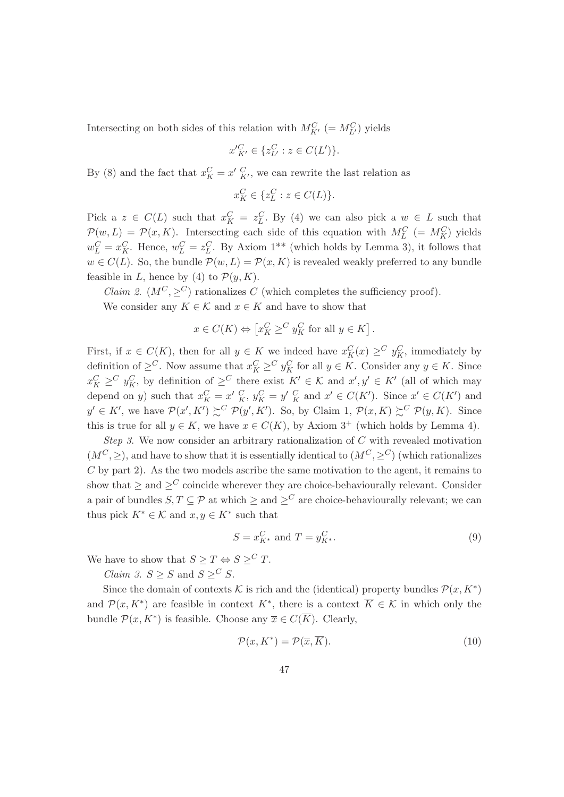Intersecting on both sides of this relation with  $M_{K'}^C\ (=M_{L'}^C)$  yields

$$
x'_{K'}^{C} \in \{z_{L'}^{C} : z \in C(L')\}.
$$

By (8) and the fact that  $x_K^C = x'_{K'}^C$ , we can rewrite the last relation as

$$
x_K^C \in \{z_L^C : z \in C(L)\}
$$

Pick a  $z \in C(L)$  such that  $x_K^C = z_L^C$ . By (4) we can also pick a  $w \in L$  such that  $\mathcal{P}(w,L) = \mathcal{P}(x,K)$ . Intersecting each side of this equation with  $M_L^C = M_K^C$  yields  $w_L^C = x_K^C$ . Hence,  $w_L^C = z_L^C$ . By Axiom 1<sup>\*\*</sup> (which holds by Lemma 3), it follows that  $w \in C(L)$ . So, the bundle  $\mathcal{P}(w, L) = \mathcal{P}(x, K)$  is revealed weakly preferred to any bundle feasible in L, hence by (4) to  $\mathcal{P}(y, K)$ .

*Claim 2.*  $(M^C, \geq^C)$  rationalizes C (which completes the sufficiency proof). We consider any  $K \in \mathcal{K}$  and  $x \in K$  and have to show that

$$
x \in C(K) \Leftrightarrow \left[ x_K^C \geq^C y_K^C \text{ for all } y \in K \right].
$$

First, if  $x \in C(K)$ , then for all  $y \in K$  we indeed have  $x_K^C(x) \geq^C y_K^C$ , immediately by definition of  $\geq^C$ . Now assume that  $x_K^C \geq^C y_K^C$  for all  $y \in K$ . Consider any  $y \in K$ . Since  $x_K^C \geq^C y_K^C$ , by definition of  $\geq^C$  there exist  $K' \in \mathcal{K}$  and  $x', y' \in K'$  (all of which may depend on y) such that  $x_K^C = x' \, \frac{C}{K}$ ,  $y_K^C = y' \, \frac{C}{K}$  and  $x' \in C(K')$ . Since  $x' \in C(K')$  and  $y' \in K'$ , we have  $\mathcal{P}(x', K') \succeq^{C} \mathcal{P}(y', K')$ . So, by Claim 1,  $\mathcal{P}(x, K) \succeq^{C} \mathcal{P}(y, K)$ . Since this is true for all  $y \in K$ , we have  $x \in C(K)$ , by Axiom 3<sup>+</sup> (which holds by Lemma 4).

Step 3. We now consider an arbitrary rationalization of  $C$  with revealed motivation  $(M^C,>)$ , and have to show that it is essentially identical to  $(M^C, >^C)$  (which rationalizes  $C$  by part 2). As the two models ascribe the same motivation to the agent, it remains to show that  $>$  and  $>^C$  coincide wherever they are choice-behaviourally relevant. Consider a pair of bundles  $S, T \subseteq \mathcal{P}$  at which  $\geq$  and  $\geq^C$  are choice-behaviourally relevant; we can thus pick  $K^* \in \mathcal{K}$  and  $x, y \in K^*$  such that

$$
S = x_{K^*}^C \text{ and } T = y_{K^*}^C.
$$
\n
$$
(9)
$$

We have to show that  $S \geq T \Leftrightarrow S \geq^C T$ .

*Claim 3.*  $S \geq S$  and  $S \geq^C S$ .

Since the domain of contexts K is rich and the (identical) property bundles  $\mathcal{P}(x, K^*)$ and  $\mathcal{P}(x, K^*)$  are feasible in context  $K^*$ , there is a context  $\overline{K} \in \mathcal{K}$  in which only the bundle  $\mathcal{P}(x, K^*)$  is feasible. Choose any  $\overline{x} \in C(\overline{K})$ . Clearly,

$$
\mathcal{P}(x, K^*) = \mathcal{P}(\overline{x}, \overline{K}).\tag{10}
$$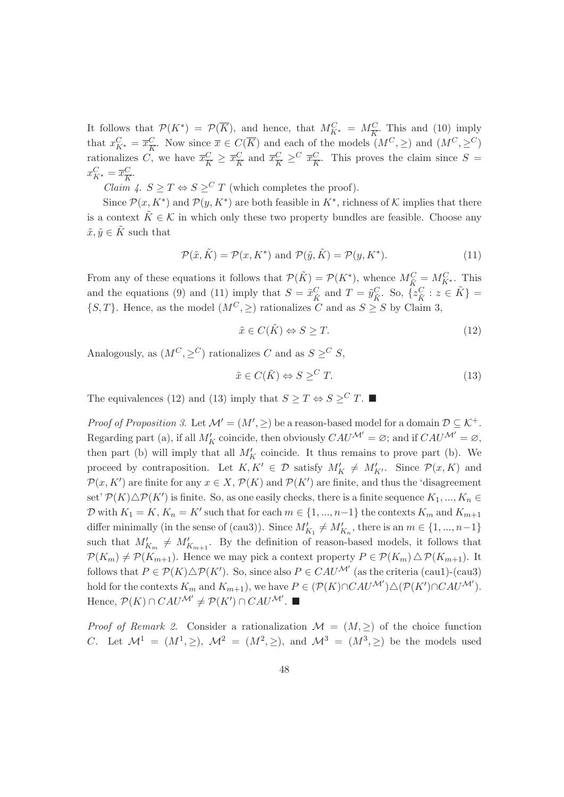It follows that  $\mathcal{P}(K^*) = \mathcal{P}(\overline{K})$ , and hence, that  $M_{K^*}^C = M_{\overline{K}}^C$ . This and (10) imply that  $x_{K^*}^C = \overline{x}_{\overline{K}}^C$ . Now since  $\overline{x} \in C(\overline{K})$  and each of the models  $(M^C, \geq)$  and  $(M^C, \geq^C)$ rationalizes C, we have  $\overline{x_K^C} \geq \overline{x_K^C}$  and  $\overline{x_K^C} \geq^C \overline{x_K^C}$ . This proves the claim since  $S =$  $x_{K^*}^C = \overline{x}_{\overline{K}}^C.$ 

*Claim 4.*  $S > T \Leftrightarrow S >^C T$  (which completes the proof).

Since  $\mathcal{P}(x, K^*)$  and  $\mathcal{P}(y, K^*)$  are both feasible in  $K^*$ , richness of K implies that there is a context  $\tilde{K} \in \mathcal{K}$  in which only these two property bundles are feasible. Choose any  $\tilde{x}, \tilde{y} \in \tilde{K}$  such that

$$
\mathcal{P}(\tilde{x}, \tilde{K}) = \mathcal{P}(x, K^*) \text{ and } \mathcal{P}(\tilde{y}, \tilde{K}) = \mathcal{P}(y, K^*). \tag{11}
$$

From any of these equations it follows that  $\mathcal{P}(\tilde{K}) = \mathcal{P}(K^*)$ , whence  $M_{\tilde{K}}^C = M_{K^*}^C$ . This and the equations (9) and (11) imply that  $S = \tilde{x}_{\tilde{K}}^C$  and  $T = \tilde{y}_{\tilde{K}}^C$ . So,  $\{z_{\tilde{K}}^C : z \in \tilde{K}\}$  $\{S,T\}$ . Hence, as the model  $(M^C, \geq)$  rationalizes C and as  $S \geq S$  by Claim 3,

$$
\tilde{x} \in C(\tilde{K}) \Leftrightarrow S \ge T. \tag{12}
$$

Analogously, as  $(M^C, >^C)$  rationalizes C and as  $S >^C S$ ,

$$
\tilde{x} \in C(\tilde{K}) \Leftrightarrow S \geq^C T. \tag{13}
$$

The equivalences (12) and (13) imply that  $S \geq T \Leftrightarrow S \geq^C T$ .

*Proof of Proposition 3.* Let  $\mathcal{M}' = (M', \geq)$  be a reason-based model for a domain  $\mathcal{D} \subseteq \mathcal{K}^+$ . Regarding part (a), if all  $M'_K$  coincide, then obviously  $CAU^{\mathcal{M}'} = \varnothing$ ; and if  $CAU^{\mathcal{M}'} = \varnothing$ , then part (b) will imply that all  $M'_K$  coincide. It thus remains to prove part (b). We proceed by contraposition. Let  $K, K' \in \mathcal{D}$  satisfy  $M'_K \neq M'_{K'}$ . Since  $\mathcal{P}(x, K)$  and  $\mathcal{P}(x, K')$  are finite for any  $x \in X$ ,  $\mathcal{P}(K)$  and  $\mathcal{P}(K')$  are finite, and thus the 'disagreement' set'  $\mathcal{P}(K)\triangle\mathcal{P}(K')$  is finite. So, as one easily checks, there is a finite sequence  $K_1, ..., K_n \in$  $\mathcal{D}$  with  $K_1 = K$ ,  $K_n = K'$  such that for each  $m \in \{1, ..., n-1\}$  the contexts  $K_m$  and  $K_{m+1}$ differ minimally (in the sense of (caus)). Since  $M'_{K_1} \neq M'_{K_n}$ , there is an  $m \in \{1, ..., n-1\}$ such that  $M'_{K_m} \neq M'_{K_{m+1}}$ . By the definition of reason-based models, it follows that  $\mathcal{P}(K_m) \neq \mathcal{P}(K_{m+1})$ . Hence we may pick a context property  $P \in \mathcal{P}(K_m) \triangle \mathcal{P}(K_{m+1})$ . It follows that  $P \in \mathcal{P}(K) \triangle \mathcal{P}(K')$ . So, since also  $P \in CAU^{\mathcal{M}'}$  (as the criteria (cau1)-(cau3) hold for the contexts  $K_m$  and  $K_{m+1}$ ), we have  $P \in (\mathcal{P}(K) \cap CAU^{\mathcal{M}'}) \triangle (\mathcal{P}(K') \cap CAU^{\mathcal{M}'})$ . Hence,  $\mathcal{P}(K) \cap CAU^{\mathcal{M}'} \neq \mathcal{P}(K') \cap CAU^{\mathcal{M}'}$ .

*Proof of Remark 2.* Consider a rationalization  $\mathcal{M} = (M, \geq)$  of the choice function C. Let  $\mathcal{M}^1 = (M^1, \geq), \mathcal{M}^2 = (M^2, \geq),$  and  $\mathcal{M}^3 = (M^3, \geq)$  be the models used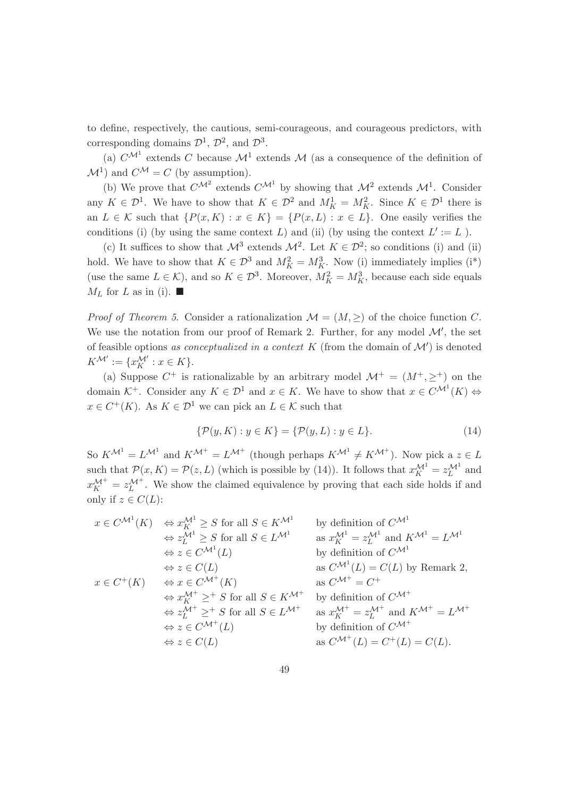to define, respectively, the cautious, semi-courageous, and courageous predictors, with corresponding domains  $\mathcal{D}^1$ ,  $\mathcal{D}^2$ , and  $\mathcal{D}^3$ .

(a)  $C^{\mathcal{M}^1}$  extends C because  $\mathcal{M}^1$  extends M (as a consequence of the definition of  $\mathcal{M}^1$  and  $C^{\mathcal{M}} = C$  (by assumption).

(b) We prove that  $C^{\mathcal{M}^2}$  extends  $C^{\mathcal{M}^1}$  by showing that  $\mathcal{M}^2$  extends  $\mathcal{M}^1$ . Consider any  $K \in \mathcal{D}^1$ . We have to show that  $K \in \mathcal{D}^2$  and  $M_K^1 = M_K^2$ . Since  $K \in \mathcal{D}^1$  there is an  $L \in \mathcal{K}$  such that  $\{P(x,K): x \in K\} = \{P(x,L): x \in L\}$ . One easily verifies the conditions (i) (by using the same context L) and (ii) (by using the context  $L' := L$ ).

(c) It suffices to show that  $\mathcal{M}^3$  extends  $\mathcal{M}^2$ . Let  $K \in \mathcal{D}^2$ ; so conditions (i) and (ii) hold. We have to show that  $K \in \mathcal{D}^3$  and  $M_K^2 = M_K^3$ . Now (i) immediately implies (i<sup>\*</sup>) (use the same  $L \in \mathcal{K}$ ), and so  $K \in \mathcal{D}^3$ . Moreover,  $M_K^2 = M_K^3$ , because each side equals  $M_L$  for L as in (i).

*Proof of Theorem 5.* Consider a rationalization  $\mathcal{M} = (M, \geq)$  of the choice function C. We use the notation from our proof of Remark 2. Further, for any model  $\mathcal{M}'$ , the set of feasible options as conceptualized in a context  $K$  (from the domain of  $\mathcal{M}'$ ) is denoted  $K^{\mathcal{M}'} := \{x_K^{\mathcal{M}'} : x \in K\}.$ 

(a) Suppose  $C^+$  is rationalizable by an arbitrary model  $\mathcal{M}^+ = (M^+, \geq^+)$  on the domain  $K^+$ . Consider any  $K \in \mathcal{D}^1$  and  $x \in K$ . We have to show that  $x \in C^{\mathcal{M}^1}(K) \Leftrightarrow$  $x \in C^+(K)$ . As  $K \in \mathcal{D}^1$  we can pick an  $L \in \mathcal{K}$  such that

$$
\{\mathcal{P}(y,K) : y \in K\} = \{\mathcal{P}(y,L) : y \in L\}.
$$
\n(14)

So  $K^{\mathcal{M}^1} = L^{\mathcal{M}^1}$  and  $K^{\mathcal{M}^+} = L^{\mathcal{M}^+}$  (though perhaps  $K^{\mathcal{M}^1} \neq K^{\mathcal{M}^+}$ ). Now pick a  $z \in L$ such that  $\mathcal{P}(x,K) = \mathcal{P}(z,L)$  (which is possible by (14)). It follows that  $x_K^{\mathcal{M}^1} = z_L^{\mathcal{M}^1}$  and  $x_K^{\mathcal{M}^+} = z_L^{\mathcal{M}^+}$ . We show the claimed equivalence by proving that each side holds if and only if  $z \in C(L)$ :

$$
x \in C^{\mathcal{M}^1}(K) \Leftrightarrow x_K^{\mathcal{M}^1} \geq S \text{ for all } S \in K^{\mathcal{M}^1} \text{ by definition of } C^{\mathcal{M}^1} \n\Leftrightarrow z_L^{\mathcal{M}^1} \geq S \text{ for all } S \in L^{\mathcal{M}^1} \text{ as } x_K^{\mathcal{M}^1} = z_L^{\mathcal{M}^1} \text{ and } K^{\mathcal{M}^1} = L^{\mathcal{M}^1} \n\Leftrightarrow z \in C^{\mathcal{M}^1}(L) \text{ by definition of } C^{\mathcal{M}^1} \n\Leftrightarrow z \in C(L) \text{ as } C^{\mathcal{M}^1}(L) = C(L) \text{ by Remark 2,}
$$
\n
$$
x \in C^+(K) \Leftrightarrow x \in C^{\mathcal{M}^+}(K) \text{ as } C^{\mathcal{M}^+} = C^+
$$
\n
$$
\Leftrightarrow x_K^{\mathcal{M}^+} \geq^+ S \text{ for all } S \in K^{\mathcal{M}^+} \text{ by definition of } C^{\mathcal{M}^+} \n\Leftrightarrow z_L^{\mathcal{M}^+} \geq^+ S \text{ for all } S \in L^{\mathcal{M}^+} \text{ as } x_K^{\mathcal{M}^+} = z_L^{\mathcal{M}^+} \text{ and } K^{\mathcal{M}^+} = L^{\mathcal{M}^+} \n\Leftrightarrow z \in C^{\mathcal{M}^+}(L) \text{ by definition of } C^{\mathcal{M}^+} \n\Leftrightarrow z \in C(L) \text{ as } C^{\mathcal{M}^+}(L) = C^+(L) = C(L).
$$